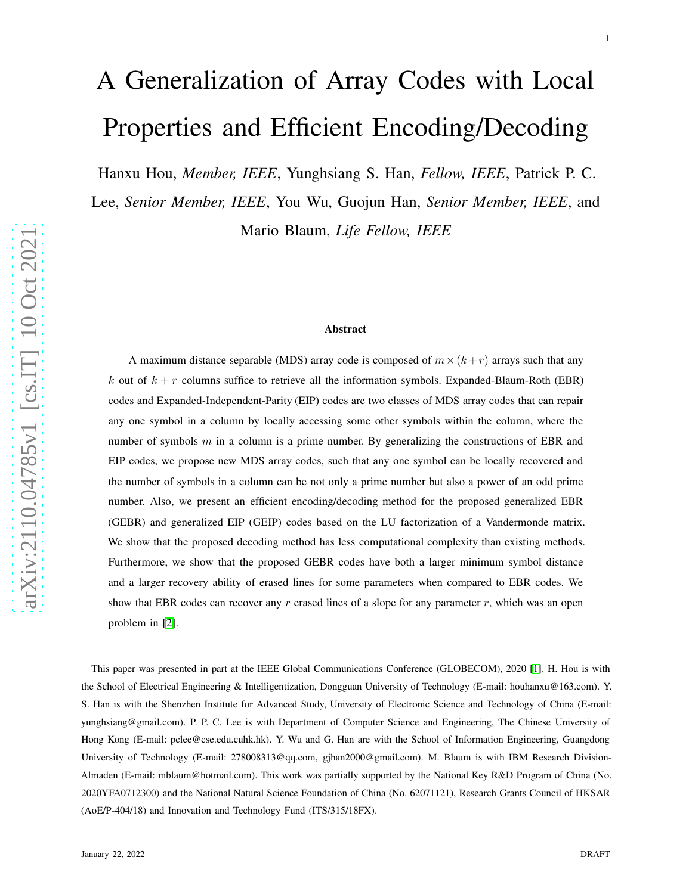# A Generalization of Array Codes with Local Properties and Efficient Encoding/Decoding

Hanxu Hou, *Member, IEEE*, Yunghsiang S. Han, *Fellow, IEEE*, Patrick P. C.

Lee, *Senior Member, IEEE*, You Wu, Guojun Han, *Senior Member, IEEE*, and Mario Blaum, *Life Fellow, IEEE*

#### Abstract

A maximum distance separable (MDS) array code is composed of  $m \times (k+r)$  arrays such that any k out of  $k + r$  columns suffice to retrieve all the information symbols. Expanded-Blaum-Roth (EBR) codes and Expanded-Independent-Parity (EIP) codes are two classes of MDS array codes that can repair any one symbol in a column by locally accessing some other symbols within the column, where the number of symbols  $m$  in a column is a prime number. By generalizing the constructions of EBR and EIP codes, we propose new MDS array codes, such that any one symbol can be locally recovered and the number of symbols in a column can be not only a prime number but also a power of an odd prime number. Also, we present an efficient encoding/decoding method for the proposed generalized EBR (GEBR) and generalized EIP (GEIP) codes based on the LU factorization of a Vandermonde matrix. We show that the proposed decoding method has less computational complexity than existing methods. Furthermore, we show that the proposed GEBR codes have both a larger minimum symbol distance and a larger recovery ability of erased lines for some parameters when compared to EBR codes. We show that EBR codes can recover any  $r$  erased lines of a slope for any parameter  $r$ , which was an open problem in [\[2\]](#page-41-0).

This paper was presented in part at the IEEE Global Communications Conference (GLOBECOM), 2020 [\[1\]](#page-41-1). H. Hou is with the School of Electrical Engineering & Intelligentization, Dongguan University of Technology (E-mail: houhanxu@163.com). Y. S. Han is with the Shenzhen Institute for Advanced Study, University of Electronic Science and Technology of China (E-mail: yunghsiang@gmail.com). P. P. C. Lee is with Department of Computer Science and Engineering, The Chinese University of Hong Kong (E-mail: pclee@cse.edu.cuhk.hk). Y. Wu and G. Han are with the School of Information Engineering, Guangdong University of Technology (E-mail: 278008313@qq.com, gjhan2000@gmail.com). M. Blaum is with IBM Research Division-Almaden (E-mail: mblaum@hotmail.com). This work was partially supported by the National Key R&D Program of China (No. 2020YFA0712300) and the National Natural Science Foundation of China (No. 62071121), Research Grants Council of HKSAR (AoE/P-404/18) and Innovation and Technology Fund (ITS/315/18FX).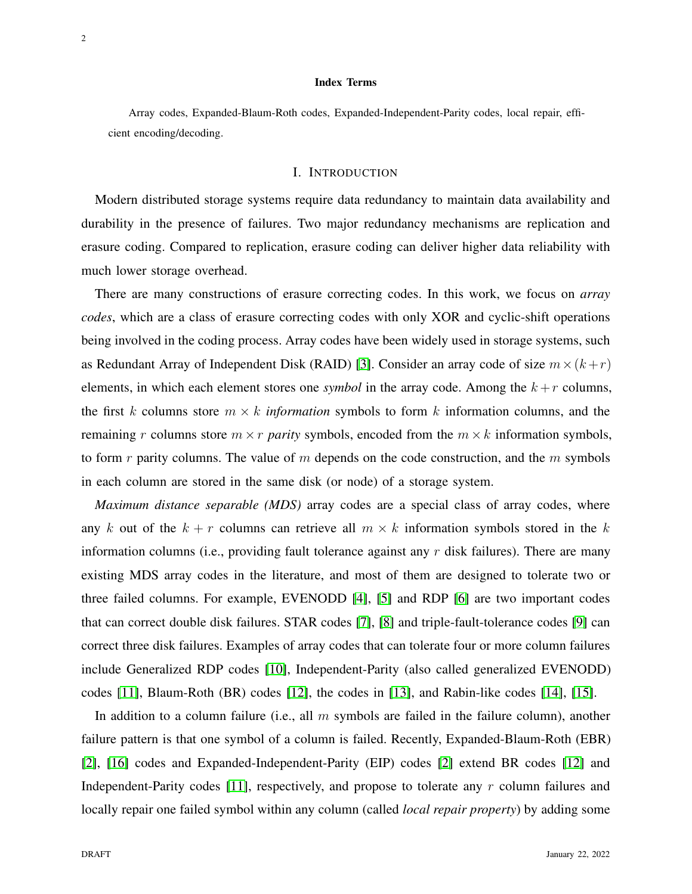#### Index Terms

Array codes, Expanded-Blaum-Roth codes, Expanded-Independent-Parity codes, local repair, efficient encoding/decoding.

## I. INTRODUCTION

Modern distributed storage systems require data redundancy to maintain data availability and durability in the presence of failures. Two major redundancy mechanisms are replication and erasure coding. Compared to replication, erasure coding can deliver higher data reliability with much lower storage overhead.

There are many constructions of erasure correcting codes. In this work, we focus on *array codes*, which are a class of erasure correcting codes with only XOR and cyclic-shift operations being involved in the coding process. Array codes have been widely used in storage systems, such as Redundant Array of Independent Disk (RAID) [\[3\]](#page-41-2). Consider an array code of size  $m \times (k + r)$ elements, in which each element stores one *symbol* in the array code. Among the  $k + r$  columns, the first k columns store  $m \times k$  *information* symbols to form k information columns, and the remaining r columns store  $m \times r$  *parity* symbols, encoded from the  $m \times k$  information symbols, to form r parity columns. The value of m depends on the code construction, and the m symbols in each column are stored in the same disk (or node) of a storage system.

*Maximum distance separable (MDS)* array codes are a special class of array codes, where any k out of the  $k + r$  columns can retrieve all  $m \times k$  information symbols stored in the k information columns (i.e., providing fault tolerance against any  $r$  disk failures). There are many existing MDS array codes in the literature, and most of them are designed to tolerate two or three failed columns. For example, EVENODD [\[4\]](#page-41-3), [\[5\]](#page-41-4) and RDP [\[6\]](#page-41-5) are two important codes that can correct double disk failures. STAR codes [\[7\]](#page-41-6), [\[8\]](#page-41-7) and triple-fault-tolerance codes [\[9\]](#page-41-8) can correct three disk failures. Examples of array codes that can tolerate four or more column failures include Generalized RDP codes [\[10\]](#page-41-9), Independent-Parity (also called generalized EVENODD) codes [\[11\]](#page-41-10), Blaum-Roth (BR) codes [\[12\]](#page-42-0), the codes in [\[13\]](#page-42-1), and Rabin-like codes [\[14\]](#page-42-2), [\[15\]](#page-42-3).

In addition to a column failure (i.e., all  $m$  symbols are failed in the failure column), another failure pattern is that one symbol of a column is failed. Recently, Expanded-Blaum-Roth (EBR) [\[2\]](#page-41-0), [\[16\]](#page-42-4) codes and Expanded-Independent-Parity (EIP) codes [\[2\]](#page-41-0) extend BR codes [\[12\]](#page-42-0) and Independent-Parity codes [\[11\]](#page-41-10), respectively, and propose to tolerate any r column failures and locally repair one failed symbol within any column (called *local repair property*) by adding some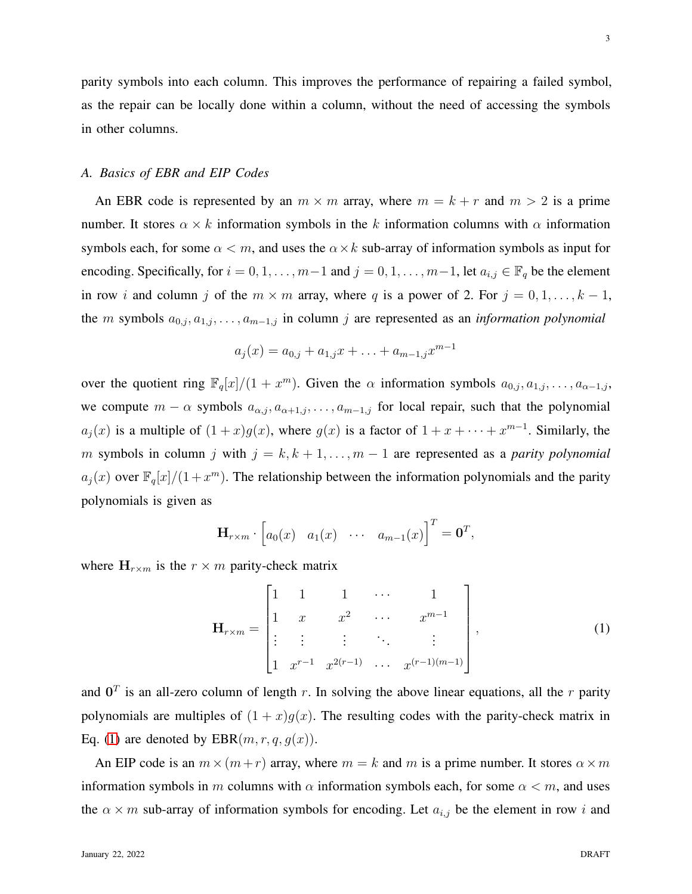parity symbols into each column. This improves the performance of repairing a failed symbol, as the repair can be locally done within a column, without the need of accessing the symbols in other columns.

# *A. Basics of EBR and EIP Codes*

An EBR code is represented by an  $m \times m$  array, where  $m = k + r$  and  $m > 2$  is a prime number. It stores  $\alpha \times k$  information symbols in the k information columns with  $\alpha$  information symbols each, for some  $\alpha < m$ , and uses the  $\alpha \times k$  sub-array of information symbols as input for encoding. Specifically, for  $i = 0, 1, \ldots, m-1$  and  $j = 0, 1, \ldots, m-1$ , let  $a_{i,j} \in \mathbb{F}_q$  be the element in row i and column j of the  $m \times m$  array, where q is a power of 2. For  $j = 0, 1, \ldots, k - 1$ , the m symbols  $a_{0,j}, a_{1,j}, \ldots, a_{m-1,j}$  in column j are represented as an *information polynomial* 

$$
a_j(x) = a_{0,j} + a_{1,j}x + \ldots + a_{m-1,j}x^{m-1}
$$

over the quotient ring  $\mathbb{F}_q[x]/(1+x^m)$ . Given the  $\alpha$  information symbols  $a_{0,j}, a_{1,j}, \ldots, a_{\alpha-1,j}$ , we compute  $m - \alpha$  symbols  $a_{\alpha,j}, a_{\alpha+1,j}, \ldots, a_{m-1,j}$  for local repair, such that the polynomial  $a_j(x)$  is a multiple of  $(1+x)g(x)$ , where  $g(x)$  is a factor of  $1+x+\cdots+x^{m-1}$ . Similarly, the m symbols in column j with  $j = k, k + 1, \ldots, m - 1$  are represented as a *parity polynomial*  $a_j(x)$  over  $\mathbb{F}_q[x]/(1+x^m)$ . The relationship between the information polynomials and the parity polynomials is given as

$$
\mathbf{H}_{r \times m} \cdot \begin{bmatrix} a_0(x) & a_1(x) & \cdots & a_{m-1}(x) \end{bmatrix}^T = \mathbf{0}^T,
$$

where  $H_{r \times m}$  is the  $r \times m$  parity-check matrix

<span id="page-2-0"></span>
$$
\mathbf{H}_{r \times m} = \begin{bmatrix} 1 & 1 & 1 & \cdots & 1 \\ 1 & x & x^2 & \cdots & x^{m-1} \\ \vdots & \vdots & \vdots & \ddots & \vdots \\ 1 & x^{r-1} & x^{2(r-1)} & \cdots & x^{(r-1)(m-1)} \end{bmatrix},
$$
(1)

and  $0<sup>T</sup>$  is an all-zero column of length r. In solving the above linear equations, all the r parity polynomials are multiples of  $(1 + x)g(x)$ . The resulting codes with the parity-check matrix in Eq. [\(1\)](#page-2-0) are denoted by  $EBR(m, r, q, q(x))$ .

An EIP code is an  $m \times (m+r)$  array, where  $m = k$  and m is a prime number. It stores  $\alpha \times m$ information symbols in m columns with  $\alpha$  information symbols each, for some  $\alpha < m$ , and uses the  $\alpha \times m$  sub-array of information symbols for encoding. Let  $a_{i,j}$  be the element in row i and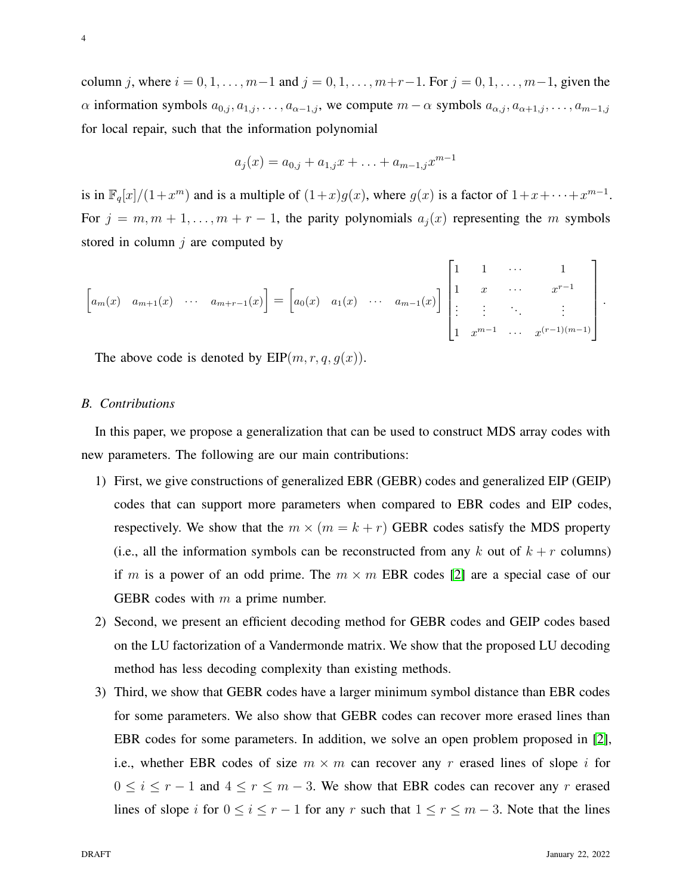column j, where  $i = 0, 1, \ldots, m-1$  and  $j = 0, 1, \ldots, m+r-1$ . For  $j = 0, 1, \ldots, m-1$ , given the  $\alpha$  information symbols  $a_{0,j}, a_{1,j}, \ldots, a_{\alpha-1,j}$ , we compute  $m - \alpha$  symbols  $a_{\alpha,j}, a_{\alpha+1,j}, \ldots, a_{m-1,j}$ for local repair, such that the information polynomial

$$
a_j(x) = a_{0,j} + a_{1,j}x + \ldots + a_{m-1,j}x^{m-1}
$$

is in  $\mathbb{F}_q[x]/(1+x^m)$  and is a multiple of  $(1+x)g(x)$ , where  $g(x)$  is a factor of  $1+x+\cdots+x^{m-1}$ . For  $j = m, m + 1, \ldots, m + r - 1$ , the parity polynomials  $a_i(x)$  representing the m symbols stored in column  $j$  are computed by

$$
\begin{bmatrix} a_m(x) & a_{m+1}(x) & \cdots & a_{m+r-1}(x) \end{bmatrix} = \begin{bmatrix} a_0(x) & a_1(x) & \cdots & a_{m-1}(x) \end{bmatrix} \begin{bmatrix} 1 & 1 & \cdots & 1 \\ 1 & x & \cdots & x^{r-1} \\ \vdots & \vdots & \ddots & \vdots \\ 1 & x^{m-1} & \cdots & x^{(r-1)(m-1)} \end{bmatrix}.
$$

The above code is denoted by  $EIP(m, r, q, g(x))$ .

#### *B. Contributions*

In this paper, we propose a generalization that can be used to construct MDS array codes with new parameters. The following are our main contributions:

- 1) First, we give constructions of generalized EBR (GEBR) codes and generalized EIP (GEIP) codes that can support more parameters when compared to EBR codes and EIP codes, respectively. We show that the  $m \times (m = k + r)$  GEBR codes satisfy the MDS property (i.e., all the information symbols can be reconstructed from any k out of  $k + r$  columns) if m is a power of an odd prime. The  $m \times m$  EBR codes [\[2\]](#page-41-0) are a special case of our GEBR codes with  $m$  a prime number.
- 2) Second, we present an efficient decoding method for GEBR codes and GEIP codes based on the LU factorization of a Vandermonde matrix. We show that the proposed LU decoding method has less decoding complexity than existing methods.
- 3) Third, we show that GEBR codes have a larger minimum symbol distance than EBR codes for some parameters. We also show that GEBR codes can recover more erased lines than EBR codes for some parameters. In addition, we solve an open problem proposed in [\[2\]](#page-41-0), i.e., whether EBR codes of size  $m \times m$  can recover any r erased lines of slope i for  $0 \le i \le r - 1$  and  $4 \le r \le m - 3$ . We show that EBR codes can recover any r erased lines of slope i for  $0 \le i \le r - 1$  for any r such that  $1 \le r \le m - 3$ . Note that the lines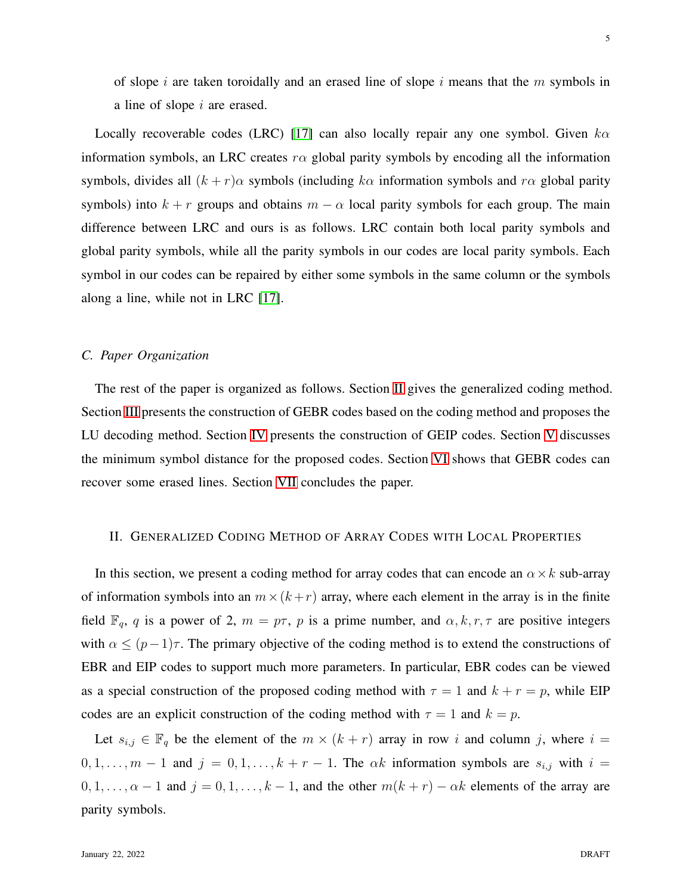of slope i are taken toroidally and an erased line of slope i means that the  $m$  symbols in a line of slope i are erased.

Locally recoverable codes (LRC) [\[17\]](#page-42-5) can also locally repair any one symbol. Given  $k\alpha$ information symbols, an LRC creates  $r\alpha$  global parity symbols by encoding all the information symbols, divides all  $(k + r)\alpha$  symbols (including  $k\alpha$  information symbols and  $r\alpha$  global parity symbols) into  $k + r$  groups and obtains  $m - \alpha$  local parity symbols for each group. The main difference between LRC and ours is as follows. LRC contain both local parity symbols and global parity symbols, while all the parity symbols in our codes are local parity symbols. Each symbol in our codes can be repaired by either some symbols in the same column or the symbols along a line, while not in LRC [\[17\]](#page-42-5).

# *C. Paper Organization*

The rest of the paper is organized as follows. Section [II](#page-4-0) gives the generalized coding method. Section [III](#page-8-0) presents the construction of GEBR codes based on the coding method and proposes the LU decoding method. Section [IV](#page-24-0) presents the construction of GEIP codes. Section [V](#page-28-0) discusses the minimum symbol distance for the proposed codes. Section [VI](#page-31-0) shows that GEBR codes can recover some erased lines. Section [VII](#page-41-11) concludes the paper.

## <span id="page-4-0"></span>II. GENERALIZED CODING METHOD OF ARRAY CODES WITH LOCAL PROPERTIES

In this section, we present a coding method for array codes that can encode an  $\alpha \times k$  sub-array of information symbols into an  $m \times (k+r)$  array, where each element in the array is in the finite field  $\mathbb{F}_q$ , q is a power of 2,  $m = p\tau$ , p is a prime number, and  $\alpha, k, r, \tau$  are positive integers with  $\alpha \leq (p-1)\tau$ . The primary objective of the coding method is to extend the constructions of EBR and EIP codes to support much more parameters. In particular, EBR codes can be viewed as a special construction of the proposed coding method with  $\tau = 1$  and  $k + r = p$ , while EIP codes are an explicit construction of the coding method with  $\tau = 1$  and  $k = p$ .

Let  $s_{i,j} \in \mathbb{F}_q$  be the element of the  $m \times (k+r)$  array in row i and column j, where  $i =$  $0, 1, \ldots, m - 1$  and  $j = 0, 1, \ldots, k + r - 1$ . The  $\alpha k$  information symbols are  $s_{i,j}$  with  $i =$  $0, 1, \ldots, \alpha - 1$  and  $j = 0, 1, \ldots, k - 1$ , and the other  $m(k + r) - \alpha k$  elements of the array are parity symbols.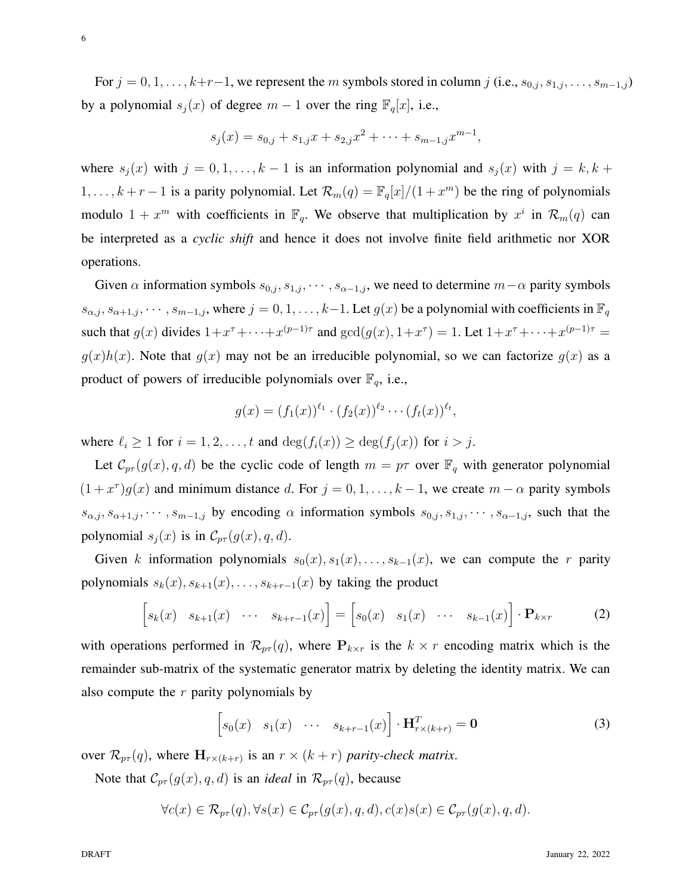For  $j = 0, 1, \ldots, k+r-1$ , we represent the m symbols stored in column j (i.e.,  $s_{0,j}, s_{1,j}, \ldots, s_{m-1,j}$ ) by a polynomial  $s_i(x)$  of degree  $m-1$  over the ring  $\mathbb{F}_q[x]$ , i.e.,

$$
s_j(x) = s_{0,j} + s_{1,j}x + s_{2,j}x^2 + \cdots + s_{m-1,j}x^{m-1},
$$

where  $s_i(x)$  with  $j = 0, 1, \ldots, k - 1$  is an information polynomial and  $s_i(x)$  with  $j = k, k + 1$  $1, \ldots, k+r-1$  is a parity polynomial. Let  $\mathcal{R}_m(q) = \mathbb{F}_q[x]/(1+x^m)$  be the ring of polynomials modulo  $1 + x^m$  with coefficients in  $\mathbb{F}_q$ . We observe that multiplication by  $x^i$  in  $\mathcal{R}_m(q)$  can be interpreted as a *cyclic shift* and hence it does not involve finite field arithmetic nor XOR operations.

Given  $\alpha$  information symbols  $s_{0,j}, s_{1,j}, \cdots, s_{\alpha-1,j}$ , we need to determine  $m-\alpha$  parity symbols  $s_{\alpha,j}, s_{\alpha+1,j}, \cdots, s_{m-1,j}$ , where  $j = 0, 1, \ldots, k-1$ . Let  $g(x)$  be a polynomial with coefficients in  $\mathbb{F}_q$ such that  $g(x)$  divides  $1+x^{\tau}+\cdots+x^{(p-1)\tau}$  and  $gcd(g(x), 1+x^{\tau})=1$ . Let  $1+x^{\tau}+\cdots+x^{(p-1)\tau}=1$  $g(x)h(x)$ . Note that  $g(x)$  may not be an irreducible polynomial, so we can factorize  $g(x)$  as a product of powers of irreducible polynomials over  $\mathbb{F}_q$ , i.e.,

$$
g(x) = (f_1(x))^{\ell_1} \cdot (f_2(x))^{\ell_2} \cdots (f_t(x))^{\ell_t},
$$

where  $\ell_i \geq 1$  for  $i = 1, 2, \ldots, t$  and  $\deg(f_i(x)) \geq \deg(f_i(x))$  for  $i > j$ .

Let  $\mathcal{C}_{pr}(g(x), q, d)$  be the cyclic code of length  $m = p\tau$  over  $\mathbb{F}_q$  with generator polynomial  $(1+x^{\tau})g(x)$  and minimum distance d. For  $j=0,1,\ldots,k-1$ , we create  $m-\alpha$  parity symbols  $s_{\alpha,j}, s_{\alpha+1,j}, \cdots, s_{m-1,j}$  by encoding  $\alpha$  information symbols  $s_{0,j}, s_{1,j}, \cdots, s_{\alpha-1,j}$ , such that the polynomial  $s_i(x)$  is in  $\mathcal{C}_{p\tau}(g(x), q, d)$ .

Given k information polynomials  $s_0(x), s_1(x), \ldots, s_{k-1}(x)$ , we can compute the r parity polynomials  $s_k(x), s_{k+1}(x), \ldots, s_{k+r-1}(x)$  by taking the product

<span id="page-5-0"></span>
$$
\begin{bmatrix} s_k(x) & s_{k+1}(x) & \cdots & s_{k+r-1}(x) \end{bmatrix} = \begin{bmatrix} s_0(x) & s_1(x) & \cdots & s_{k-1}(x) \end{bmatrix} \cdot \mathbf{P}_{k \times r}
$$
 (2)

with operations performed in  $\mathcal{R}_{p\tau}(q)$ , where  $P_{k\times r}$  is the  $k \times r$  encoding matrix which is the remainder sub-matrix of the systematic generator matrix by deleting the identity matrix. We can also compute the  $r$  parity polynomials by

$$
\[s_0(x) \quad s_1(x) \quad \cdots \quad s_{k+r-1}(x)\] \cdot \mathbf{H}_{r \times (k+r)}^T = \mathbf{0} \tag{3}
$$

over  $\mathcal{R}_{pr}(q)$ , where  $\mathbf{H}_{r \times (k+r)}$  is an  $r \times (k+r)$  parity-check matrix.

Note that  $C_{p\tau}(g(x), q, d)$  is an *ideal* in  $\mathcal{R}_{p\tau}(q)$ , because

 $\forall c(x) \in \mathcal{R}_{n\tau}(q), \forall s(x) \in \mathcal{C}_{n\tau}(q(x), q, d), c(x)s(x) \in \mathcal{C}_{n\tau}(q(x), q, d).$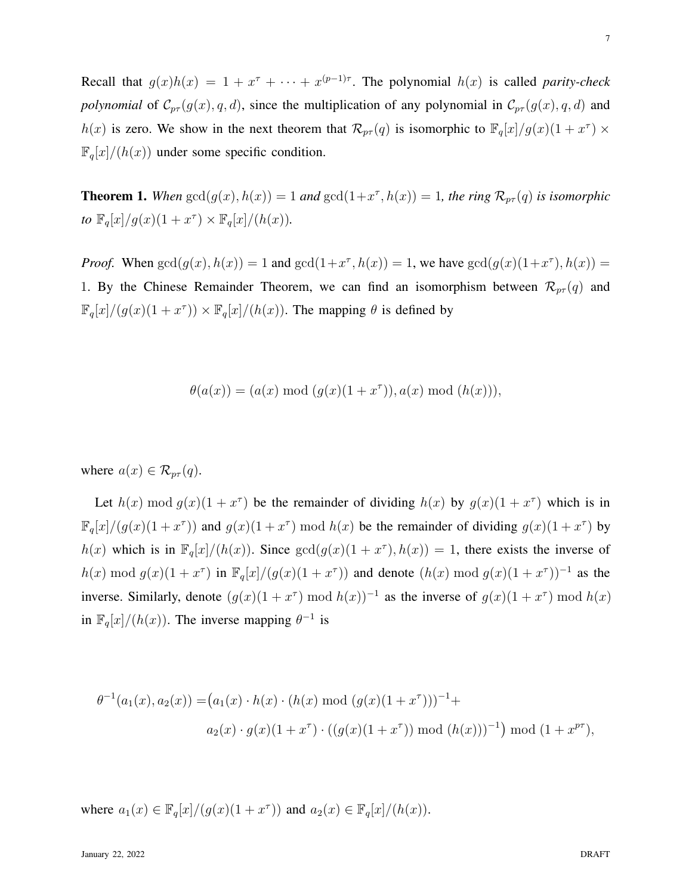Recall that  $g(x)h(x) = 1 + x^{\tau} + \cdots + x^{(p-1)\tau}$ . The polynomial  $h(x)$  is called *parity-check polynomial* of  $C_{p\tau}(g(x), q, d)$ , since the multiplication of any polynomial in  $C_{p\tau}(g(x), q, d)$  and  $h(x)$  is zero. We show in the next theorem that  $\mathcal{R}_{p\tau}(q)$  is isomorphic to  $\mathbb{F}_q[x]/g(x)(1+x^{\tau}) \times$  $\mathbb{F}_q[x]/(h(x))$  under some specific condition.

<span id="page-6-0"></span>**Theorem 1.** When  $gcd(g(x), h(x)) = 1$  and  $gcd(1+x^{\tau}, h(x)) = 1$ , the ring  $\mathcal{R}_{pr}(q)$  is isomorphic *to*  $\mathbb{F}_q[x]/g(x)(1+x^{\tau}) \times \mathbb{F}_q[x]/(h(x)).$ 

*Proof.* When  $gcd(g(x), h(x)) = 1$  and  $gcd(1+x^{\tau}, h(x)) = 1$ , we have  $gcd(g(x)(1+x^{\tau}), h(x)) = 1$ 1. By the Chinese Remainder Theorem, we can find an isomorphism between  $\mathcal{R}_{pr}(q)$  and  $\mathbb{F}_q[x]/(g(x)(1+x^{\tau})) \times \mathbb{F}_q[x]/(h(x))$ . The mapping  $\theta$  is defined by

$$
\theta(a(x)) = (a(x) \bmod (g(x)(1+x^{\tau})), a(x) \bmod (h(x))),
$$

where  $a(x) \in \mathcal{R}_{p\tau}(q)$ .

Let  $h(x) \mod g(x)$   $(1+x^{\tau})$  be the remainder of dividing  $h(x)$  by  $g(x)$  $(1+x^{\tau})$  which is in  $\mathbb{F}_q[x]/(g(x)(1+x^{\tau}))$  and  $g(x)(1+x^{\tau}) \mod h(x)$  be the remainder of dividing  $g(x)(1+x^{\tau})$  by  $h(x)$  which is in  $\mathbb{F}_q[x]/(h(x))$ . Since  $gcd(g(x)(1+x^{\tau}), h(x)) = 1$ , there exists the inverse of  $h(x) \bmod g(x) (1+x^{\tau})$  in  $\mathbb{F}_q[x]/(g(x)(1+x^{\tau}))$  and denote  $(h(x) \bmod g(x)(1+x^{\tau}))^{-1}$  as the inverse. Similarly, denote  $(g(x)(1+x^{\tau}) \mod h(x))^{-1}$  as the inverse of  $g(x)(1+x^{\tau}) \mod h(x)$ in  $\mathbb{F}_q[x]/(h(x))$ . The inverse mapping  $\theta^{-1}$  is

$$
\theta^{-1}(a_1(x), a_2(x)) = (a_1(x) \cdot h(x) \cdot (h(x) \bmod (g(x)(1+x^{\tau})))^{-1} +
$$
  

$$
a_2(x) \cdot g(x)(1+x^{\tau}) \cdot ((g(x)(1+x^{\tau})) \bmod (h(x)))^{-1}) \bmod (1+x^{p\tau}),
$$

where  $a_1(x) \in \mathbb{F}_q[x]/(g(x)(1+x^{\tau}))$  and  $a_2(x) \in \mathbb{F}_q[x]/(h(x))$ .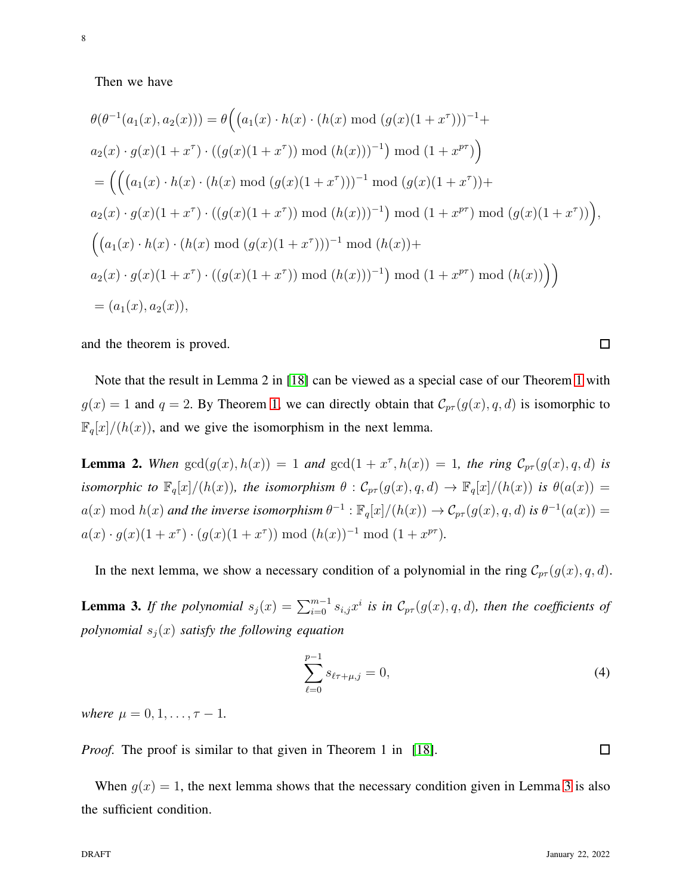8

$$
\theta(\theta^{-1}(a_1(x), a_2(x))) = \theta((a_1(x) \cdot h(x) \cdot (h(x) \mod (g(x)(1+x^{\tau})))^{-1} +
$$
  
\n
$$
a_2(x) \cdot g(x)(1+x^{\tau}) \cdot ((g(x)(1+x^{\tau})) \mod (h(x)))^{-1}) \mod (1+x^{p\tau})
$$
  
\n
$$
= ((a_1(x) \cdot h(x) \cdot (h(x) \mod (g(x)(1+x^{\tau})))^{-1} \mod (g(x)(1+x^{\tau})) +
$$
  
\n
$$
a_2(x) \cdot g(x)(1+x^{\tau}) \cdot ((g(x)(1+x^{\tau})) \mod (h(x)))^{-1}) \mod (1+x^{p\tau}) \mod (g(x)(1+x^{\tau}))
$$
  
\n
$$
((a_1(x) \cdot h(x) \cdot (h(x) \mod (g(x)(1+x^{\tau})))^{-1} \mod (h(x)))
$$
  
\n
$$
a_2(x) \cdot g(x)(1+x^{\tau}) \cdot ((g(x)(1+x^{\tau})) \mod (h(x)))^{-1}) \mod (1+x^{p\tau}) \mod (h(x))
$$
  
\n
$$
= (a_1(x), a_2(x)),
$$

and the theorem is proved.

Note that the result in Lemma 2 in [\[18\]](#page-42-6) can be viewed as a special case of our Theorem [1](#page-6-0) with  $g(x) = 1$  and  $q = 2$ . By Theorem [1,](#page-6-0) we can directly obtain that  $\mathcal{C}_{p\tau}(g(x), q, d)$  is isomorphic to  $\mathbb{F}_q[x]/(h(x))$ , and we give the isomorphism in the next lemma.

<span id="page-7-1"></span>**Lemma 2.** When  $gcd(g(x), h(x)) = 1$  and  $gcd(1 + x^{\tau}, h(x)) = 1$ , the ring  $C_{pr}(g(x), q, d)$  is *isomorphic to*  $\mathbb{F}_q[x]/(h(x))$ *, the isomorphism*  $\theta$  :  $\mathcal{C}_{p\tau}(g(x), q, d) \to \mathbb{F}_q[x]/(h(x))$  *is*  $\theta(a(x)) =$  $a(x) \bmod h(x)$  and the inverse isomorphism  $\theta^{-1}: \mathbb{F}_q[x]/(h(x)) \to \mathcal{C}_{p\tau}(g(x), q, d)$  is  $\theta^{-1}(a(x)) =$  $a(x) \cdot g(x)(1+x^{\tau}) \cdot (g(x)(1+x^{\tau})) \mod (h(x))^{-1} \mod (1+x^{p\tau}).$ 

In the next lemma, we show a necessary condition of a polynomial in the ring  $C_{p\tau}(g(x), q, d)$ .

**Lemma 3.** If the polynomial  $s_j(x) = \sum_{i=0}^{m-1} s_{i,j}x^i$  is in  $\mathcal{C}_{p\tau}(g(x), q, d)$ , then the coefficients of *polynomial*  $s_j(x)$  *satisfy the following equation* 

<span id="page-7-0"></span>
$$
\sum_{\ell=0}^{p-1} s_{\ell\tau+\mu,j} = 0,\t\t(4)
$$

*where*  $\mu = 0, 1, \ldots, \tau - 1$ .

*Proof.* The proof is similar to that given in Theorem 1 in [\[18\]](#page-42-6).

When  $g(x) = 1$ , the next lemma shows that the necessary condition given in Lemma [3](#page-7-0) is also the sufficient condition.

 $\Box$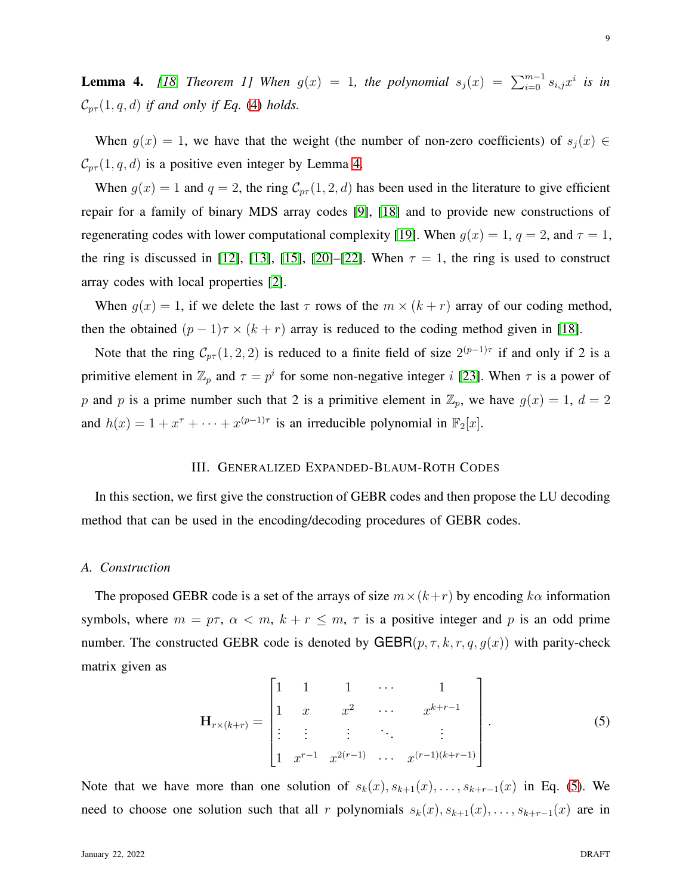<span id="page-8-1"></span>**Lemma 4.** [\[18,](#page-42-6) Theorem 1] When  $g(x) = 1$ , the polynomial  $s_j(x) = \sum_{i=0}^{m-1} s_{i,j} x^i$  is in  $\mathcal{C}_{p\tau}(1,q,d)$  *if and only if Eq.* [\(4\)](#page-7-0) *holds.* 

When  $g(x) = 1$ , we have that the weight (the number of non-zero coefficients) of  $s_i(x) \in$  $\mathcal{C}_{p\tau}(1,q,d)$  is a positive even integer by Lemma [4.](#page-8-1)

When  $g(x) = 1$  and  $q = 2$ , the ring  $C_{p\tau}(1, 2, d)$  has been used in the literature to give efficient repair for a family of binary MDS array codes [\[9\]](#page-41-8), [\[18\]](#page-42-6) and to provide new constructions of regenerating codes with lower computational complexity [\[19\]](#page-42-7). When  $g(x) = 1$ ,  $q = 2$ , and  $\tau = 1$ , the ring is discussed in [\[12\]](#page-42-0), [\[13\]](#page-42-1), [\[15\]](#page-42-3), [\[20\]](#page-42-8)–[\[22\]](#page-42-9). When  $\tau = 1$ , the ring is used to construct array codes with local properties [\[2\]](#page-41-0).

When  $g(x) = 1$ , if we delete the last  $\tau$  rows of the  $m \times (k + r)$  array of our coding method, then the obtained  $(p-1)\tau \times (k+r)$  array is reduced to the coding method given in [\[18\]](#page-42-6).

Note that the ring  $C_{p\tau}(1,2,2)$  is reduced to a finite field of size  $2^{(p-1)\tau}$  if and only if 2 is a primitive element in  $\mathbb{Z}_p$  and  $\tau = p^i$  for some non-negative integer i [\[23\]](#page-42-10). When  $\tau$  is a power of p and p is a prime number such that 2 is a primitive element in  $\mathbb{Z}_p$ , we have  $g(x) = 1$ ,  $d = 2$ and  $h(x) = 1 + x^{\tau} + \cdots + x^{(p-1)\tau}$  is an irreducible polynomial in  $\mathbb{F}_2[x]$ .

#### III. GENERALIZED EXPANDED-BLAUM-ROTH CODES

<span id="page-8-0"></span>In this section, we first give the construction of GEBR codes and then propose the LU decoding method that can be used in the encoding/decoding procedures of GEBR codes.

## *A. Construction*

The proposed GEBR code is a set of the arrays of size  $m \times (k+r)$  by encoding k $\alpha$  information symbols, where  $m = p\tau$ ,  $\alpha < m$ ,  $k + r \leq m$ ,  $\tau$  is a positive integer and p is an odd prime number. The constructed GEBR code is denoted by GEBR $(p, \tau, k, r, q, g(x))$  with parity-check matrix given as

<span id="page-8-2"></span>
$$
\mathbf{H}_{r \times (k+r)} = \begin{bmatrix} 1 & 1 & 1 & \cdots & 1 \\ 1 & x & x^2 & \cdots & x^{k+r-1} \\ \vdots & \vdots & \vdots & \ddots & \vdots \\ 1 & x^{r-1} & x^{2(r-1)} & \cdots & x^{(r-1)(k+r-1)} \end{bmatrix} .
$$
 (5)

Note that we have more than one solution of  $s_k(x), s_{k+1}(x), \ldots, s_{k+r-1}(x)$  in Eq. [\(5\)](#page-8-2). We need to choose one solution such that all r polynomials  $s_k(x), s_{k+1}(x), \ldots, s_{k+r-1}(x)$  are in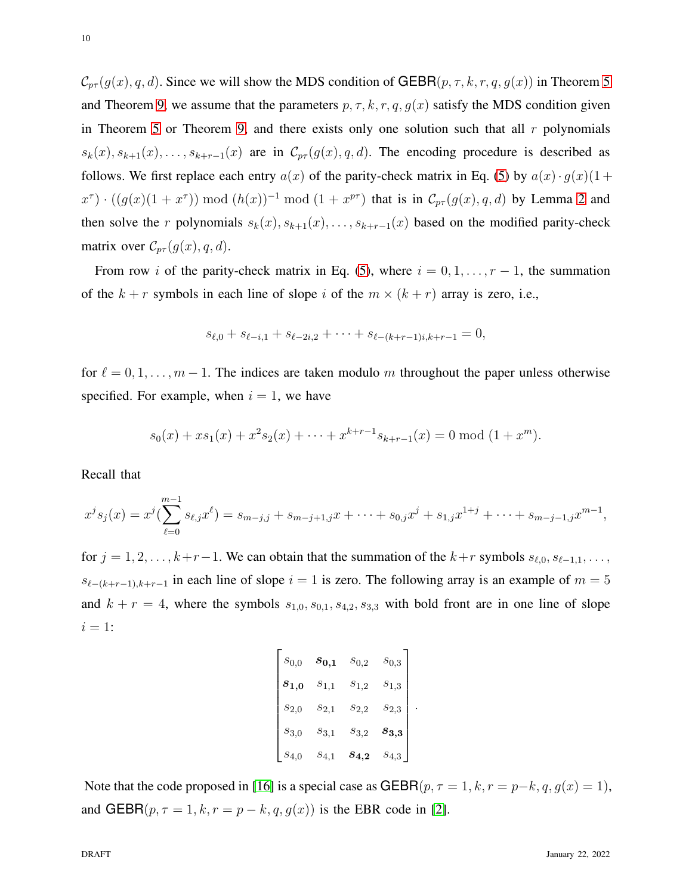$C_{p\tau}(g(x), q, d)$ . Since we will show the MDS condition of GEBR $(p, \tau, k, r, q, g(x))$  in Theorem [5](#page-10-0) and Theorem [9,](#page-13-0) we assume that the parameters  $p, \tau, k, r, q, g(x)$  satisfy the MDS condition given in Theorem [5](#page-10-0) or Theorem [9,](#page-13-0) and there exists only one solution such that all  $r$  polynomials  $s_k(x), s_{k+1}(x), \ldots, s_{k+r-1}(x)$  are in  $\mathcal{C}_{pr}(g(x), q, d)$ . The encoding procedure is described as follows. We first replace each entry  $a(x)$  of the parity-check matrix in Eq. [\(5\)](#page-8-2) by  $a(x) \cdot g(x)(1 +$  $x^{\tau}$ ) ·  $((g(x)(1+x^{\tau})) \mod (h(x))^{-1} \mod (1+x^{p\tau})$  that is in  $\mathcal{C}_{p\tau}(g(x), q, d)$  by Lemma [2](#page-7-1) and then solve the r polynomials  $s_k(x), s_{k+1}(x), \ldots, s_{k+r-1}(x)$  based on the modified parity-check matrix over  $C_{p\tau}(g(x), q, d)$ .

From row i of the parity-check matrix in Eq. [\(5\)](#page-8-2), where  $i = 0, 1, \ldots, r - 1$ , the summation of the  $k + r$  symbols in each line of slope i of the  $m \times (k + r)$  array is zero, i.e.,

$$
s_{\ell,0} + s_{\ell-i,1} + s_{\ell-2i,2} + \cdots + s_{\ell-(k+r-1)i,k+r-1} = 0,
$$

for  $\ell = 0, 1, \ldots, m - 1$ . The indices are taken modulo m throughout the paper unless otherwise specified. For example, when  $i = 1$ , we have

$$
s_0(x) + xs_1(x) + x^2s_2(x) + \cdots + x^{k+r-1}s_{k+r-1}(x) = 0 \mod (1+x^m).
$$

Recall that

$$
x^{j}s_{j}(x) = x^{j}(\sum_{\ell=0}^{m-1} s_{\ell,j}x^{\ell}) = s_{m-j,j} + s_{m-j+1,j}x + \cdots + s_{0,j}x^{j} + s_{1,j}x^{1+j} + \cdots + s_{m-j-1,j}x^{m-1},
$$

for  $j = 1, 2, \ldots, k+r-1$ . We can obtain that the summation of the  $k+r$  symbols  $s_{\ell,0}, s_{\ell-1,1}, \ldots$  $s_{\ell-(k+r-1),k+r-1}$  in each line of slope  $i=1$  is zero. The following array is an example of  $m=5$ and  $k + r = 4$ , where the symbols  $s_{1,0}, s_{0,1}, s_{4,2}, s_{3,3}$  with bold front are in one line of slope  $i = 1$ :

$$
\begin{bmatrix}\ns_{0,0} & \mathbf{s}_{0,1} & s_{0,2} & s_{0,3} \\
\mathbf{s}_{1,0} & s_{1,1} & s_{1,2} & s_{1,3} \\
s_{2,0} & s_{2,1} & s_{2,2} & s_{2,3} \\
s_{3,0} & s_{3,1} & s_{3,2} & \mathbf{s}_{3,3} \\
s_{4,0} & s_{4,1} & \mathbf{s}_{4,2} & s_{4,3}\n\end{bmatrix}
$$

.

Note that the code proposed in [\[16\]](#page-42-4) is a special case as GEBR( $p, \tau = 1, k, r = p-k, q, g(x) = 1$ ), and GEBR( $p, \tau = 1, k, r = p - k, q, g(x)$ ) is the EBR code in [\[2\]](#page-41-0).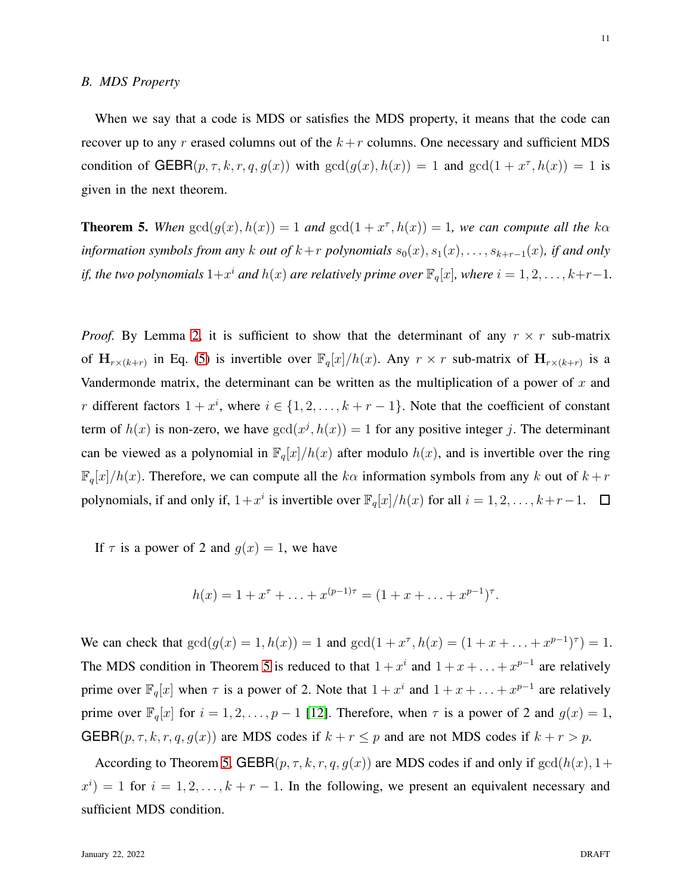When we say that a code is MDS or satisfies the MDS property, it means that the code can recover up to any r erased columns out of the  $k+r$  columns. One necessary and sufficient MDS condition of  $GEBR(p, \tau, k, r, q, g(x))$  with  $gcd(g(x), h(x)) = 1$  and  $gcd(1 + x^{\tau}, h(x)) = 1$  is given in the next theorem.

<span id="page-10-0"></span>**Theorem 5.** When  $gcd(g(x), h(x)) = 1$  and  $gcd(1 + x^{\tau}, h(x)) = 1$ , we can compute all the  $k\alpha$ *information symbols from any* k *out of*  $k+r$  *polynomials*  $s_0(x), s_1(x), \ldots, s_{k+r-1}(x)$ *, if and only if, the two polynomials*  $1+x^i$  *and*  $h(x)$  *are relatively prime over*  $\mathbb{F}_q[x]$ *, where*  $i = 1, 2, \ldots, k+r-1$ *.* 

*Proof.* By Lemma [2,](#page-7-1) it is sufficient to show that the determinant of any  $r \times r$  sub-matrix of  $H_{r\times (k+r)}$  in Eq. [\(5\)](#page-8-2) is invertible over  $\mathbb{F}_q[x]/h(x)$ . Any  $r \times r$  sub-matrix of  $H_{r\times (k+r)}$  is a Vandermonde matrix, the determinant can be written as the multiplication of a power of  $x$  and r different factors  $1 + x^i$ , where  $i \in \{1, 2, ..., k + r - 1\}$ . Note that the coefficient of constant term of  $h(x)$  is non-zero, we have  $gcd(x^j, h(x)) = 1$  for any positive integer j. The determinant can be viewed as a polynomial in  $\mathbb{F}_q[x]/h(x)$  after modulo  $h(x)$ , and is invertible over the ring  $\mathbb{F}_q[x]/h(x)$ . Therefore, we can compute all the  $k\alpha$  information symbols from any k out of  $k+r$ polynomials, if and only if,  $1+x^i$  is invertible over  $\mathbb{F}_q[x]/h(x)$  for all  $i=1,2,\ldots,k+r-1$ .

If  $\tau$  is a power of 2 and  $q(x) = 1$ , we have

$$
h(x) = 1 + x^{\tau} + \ldots + x^{(p-1)\tau} = (1 + x + \ldots + x^{p-1})^{\tau}.
$$

We can check that  $gcd(g(x) = 1, h(x)) = 1$  and  $gcd(1 + x^{\tau}, h(x) = (1 + x + ... + x^{p-1})^{\tau}) = 1$ . The MDS condition in Theorem [5](#page-10-0) is reduced to that  $1 + x^i$  and  $1 + x + \ldots + x^{p-1}$  are relatively prime over  $\mathbb{F}_q[x]$  when  $\tau$  is a power of 2. Note that  $1 + x^i$  and  $1 + x + \ldots + x^{p-1}$  are relatively prime over  $\mathbb{F}_q[x]$  for  $i = 1, 2, \ldots, p - 1$  [\[12\]](#page-42-0). Therefore, when  $\tau$  is a power of 2 and  $g(x) = 1$ , GEBR( $p, \tau, k, r, q, g(x)$ ) are MDS codes if  $k + r \leq p$  and are not MDS codes if  $k + r > p$ .

According to Theorem [5,](#page-10-0) GEBR $(p, \tau, k, r, q, g(x))$  are MDS codes if and only if  $gcd(h(x), 1+$  $x^{i}$  = 1 for  $i = 1, 2, ..., k + r - 1$ . In the following, we present an equivalent necessary and sufficient MDS condition.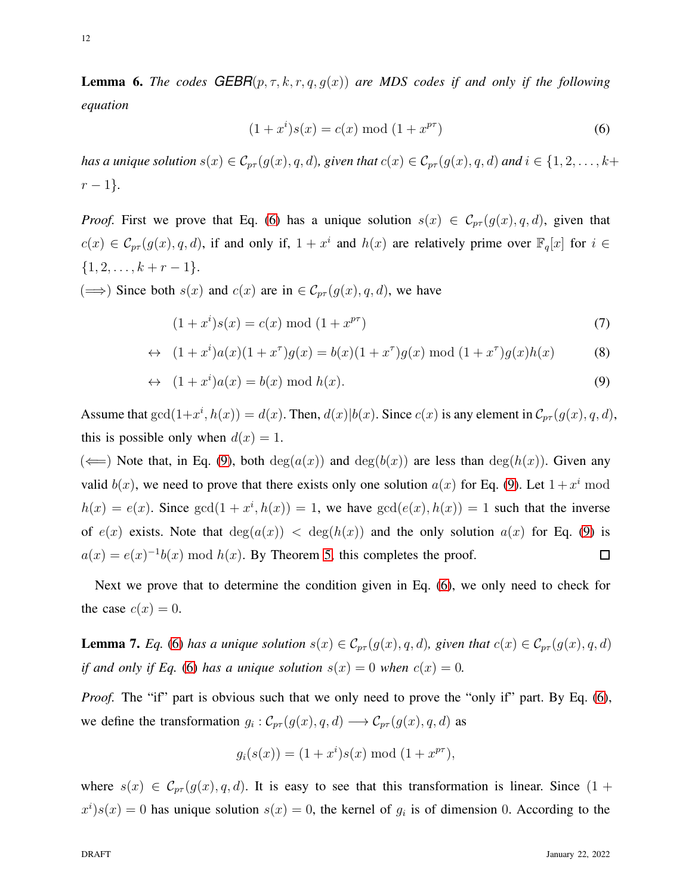**Lemma 6.** *The codes*  $GEBR(p, \tau, k, r, q, g(x))$  *are MDS codes if and only if the following equation*

<span id="page-11-0"></span>
$$
(1+x^i)s(x) = c(x) \bmod (1+x^{p\tau})
$$
 (6)

*has a unique solution*  $s(x) \in \mathcal{C}_{pr}(g(x), q, d)$ *, given that*  $c(x) \in \mathcal{C}_{pr}(g(x), q, d)$  *and*  $i \in \{1, 2, ..., k+\}$  $r - 1$ *}*.

*Proof.* First we prove that Eq. [\(6\)](#page-11-0) has a unique solution  $s(x) \in C_{p\tau}(g(x), q, d)$ , given that  $c(x) \in \mathcal{C}_{pr}(g(x), q, d)$ , if and only if,  $1 + x^i$  and  $h(x)$  are relatively prime over  $\mathbb{F}_q[x]$  for  $i \in$  $\{1, 2, \ldots, k + r - 1\}.$ 

( $\implies$ ) Since both *s*(*x*) and *c*(*x*) are in ∈  $\mathcal{C}_{p\tau}(g(x), q, d)$ , we have

<span id="page-11-1"></span>
$$
(1+x^i)s(x) = c(x) \bmod (1+x^{p\tau})
$$
\n(7)

$$
\leftrightarrow (1+x^i)a(x)(1+x^{\tau})g(x) = b(x)(1+x^{\tau})g(x) \bmod (1+x^{\tau})g(x)h(x) \tag{8}
$$

$$
\leftrightarrow (1+x^i)a(x) = b(x) \bmod h(x). \tag{9}
$$

Assume that  $gcd(1+x^i, h(x)) = d(x)$ . Then,  $d(x)|b(x)$ . Since  $c(x)$  is any element in  $\mathcal{C}_{pr}(g(x), q, d)$ , this is possible only when  $d(x) = 1$ .

( $\Longleftarrow$ ) Note that, in Eq. [\(9\)](#page-11-1), both deg( $a(x)$ ) and deg( $b(x)$ ) are less than deg( $h(x)$ ). Given any valid  $b(x)$ , we need to prove that there exists only one solution  $a(x)$  for Eq. [\(9\)](#page-11-1). Let  $1 + x^i$  mod  $h(x) = e(x)$ . Since  $gcd(1 + x^i, h(x)) = 1$ , we have  $gcd(e(x), h(x)) = 1$  such that the inverse of  $e(x)$  exists. Note that  $deg(a(x)) < deg(h(x))$  and the only solution  $a(x)$  for Eq. [\(9\)](#page-11-1) is  $a(x) = e(x)^{-1}b(x)$  mod  $h(x)$ . By Theorem [5,](#page-10-0) this completes the proof.  $\Box$ 

Next we prove that to determine the condition given in Eq. [\(6\)](#page-11-0), we only need to check for the case  $c(x) = 0$ .

<span id="page-11-2"></span>**Lemma 7.** *Eq.* [\(6\)](#page-11-0) *has a unique solution*  $s(x) \in C_{pr}(g(x), q, d)$ *, given that*  $c(x) \in C_{pr}(g(x), q, d)$ *if and only if Eq.* [\(6\)](#page-11-0) *has a unique solution*  $s(x) = 0$  *when*  $c(x) = 0$ *.* 

*Proof.* The "if" part is obvious such that we only need to prove the "only if" part. By Eq. [\(6\)](#page-11-0), we define the transformation  $g_i : \mathcal{C}_{pr}(g(x), q, d) \longrightarrow \mathcal{C}_{pr}(g(x), q, d)$  as

$$
g_i(s(x)) = (1 + x^i)s(x) \bmod (1 + x^{p\tau}),
$$

where  $s(x) \in \mathcal{C}_{pr}(g(x), q, d)$ . It is easy to see that this transformation is linear. Since  $(1 +$  $x^{i}$ ) $s(x) = 0$  has unique solution  $s(x) = 0$ , the kernel of  $g_{i}$  is of dimension 0. According to the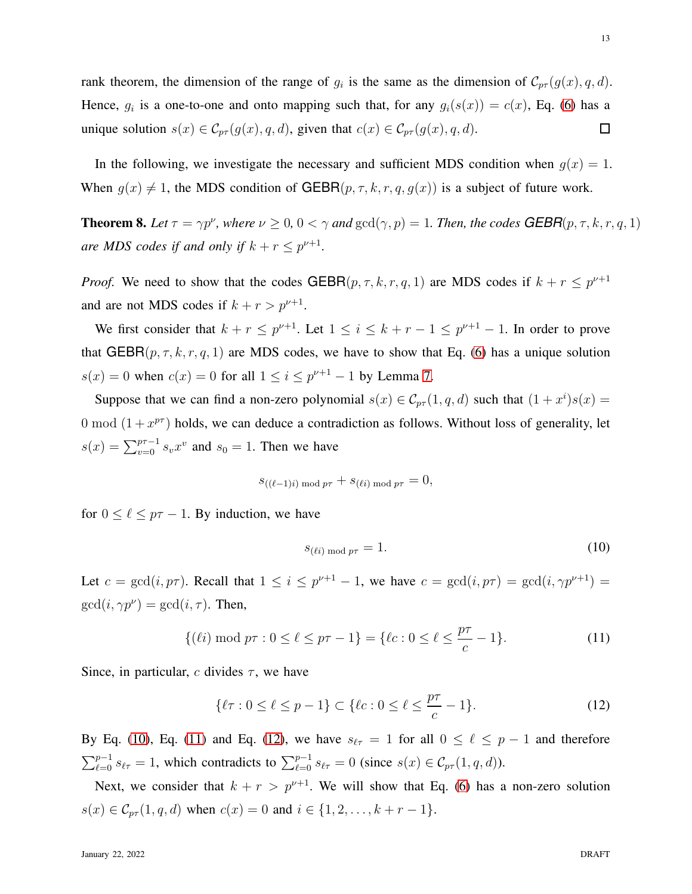rank theorem, the dimension of the range of  $g_i$  is the same as the dimension of  $\mathcal{C}_{pr}(g(x), q, d)$ . Hence,  $g_i$  is a one-to-one and onto mapping such that, for any  $g_i(s(x)) = c(x)$ , Eq. [\(6\)](#page-11-0) has a unique solution  $s(x) \in \mathcal{C}_{pr}(g(x), q, d)$ , given that  $c(x) \in \mathcal{C}_{pr}(g(x), q, d)$ .  $\Box$ 

In the following, we investigate the necessary and sufficient MDS condition when  $g(x) = 1$ . When  $g(x) \neq 1$ , the MDS condition of GEBR( $p, \tau, k, r, q, g(x)$ ) is a subject of future work.

<span id="page-12-3"></span>**Theorem 8.** Let  $\tau = \gamma p^{\nu}$ , where  $\nu \ge 0$ ,  $0 < \gamma$  and  $gcd(\gamma, p) = 1$ . Then, the codes **GEBR** $(p, \tau, k, r, q, 1)$ *are MDS codes if and only if*  $k + r \leq p^{\nu+1}$ *.* 

*Proof.* We need to show that the codes  $GEBR(p, \tau, k, r, q, 1)$  are MDS codes if  $k + r \leq p^{\nu+1}$ and are not MDS codes if  $k + r > p^{\nu+1}$ .

We first consider that  $k + r \leq p^{\nu+1}$ . Let  $1 \leq i \leq k + r - 1 \leq p^{\nu+1} - 1$ . In order to prove that  $GEBR(p, \tau, k, r, q, 1)$  are MDS codes, we have to show that Eq. [\(6\)](#page-11-0) has a unique solution  $s(x) = 0$  when  $c(x) = 0$  for all  $1 \le i \le p^{\nu+1} - 1$  by Lemma [7.](#page-11-2)

Suppose that we can find a non-zero polynomial  $s(x) \in C_{pr}(1,q,d)$  such that  $(1+x^i)s(x) =$ 0 mod  $(1 + x^{p\tau})$  holds, we can deduce a contradiction as follows. Without loss of generality, let  $s(x) = \sum_{v=0}^{p\tau-1} s_v x^v$  and  $s_0 = 1$ . Then we have

$$
s_{((\ell-1)i) \bmod p\tau} + s_{(\ell i) \bmod p\tau} = 0,
$$

for  $0 \leq \ell \leq p\tau - 1$ . By induction, we have

<span id="page-12-0"></span>
$$
s_{(\ell i) \bmod p\tau} = 1. \tag{10}
$$

Let  $c = \gcd(i, p\tau)$ . Recall that  $1 \leq i \leq p^{\nu+1} - 1$ , we have  $c = \gcd(i, p\tau) = \gcd(i, \gamma p^{\nu+1}) =$  $gcd(i, \gamma p^{\nu}) = gcd(i, \tau)$ . Then,

<span id="page-12-1"></span>
$$
\{(\ell i) \bmod p\tau : 0 \le \ell \le p\tau - 1\} = \{\ell c : 0 \le \ell \le \frac{p\tau}{c} - 1\}.
$$
 (11)

Since, in particular, c divides  $\tau$ , we have

<span id="page-12-2"></span>
$$
\{\ell \tau : 0 \le \ell \le p - 1\} \subset \{\ell c : 0 \le \ell \le \frac{p\tau}{c} - 1\}.
$$
 (12)

By Eq. [\(10\)](#page-12-0), Eq. [\(11\)](#page-12-1) and Eq. [\(12\)](#page-12-2), we have  $s_{\ell\tau} = 1$  for all  $0 \leq \ell \leq p-1$  and therefore  $\sum_{\ell=0}^{p-1} s_{\ell\tau} = 1$ , which contradicts to  $\sum_{\ell=0}^{p-1} s_{\ell\tau} = 0$  (since  $s(x) \in C_{p\tau}(1, q, d)$ ).

Next, we consider that  $k + r > p^{\nu+1}$ . We will show that Eq. [\(6\)](#page-11-0) has a non-zero solution  $s(x) \in \mathcal{C}_{pr}(1, q, d)$  when  $c(x) = 0$  and  $i \in \{1, 2, ..., k + r - 1\}.$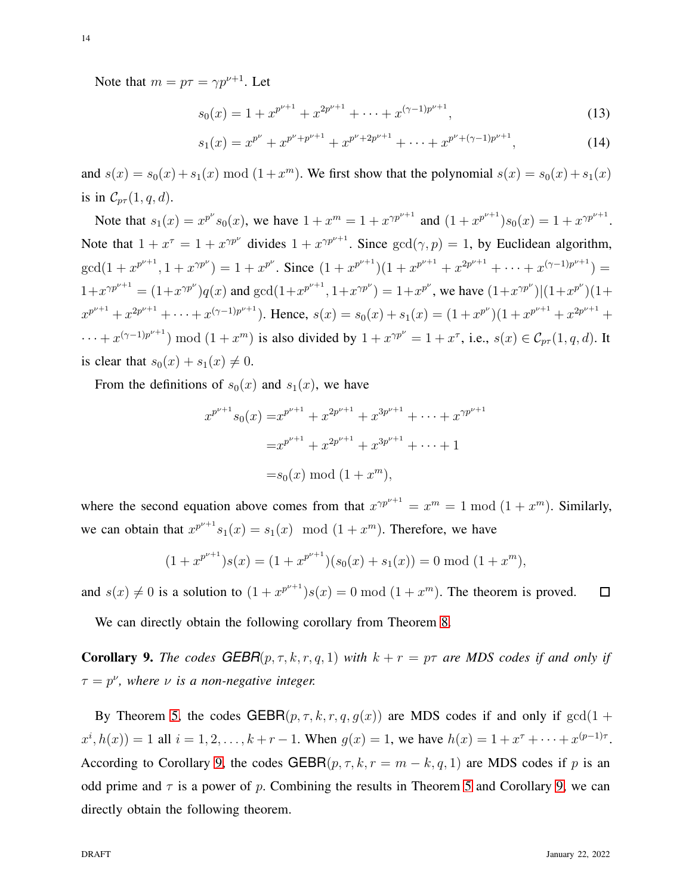$$
s_0(x) = 1 + x^{p^{\nu+1}} + x^{2p^{\nu+1}} + \dots + x^{(\gamma-1)p^{\nu+1}},
$$
\n(13)

$$
s_1(x) = x^{p^{\nu}} + x^{p^{\nu} + p^{\nu+1}} + x^{p^{\nu} + 2p^{\nu+1}} + \dots + x^{p^{\nu} + (\gamma - 1)p^{\nu+1}},
$$
\n(14)

and  $s(x) = s_0(x) + s_1(x) \mod (1 + x^m)$ . We first show that the polynomial  $s(x) = s_0(x) + s_1(x)$ is in  $\mathcal{C}_{p\tau}(1,q,d)$ .

Note that  $s_1(x) = x^{p^{\nu}} s_0(x)$ , we have  $1 + x^m = 1 + x^{\gamma p^{\nu+1}}$  and  $(1 + x^{p^{\nu+1}}) s_0(x) = 1 + x^{\gamma p^{\nu+1}}$ . Note that  $1 + x^{\tau} = 1 + x^{\gamma p^{\nu}}$  divides  $1 + x^{\gamma p^{\nu+1}}$ . Since  $gcd(\gamma, p) = 1$ , by Euclidean algorithm,  $gcd(1+x^{p^{\nu+1}}, 1+x^{\gamma p^{\nu}}) = 1+x^{p^{\nu}}.$  Since  $(1+x^{p^{\nu+1}})(1+x^{p^{\nu+1}}+x^{2p^{\nu+1}}+\cdots+x^{(\gamma-1)p^{\nu+1}}) =$  $1+x^{\gamma p^{\nu+1}} = (1+x^{\gamma p^{\nu}})q(x)$  and  $gcd(1+x^{p^{\nu+1}}, 1+x^{\gamma p^{\nu}}) = 1+x^{p^{\nu}}$ , we have  $(1+x^{\gamma p^{\nu}})|(1+x^{p^{\nu}})(1+x^{\gamma p^{\nu}})$  $x^{p^{\nu+1}} + x^{2p^{\nu+1}} + \cdots + x^{(\gamma-1)p^{\nu+1}}$ ). Hence,  $s(x) = s_0(x) + s_1(x) = (1 + x^{p^{\nu}})(1 + x^{p^{\nu+1}} + x^{2p^{\nu+1}} +$  $\cdots + x^{(\gamma-1)p^{\nu+1}}$  mod  $(1+x^m)$  is also divided by  $1+x^{\gamma p^{\nu}} = 1+x^{\tau}$ , i.e.,  $s(x) \in \mathcal{C}_{p\tau}(1,q,d)$ . It is clear that  $s_0(x) + s_1(x) \neq 0$ .

From the definitions of  $s_0(x)$  and  $s_1(x)$ , we have

$$
x^{p^{\nu+1}} s_0(x) = x^{p^{\nu+1}} + x^{2p^{\nu+1}} + x^{3p^{\nu+1}} + \dots + x^{2p^{\nu+1}}
$$
  
=  $x^{p^{\nu+1}} + x^{2p^{\nu+1}} + x^{3p^{\nu+1}} + \dots + 1$   
=  $s_0(x) \mod (1 + x^m)$ ,

where the second equation above comes from that  $x^{\gamma p^{\nu+1}} = x^m = 1 \bmod (1 + x^m)$ . Similarly, we can obtain that  $x^{p^{\nu+1}}s_1(x) = s_1(x) \mod (1 + x^m)$ . Therefore, we have

$$
(1+x^{p^{\nu+1}})s(x) = (1+x^{p^{\nu+1}})(s_0(x) + s_1(x)) = 0 \mod (1+x^m),
$$

and  $s(x) \neq 0$  is a solution to  $(1 + x^{p^{\nu+1}})s(x) = 0 \mod (1 + x^m)$ . The theorem is proved.  $\Box$ 

We can directly obtain the following corollary from Theorem [8.](#page-12-3)

<span id="page-13-0"></span>**Corollary 9.** *The codes*  $GEBR(p, \tau, k, r, q, 1)$  *with*  $k + r = p\tau$  *are MDS codes if and only if*  $\tau = p^{\nu}$ , where  $\nu$  *is a non-negative integer.* 

By Theorem [5,](#page-10-0) the codes GEBR $(p, \tau, k, r, q, g(x))$  are MDS codes if and only if  $gcd(1 +$  $x^{i}, h(x)$  = 1 all  $i = 1, 2, ..., k + r - 1$ . When  $g(x) = 1$ , we have  $h(x) = 1 + x^{\tau} + ... + x^{(p-1)\tau}$ . According to Corollary [9,](#page-13-0) the codes GEBR $(p, \tau, k, r = m - k, q, 1)$  are MDS codes if p is an odd prime and  $\tau$  is a power of p. Combining the results in Theorem [5](#page-10-0) and Corollary [9,](#page-13-0) we can directly obtain the following theorem.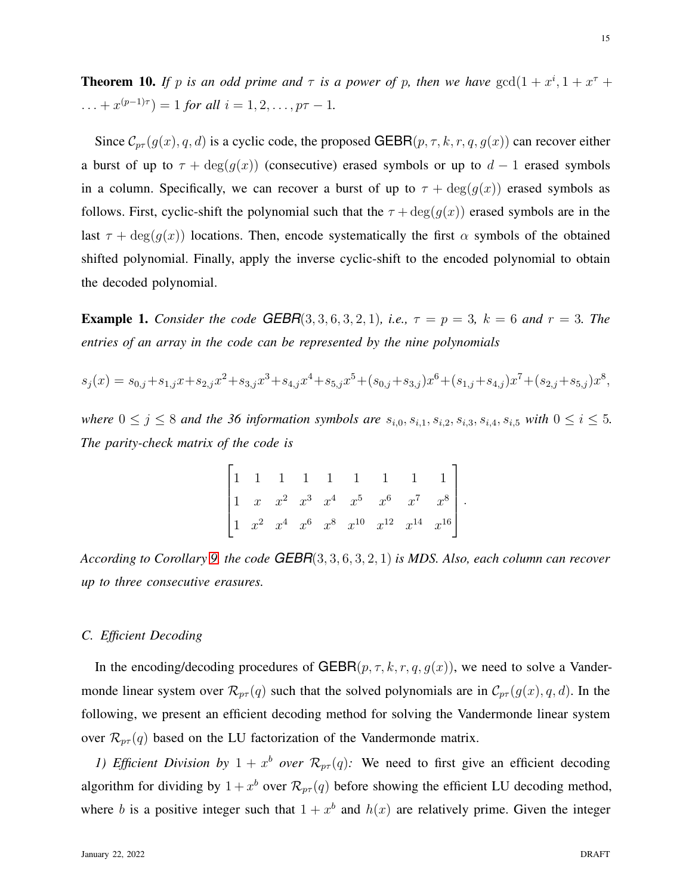**Theorem 10.** If p is an odd prime and  $\tau$  is a power of p, then we have  $gcd(1 + x^i, 1 + x^{\tau} + x^{\tau})$  $\dots + x^{(p-1)\tau}$  = 1 *for all*  $i = 1, 2, \dots, p\tau - 1$ *.* 

Since  $\mathcal{C}_{pr}(g(x), q, d)$  is a cyclic code, the proposed GEBR $(p, \tau, k, r, q, g(x))$  can recover either a burst of up to  $\tau + \deg(g(x))$  (consecutive) erased symbols or up to  $d - 1$  erased symbols in a column. Specifically, we can recover a burst of up to  $\tau + \deg(g(x))$  erased symbols as follows. First, cyclic-shift the polynomial such that the  $\tau + \deg(g(x))$  erased symbols are in the last  $\tau + \deg(g(x))$  locations. Then, encode systematically the first  $\alpha$  symbols of the obtained shifted polynomial. Finally, apply the inverse cyclic-shift to the encoded polynomial to obtain the decoded polynomial.

<span id="page-14-0"></span>**Example 1.** *Consider the code* **GEBR**(3, 3, 6, 3, 2, 1)*, i.e.,*  $\tau = p = 3$ *,*  $k = 6$  *and*  $r = 3$ *. The entries of an array in the code can be represented by the nine polynomials*

$$
s_j(x) = s_{0,j} + s_{1,j}x + s_{2,j}x^2 + s_{3,j}x^3 + s_{4,j}x^4 + s_{5,j}x^5 + (s_{0,j} + s_{3,j})x^6 + (s_{1,j} + s_{4,j})x^7 + (s_{2,j} + s_{5,j})x^8,
$$

*where*  $0 \le j \le 8$  *and the 36 information symbols are*  $s_{i,0}, s_{i,1}, s_{i,2}, s_{i,3}, s_{i,4}, s_{i,5}$  *with*  $0 \le i \le 5$ *. The parity-check matrix of the code is*

$$
\begin{bmatrix} 1 & 1 & 1 & 1 & 1 & 1 & 1 & 1 & 1 \\ 1 & x & x^2 & x^3 & x^4 & x^5 & x^6 & x^7 & x^8 \\ 1 & x^2 & x^4 & x^6 & x^8 & x^{10} & x^{12} & x^{14} & x^{16} \end{bmatrix}.
$$

*According to Corollary [9,](#page-13-0) the code GEBR*(3, 3, 6, 3, 2, 1) *is MDS. Also, each column can recover up to three consecutive erasures.*

## *C. Efficient Decoding*

In the encoding/decoding procedures of GEBR $(p, \tau, k, r, q, g(x))$ , we need to solve a Vandermonde linear system over  $\mathcal{R}_{pr}(q)$  such that the solved polynomials are in  $\mathcal{C}_{pr}(g(x), q, d)$ . In the following, we present an efficient decoding method for solving the Vandermonde linear system over  $\mathcal{R}_{pr}(q)$  based on the LU factorization of the Vandermonde matrix.

*1) Efficient Division by*  $1 + x^b$  *over*  $\mathcal{R}_{pr}(q)$ : We need to first give an efficient decoding algorithm for dividing by  $1+x^b$  over  $\mathcal{R}_{p\tau}(q)$  before showing the efficient LU decoding method, where b is a positive integer such that  $1 + x^b$  and  $h(x)$  are relatively prime. Given the integer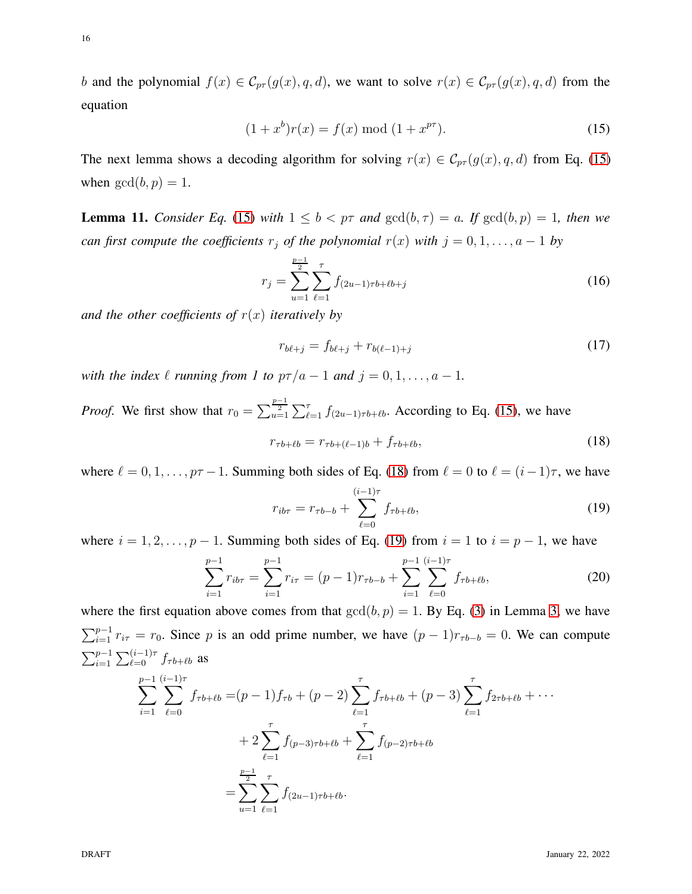b and the polynomial  $f(x) \in \mathcal{C}_{pr}(g(x), q, d)$ , we want to solve  $r(x) \in \mathcal{C}_{pr}(g(x), q, d)$  from the equation

<span id="page-15-0"></span>
$$
(1+x^b)r(x) = f(x) \bmod (1+x^{p\tau}).
$$
 (15)

The next lemma shows a decoding algorithm for solving  $r(x) \in \mathcal{C}_{pr}(g(x), q, d)$  from Eq. [\(15\)](#page-15-0) when  $gcd(b, p) = 1$ .

**Lemma 11.** *Consider Eq.* [\(15\)](#page-15-0) *with*  $1 \leq b < p\tau$  *and*  $gcd(b, \tau) = a$ *. If*  $gcd(b, p) = 1$ *, then we can first compute the coefficients*  $r_j$  *of the polynomial*  $r(x)$  *with*  $j = 0, 1, \ldots, a - 1$  *by* 

<span id="page-15-3"></span>
$$
r_j = \sum_{u=1}^{\frac{p-1}{2}} \sum_{\ell=1}^{\tau} f_{(2u-1)\tau b + \ell b + j}
$$
 (16)

*and the other coefficients of*  $r(x)$  *iteratively by* 

<span id="page-15-4"></span>
$$
r_{b\ell+j} = f_{b\ell+j} + r_{b(\ell-1)+j} \tag{17}
$$

*with the index*  $\ell$  *running from 1 to*  $p\tau/a - 1$  *and*  $j = 0, 1, \ldots, a - 1$ *.* 

 $_{\ell=1}$ 

 $\sum^{\tau}$ 

 $f_{(2u-1)\tau b+\ell b}$ 

 $_{\ell=1}$ 

=  $\frac{p-1}{2}$ 

 $u=1$ 

*Proof.* We first show that  $r_0 = \sum_{u=1}^{\frac{p-1}{2}} \sum_{\ell=1}^{\tau} f_{(2u-1)\tau b + \ell b}$ . According to Eq. [\(15\)](#page-15-0), we have

<span id="page-15-1"></span>
$$
r_{\tau b + \ell b} = r_{\tau b + (\ell - 1)b} + f_{\tau b + \ell b},\tag{18}
$$

where  $\ell = 0, 1, \ldots, p\tau - 1$ . Summing both sides of Eq. [\(18\)](#page-15-1) from  $\ell = 0$  to  $\ell = (i-1)\tau$ , we have

<span id="page-15-2"></span>
$$
r_{ib\tau} = r_{\tau b - b} + \sum_{\ell=0}^{(i-1)\tau} f_{\tau b + \ell b},
$$
\n(19)

where  $i = 1, 2, \ldots, p - 1$ . Summing both sides of Eq. [\(19\)](#page-15-2) from  $i = 1$  to  $i = p - 1$ , we have

$$
\sum_{i=1}^{p-1} r_{ib\tau} = \sum_{i=1}^{p-1} r_{i\tau} = (p-1)r_{\tau b-b} + \sum_{i=1}^{p-1} \sum_{\ell=0}^{(i-1)\tau} f_{\tau b+\ell b},
$$
(20)

where the first equation above comes from that  $gcd(b, p) = 1$ . By Eq. [\(3\)](#page-7-0) in Lemma [3,](#page-7-0) we have  $\sum_{i=1}^{p-1} r_{i\tau} = r_0$ . Since p is an odd prime number, we have  $(p-1)r_{\tau b-b} = 0$ . We can compute  $\sum_{i=1}^{p-1} \sum_{\ell=0}^{(i-1)\tau} f_{\tau b+\ell b}$  as  $\sum$  $p-1$  $i=1$  $\sum^{(i-1)\tau}$  $_{\ell=0}$  $f_{\tau b+\ell b} = (p-1)f_{\tau b} + (p-2)\sum_{i=1}^{T}$  $_{\ell=1}$  $f_{\tau b+\ell b} + (p-3)\sum_{ }^{\tau}$  $_{\ell=1}$  $f_{2\tau b+\ell b} + \cdots$  $+ 2\sum_{r=1}^{t} f_{(p-3)\tau b + \ell b} + \sum_{r=1}^{t} f_{(p-2)\tau b + \ell b}$ 

 $_{\ell=1}$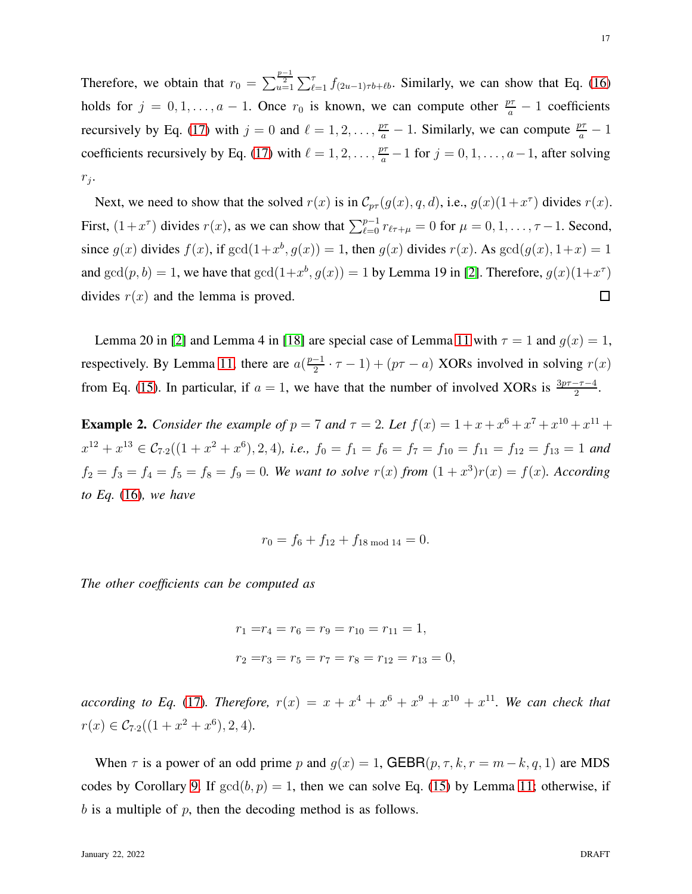Therefore, we obtain that  $r_0 = \sum_{u=1}^{\frac{p-1}{2}} \sum_{\ell=1}^{\tau} f_{(2u-1)\tau b + \ell b}$ . Similarly, we can show that Eq. [\(16\)](#page-15-3) holds for  $j = 0, 1, ..., a - 1$ . Once  $r_0$  is known, we can compute other  $\frac{p\tau}{a} - 1$  coefficients recursively by Eq. [\(17\)](#page-15-4) with  $j = 0$  and  $\ell = 1, 2, \ldots, \frac{p\tau}{a} - 1$ . Similarly, we can compute  $\frac{p\tau}{a} - 1$ coefficients recursively by Eq. [\(17\)](#page-15-4) with  $\ell = 1, 2, \ldots, \frac{p\tau}{a} - 1$  for  $j = 0, 1, \ldots, a - 1$ , after solving  $r_j$ .

Next, we need to show that the solved  $r(x)$  is in  $\mathcal{C}_{pr}(g(x), q, d)$ , i.e.,  $g(x)(1+x^{\tau})$  divides  $r(x)$ . First,  $(1+x^{\tau})$  divides  $r(x)$ , as we can show that  $\sum_{\ell=0}^{p-1} r_{\ell+\mu} = 0$  for  $\mu = 0, 1, \ldots, \tau-1$ . Second, since  $g(x)$  divides  $f(x)$ , if  $gcd(1+x^b, g(x)) = 1$ , then  $g(x)$  divides  $r(x)$ . As  $gcd(g(x), 1+x) = 1$ and  $gcd(p, b) = 1$ , we have that  $gcd(1+x^b, g(x)) = 1$  by Lemma 19 in [\[2\]](#page-41-0). Therefore,  $g(x)(1+x^{\tau})$ divides  $r(x)$  and the lemma is proved.  $\Box$ 

Lemma 20 in [\[2\]](#page-41-0) and Lemma 4 in [\[18\]](#page-42-6) are special case of Lemma [11](#page-15-4) with  $\tau = 1$  and  $g(x) = 1$ , respectively. By Lemma [11,](#page-15-4) there are  $a(\frac{p-1}{2})$  $\frac{-1}{2} \cdot \tau - 1$ ) + ( $p\tau - a$ ) XORs involved in solving  $r(x)$ from Eq. [\(15\)](#page-15-0). In particular, if  $a = 1$ , we have that the number of involved XORs is  $\frac{3p\tau - \tau - 4}{2}$ .

**Example 2.** Consider the example of  $p = 7$  and  $\tau = 2$ . Let  $f(x) = 1 + x + x^6 + x^7 + x^{10} + x^{11} + x^{10} + x^{11} + x^{11} + x^{10} + x^{11} + x^{11} + x^{10} + x^{11} + x^{10} + x^{11} + x^{10} + x^{11} + x^{10} + x^{11} + x^{10} + x^{11} + x^{10} + x^{11} + x^{10} + x^{11} + x^{10} + x^{11$  $x^{12} + x^{13} \in C_{7.2}((1+x^2+x^6),2,4)$ , i.e.,  $f_0 = f_1 = f_6 = f_7 = f_{10} = f_{11} = f_{12} = f_{13} = 1$  and  $f_2 = f_3 = f_4 = f_5 = f_8 = f_9 = 0$ . We want to solve  $r(x)$  from  $(1 + x^3)r(x) = f(x)$ . According *to Eq.* [\(16\)](#page-15-3)*, we have*

$$
r_0 = f_6 + f_{12} + f_{18 \text{ mod } 14} = 0.
$$

*The other coefficients can be computed as*

$$
r_1 = r_4 = r_6 = r_9 = r_{10} = r_{11} = 1,
$$
  

$$
r_2 = r_3 = r_5 = r_7 = r_8 = r_{12} = r_{13} = 0,
$$

*according to Eq.* [\(17\)](#page-15-4). Therefore,  $r(x) = x + x^4 + x^6 + x^9 + x^{10} + x^{11}$ . We can check that  $r(x) \in C_{7.2}((1+x^2+x^6),2,4).$ 

When  $\tau$  is a power of an odd prime p and  $g(x) = 1$ , GEBR( $p, \tau, k, r = m - k, q, 1$ ) are MDS codes by Corollary [9.](#page-13-0) If  $gcd(b, p) = 1$ , then we can solve Eq. [\(15\)](#page-15-0) by Lemma [11;](#page-15-4) otherwise, if  $b$  is a multiple of  $p$ , then the decoding method is as follows.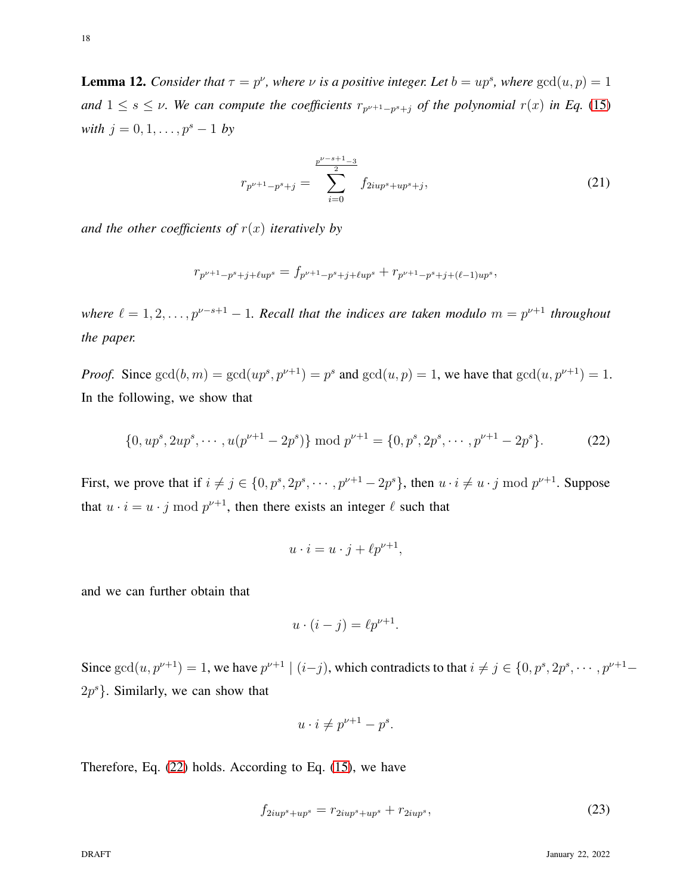**Lemma 12.** *Consider that*  $\tau = p^{\nu}$ , where  $\nu$  *is a positive integer. Let*  $b = up^s$ , where  $gcd(u, p) = 1$ and  $1 \leq s \leq \nu$ . We can compute the coefficients  $r_{p^{\nu+1}-p^s+j}$  of the polynomial  $r(x)$  in Eq. [\(15\)](#page-15-0) *with*  $j = 0, 1, \ldots, p^s - 1$  *by* 

<span id="page-17-2"></span>
$$
r_{p^{\nu+1}-p^s+j} = \sum_{i=0}^{\frac{p^{\nu-s+1}-3}{2}} f_{2iup^s+up^s+j},\tag{21}
$$

*and the other coefficients of*  $r(x)$  *iteratively by* 

$$
r_{p^{\nu+1}-p^s+j+\ell up^s}=f_{p^{\nu+1}-p^s+j+\ell up^s}+r_{p^{\nu+1}-p^s+j+(\ell-1)up^s},
$$

*where*  $\ell = 1, 2, \ldots, p^{\nu-s+1} - 1$ . Recall that the indices are taken modulo  $m = p^{\nu+1}$  throughout *the paper.*

*Proof.* Since  $gcd(b, m) = gcd(up^s, p^{\nu+1}) = p^s$  and  $gcd(u, p) = 1$ , we have that  $gcd(u, p^{\nu+1}) = 1$ . In the following, we show that

<span id="page-17-0"></span>
$$
\{0, up^s, 2up^s, \cdots, u(p^{\nu+1} - 2p^s)\} \bmod p^{\nu+1} = \{0, p^s, 2p^s, \cdots, p^{\nu+1} - 2p^s\}.
$$
 (22)

First, we prove that if  $i \neq j \in \{0, p^s, 2p^s, \dots, p^{\nu+1} - 2p^s\}$ , then  $u \cdot i \neq u \cdot j \mod p^{\nu+1}$ . Suppose that  $u \cdot i = u \cdot j \mod p^{\nu+1}$ , then there exists an integer  $\ell$  such that

$$
u \cdot i = u \cdot j + \ell p^{\nu+1},
$$

and we can further obtain that

$$
u \cdot (i - j) = \ell p^{\nu + 1}.
$$

Since  $gcd(u, p^{\nu+1}) = 1$ , we have  $p^{\nu+1} \mid (i-j)$ , which contradicts to that  $i \neq j \in \{0, p^s, 2p^s, \dots, p^{\nu+1} - \}$  $2p^{s}$ . Similarly, we can show that

$$
u \cdot i \neq p^{\nu+1} - p^s.
$$

Therefore, Eq. [\(22\)](#page-17-0) holds. According to Eq. [\(15\)](#page-15-0), we have

<span id="page-17-1"></span>
$$
f_{2iup^s+up^s} = r_{2iup^s+up^s} + r_{2iup^s},\tag{23}
$$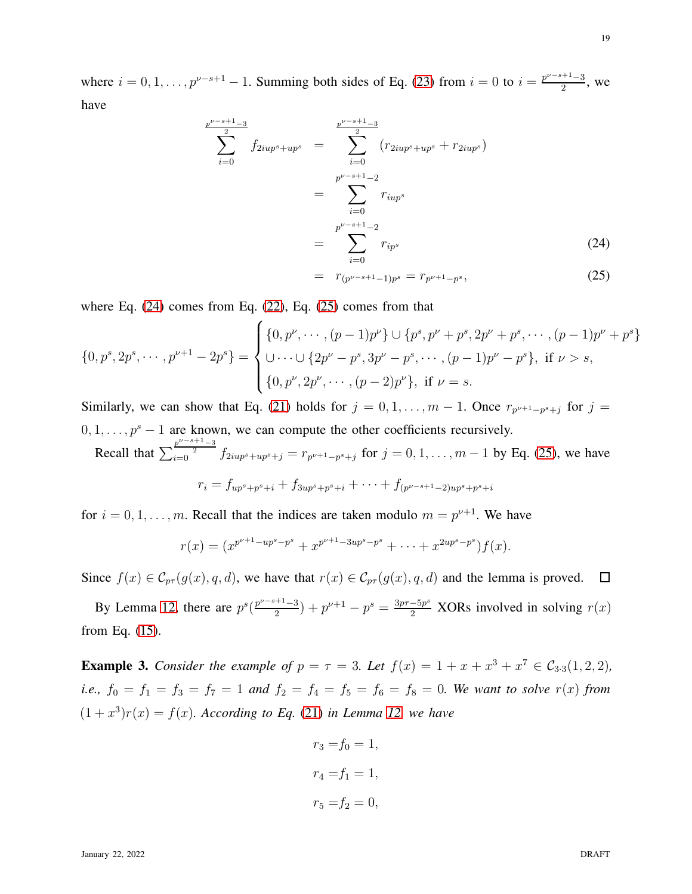where  $i = 0, 1, ..., p^{\nu-s+1} - 1$ . Summing both sides of Eq. [\(23\)](#page-17-1) from  $i = 0$  to  $i = \frac{p^{\nu-s+1}-3}{2}$  $\frac{1}{2}$ , we have

<span id="page-18-0"></span>
$$
\sum_{i=0}^{p^{\nu-s+1}-3} f_{2iup^s+up^s} = \sum_{i=0}^{p^{\nu-s+1}-3} (r_{2iup^s+up^s} + r_{2iup^s})
$$
  

$$
= \sum_{i=0}^{p^{\nu-s+1}-2} r_{iup^s}
$$
  

$$
= \sum_{i=0}^{p^{\nu-s+1}-2} r_{ip^s}
$$
 (24)  

$$
= r_{i} \qquad (25)
$$

$$
= r_{(p^{\nu-s+1}-1)p^s} = r_{p^{\nu+1}-p^s}, \tag{25}
$$

where Eq.  $(24)$  comes from Eq.  $(22)$ , Eq.  $(25)$  comes from that

$$
\{0, p^s, 2p^s, \cdots, p^{\nu+1} - 2p^s\} = \begin{cases} \{0, p^{\nu}, \cdots, (p-1)p^{\nu}\} \cup \{p^s, p^{\nu} + p^s, 2p^{\nu} + p^s, \cdots, (p-1)p^{\nu} + p^s\} \\ \cup \cdots \cup \{2p^{\nu} - p^s, 3p^{\nu} - p^s, \cdots, (p-1)p^{\nu} - p^s\}, & \text{if } \nu > s, \\ \{0, p^{\nu}, 2p^{\nu}, \cdots, (p-2)p^{\nu}\}, & \text{if } \nu = s. \end{cases}
$$

Similarly, we can show that Eq. [\(21\)](#page-17-2) holds for  $j = 0, 1, \ldots, m - 1$ . Once  $r_{p^{\nu+1}-p^s+j}$  for  $j =$  $0, 1, \ldots, p<sup>s</sup> - 1$  are known, we can compute the other coefficients recursively. Recall that  $\sum_{i=0}^{\frac{p^{\nu-s+1}-3}{2}} f_{2iup^s+up^s+j} = r_{p^{\nu+1}-p^s+j}$  for  $j = 0, 1, ..., m-1$  by Eq. [\(25\)](#page-18-0), we have

$$
r_i = f_{up^s + p^s + i} + f_{3up^s + p^s + i} + \cdots + f_{(p^{\nu - s + 1} - 2)up^s + p^s + i}
$$

for  $i = 0, 1, \ldots, m$ . Recall that the indices are taken modulo  $m = p^{\nu+1}$ . We have

$$
r(x) = (x^{p^{\nu+1}-up^s-p^s}+x^{p^{\nu+1}-3up^s-p^s}+\cdots+x^{2up^s-p^s})f(x).
$$

Since  $f(x) \in \mathcal{C}_{pr}(g(x), q, d)$ , we have that  $r(x) \in \mathcal{C}_{pr}(g(x), q, d)$  and the lemma is proved.  $\Box$ 

By Lemma [12,](#page-17-2) there are  $p^{s}(\frac{p^{\nu-s+1}-3}{2})$  $\frac{2^{(n+1)-3}}{2}$  +  $p^{\nu+1}$  –  $p^s = \frac{3p\tau - 5p^s}{2}$  XORs involved in solving  $r(x)$ from Eq. [\(15\)](#page-15-0).

**Example 3.** *Consider the example of*  $p = \tau = 3$ *. Let*  $f(x) = 1 + x + x^3 + x^7 \in C_{3 \cdot 3}(1, 2, 2)$ *, i.e.,*  $f_0 = f_1 = f_3 = f_7 = 1$  and  $f_2 = f_4 = f_5 = f_6 = f_8 = 0$ . We want to solve  $r(x)$  from  $(1+x^3)r(x) = f(x)$ *. According to Eq.* [\(21\)](#page-17-2) *in Lemma [12,](#page-17-2) we have* 

$$
r_3 = f_0 = 1,
$$
  

$$
r_4 = f_1 = 1,
$$
  

$$
r_5 = f_2 = 0,
$$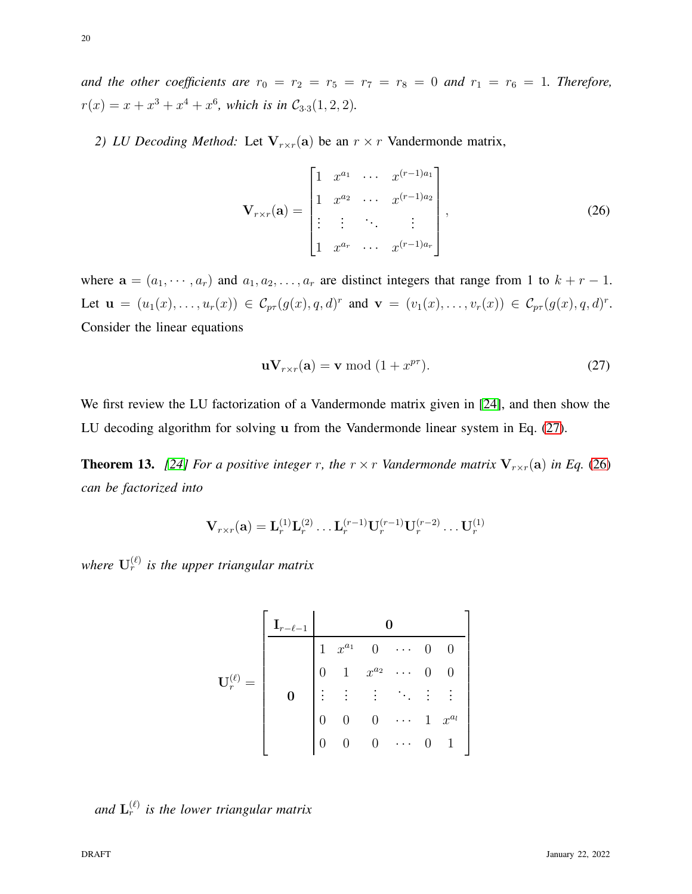*2) LU Decoding Method:* Let  $V_{r \times r}$ (a) be an  $r \times r$  Vandermonde matrix,

<span id="page-19-1"></span>
$$
\mathbf{V}_{r \times r}(\mathbf{a}) = \begin{bmatrix} 1 & x^{a_1} & \cdots & x^{(r-1)a_1} \\ 1 & x^{a_2} & \cdots & x^{(r-1)a_2} \\ \vdots & \vdots & \ddots & \vdots \\ 1 & x^{a_r} & \cdots & x^{(r-1)a_r} \end{bmatrix},
$$
(26)

where  $\mathbf{a} = (a_1, \dots, a_r)$  and  $a_1, a_2, \dots, a_r$  are distinct integers that range from 1 to  $k + r - 1$ . Let  $\mathbf{u} = (u_1(x), \dots, u_r(x)) \in C_{p\tau}(g(x), q, d)^r$  and  $\mathbf{v} = (v_1(x), \dots, v_r(x)) \in C_{p\tau}(g(x), q, d)^r$ . Consider the linear equations

<span id="page-19-0"></span>
$$
\mathbf{u} \mathbf{V}_{r \times r}(\mathbf{a}) = \mathbf{v} \bmod (1 + x^{p\tau}). \tag{27}
$$

We first review the LU factorization of a Vandermonde matrix given in [\[24\]](#page-42-11), and then show the LU decoding algorithm for solving u from the Vandermonde linear system in Eq. [\(27\)](#page-19-0).

<span id="page-19-2"></span>**Theorem 13.** [\[24\]](#page-42-11) For a positive integer r, the  $r \times r$  *Vandermonde matrix*  $V_{r \times r}(\mathbf{a})$  *in Eq.* [\(26\)](#page-19-1) *can be factorized into*

$$
\mathbf{V}_{r\times r}(\mathbf{a})=\mathbf{L}_{r}^{(1)}\mathbf{L}_{r}^{(2)}\ldots\mathbf{L}_{r}^{(r-1)}\mathbf{U}_{r}^{(r-1)}\mathbf{U}_{r}^{(r-2)}\ldots\mathbf{U}_{r}^{(1)}
$$

where  $\mathbf{U}_r^{(\ell)}$  is the upper triangular matrix

$$
\mathbf{U}_r^{(\ell)} = \left[ \begin{array}{ccccccc} \mathbf{I}_{r-\ell-1} & \mathbf{0} & & & \\ \hline & 1 & x^{a_1} & 0 & \cdots & 0 & 0 \\ & & 0 & 1 & x^{a_2} & \cdots & 0 & 0 \\ & & & \vdots & \vdots & \ddots & \vdots & \vdots \\ & & & 0 & 0 & 0 & \cdots & 1 & x^{a_l} \\ & & & 0 & 0 & 0 & \cdots & 0 & 1 \end{array} \right]
$$

and  $\mathbf{L}_r^{(\ell)}$  is the lower triangular matrix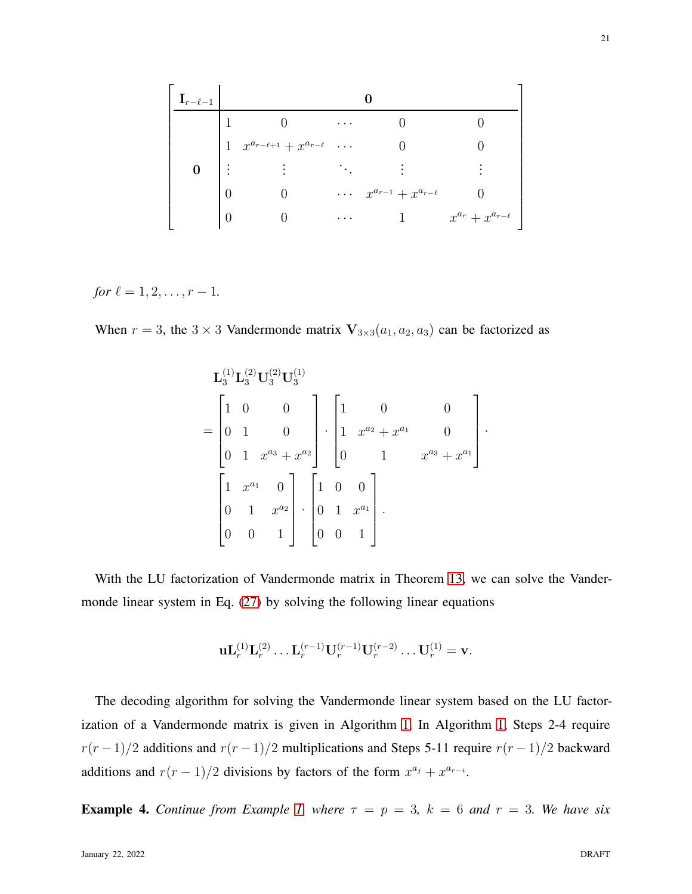$$
\begin{bmatrix}\n\mathbf{I}_{r-\ell-1} & \mathbf{0} & & & \\
1 & 0 & \cdots & 0 & 0 \\
1 & x^{a_{r-\ell+1}} + x^{a_{r-\ell}} & \cdots & 0 & 0 \\
\mathbf{0} & \vdots & \vdots & \ddots & \vdots & \vdots \\
0 & 0 & \cdots & x^{a_{r-1}} + x^{a_{r-\ell}} & 0 \\
0 & 0 & \cdots & 1 & x^{a_r} + x^{a_{r-\ell}}\n\end{bmatrix}
$$

*for*  $\ell = 1, 2, \ldots, r - 1$ .

When  $r = 3$ , the  $3 \times 3$  Vandermonde matrix  $V_{3 \times 3}(a_1, a_2, a_3)$  can be factorized as

$$
\mathbf{L}_{3}^{(1)}\mathbf{L}_{3}^{(2)}\mathbf{U}_{3}^{(2)}\mathbf{U}_{3}^{(1)}
$$
\n
$$
= \begin{bmatrix}\n1 & 0 & 0 & 0 \\
0 & 1 & 0 & 0 \\
0 & 1 & x^{a_3} + x^{a_2}\n\end{bmatrix} \cdot \begin{bmatrix}\n1 & 0 & 0 & 0 \\
1 & x^{a_2} + x^{a_1} & 0 & 0 \\
0 & 1 & x^{a_3} + x^{a_1}\n\end{bmatrix} \cdot \begin{bmatrix}\n1 & 0 & 0 & 0 \\
0 & 1 & x^{a_3} + x^{a_1}\n\end{bmatrix}.
$$

With the LU factorization of Vandermonde matrix in Theorem [13,](#page-19-2) we can solve the Vandermonde linear system in Eq. [\(27\)](#page-19-0) by solving the following linear equations

$$
\mathbf{u}\mathbf{L}_r^{(1)}\mathbf{L}_r^{(2)}\dots\mathbf{L}_r^{(r-1)}\mathbf{U}_r^{(r-1)}\mathbf{U}_r^{(r-2)}\dots\mathbf{U}_r^{(1)}=\mathbf{v}.
$$

The decoding algorithm for solving the Vandermonde linear system based on the LU factorization of a Vandermonde matrix is given in Algorithm [1.](#page-21-0) In Algorithm [1,](#page-21-0) Steps 2-4 require  $r(r-1)/2$  additions and  $r(r-1)/2$  multiplications and Steps 5-11 require  $r(r-1)/2$  backward additions and  $r(r-1)/2$  divisions by factors of the form  $x^{a_j} + x^{a_{r-i}}$ .

**Example 4.** *Continue from Example [1,](#page-14-0) where*  $\tau = p = 3$ ,  $k = 6$  *and*  $r = 3$ *. We have six*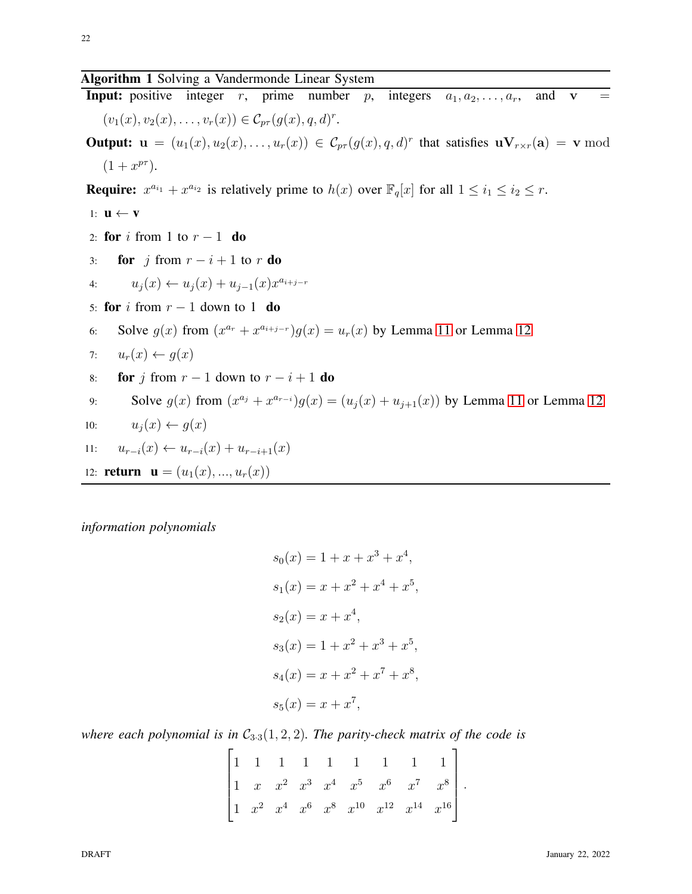# Algorithm 1 Solving a Vandermonde Linear System

**Input:** positive integer r, prime number p, integers  $a_1, a_2, \ldots, a_r$ , and  $\mathbf{v} =$  $(v_1(x), v_2(x), \ldots, v_r(x)) \in C_{p\tau}(g(x), q, d)^r.$ 

**Output:**  $\mathbf{u} = (u_1(x), u_2(x), \dots, u_r(x)) \in C_{pr}(g(x), q, d)^r$  that satisfies  $\mathbf{u} \mathbf{V}_{r \times r}(\mathbf{a}) = \mathbf{v} \bmod$  $(1+x^{p\tau}).$ 

**Require:**  $x^{a_{i_1}} + x^{a_{i_2}}$  is relatively prime to  $h(x)$  over  $\mathbb{F}_q[x]$  for all  $1 \leq i_1 \leq i_2 \leq r$ .

1:  $\mathbf{u} \leftarrow \mathbf{v}$ 2: for i from 1 to  $r-1$  do 3: for j from  $r - i + 1$  to r do 4:  $u_j(x) \leftarrow u_j(x) + u_{j-1}(x)x^{a_{i+j-r}}$ 5: for i from  $r - 1$  down to 1 do 6: Solve  $g(x)$  from  $(x^{a_r} + x^{a_{i+j-r}})g(x) = u_r(x)$  by Lemma [11](#page-15-4) or Lemma [12](#page-17-2) 7:  $u_r(x) \leftarrow g(x)$ 8: **for** j from  $r - 1$  down to  $r - i + 1$  do 9: Solve  $g(x)$  from  $(x^{a_j} + x^{a_{r-i}})g(x) = (u_j(x) + u_{j+1}(x))$  by Lemma [11](#page-15-4) or Lemma [12](#page-17-2) 10:  $u_i(x) \leftarrow q(x)$ 11:  $u_{r-i}(x) \leftarrow u_{r-i}(x) + u_{r-i+1}(x)$ 12: **return**  $\mathbf{u} = (u_1(x), ..., u_r(x))$ 

<span id="page-21-0"></span>*information polynomials*

$$
s_0(x) = 1 + x + x^3 + x^4,
$$
  
\n
$$
s_1(x) = x + x^2 + x^4 + x^5,
$$
  
\n
$$
s_2(x) = x + x^4,
$$
  
\n
$$
s_3(x) = 1 + x^2 + x^3 + x^5,
$$
  
\n
$$
s_4(x) = x + x^2 + x^7 + x^8,
$$
  
\n
$$
s_5(x) = x + x^7,
$$

*where each polynomial is in*  $C_{3.3}(1, 2, 2)$ *. The parity-check matrix of the code is* 

$$
\begin{bmatrix} 1 & 1 & 1 & 1 & 1 & 1 & 1 & 1 & 1 \\ 1 & x & x^2 & x^3 & x^4 & x^5 & x^6 & x^7 & x^8 \\ 1 & x^2 & x^4 & x^6 & x^8 & x^{10} & x^{12} & x^{14} & x^{16} \end{bmatrix}.
$$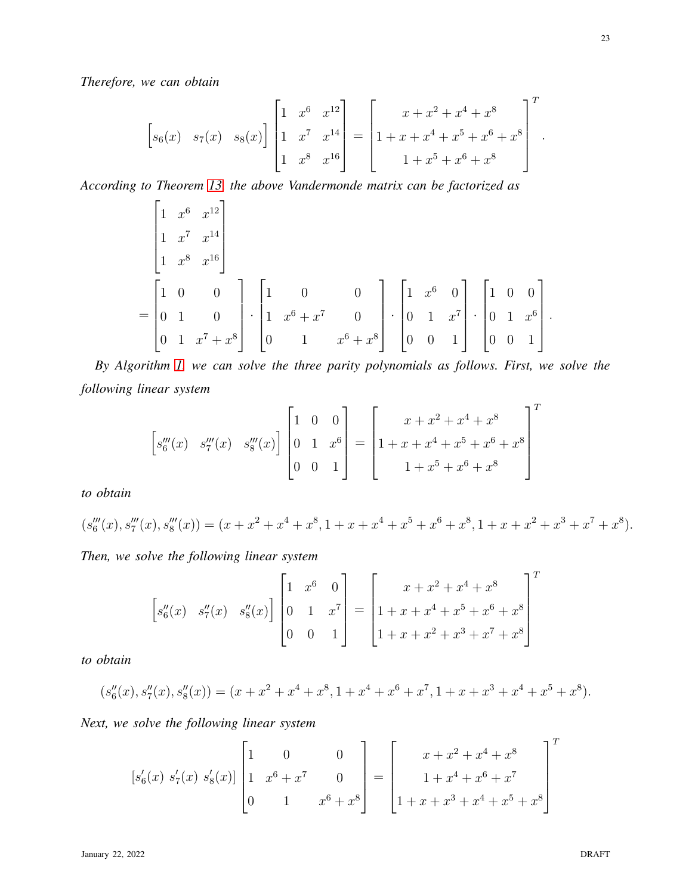*Therefore, we can obtain*

$$
\begin{bmatrix} s_6(x) & s_7(x) & s_8(x) \end{bmatrix} \begin{bmatrix} 1 & x^6 & x^{12} \\ 1 & x^7 & x^{14} \\ 1 & x^8 & x^{16} \end{bmatrix} = \begin{bmatrix} x + x^2 + x^4 + x^8 \\ 1 + x + x^4 + x^5 + x^6 + x^8 \\ 1 + x^5 + x^6 + x^8 \end{bmatrix}^T.
$$

*According to Theorem [13,](#page-19-2) the above Vandermonde matrix can be factorized as*

$$
\begin{bmatrix}\n1 & x^6 & x^{12} \\
1 & x^7 & x^{14} \\
1 & x^8 & x^{16}\n\end{bmatrix}
$$
\n=\n
$$
\begin{bmatrix}\n1 & 0 & 0 \\
0 & 1 & 0 \\
0 & 1 & x^7 + x^8\n\end{bmatrix}\n\cdot\n\begin{bmatrix}\n1 & 0 & 0 \\
1 & x^6 + x^7 & 0 \\
0 & 1 & x^6 + x^8\n\end{bmatrix}\n\cdot\n\begin{bmatrix}\n1 & x^6 & 0 \\
0 & 1 & x^7 \\
0 & 0 & 1\n\end{bmatrix}\n\cdot\n\begin{bmatrix}\n1 & 0 & 0 \\
0 & 1 & x^6 \\
0 & 0 & 1\n\end{bmatrix}.
$$

*By Algorithm [1,](#page-21-0) we can solve the three parity polynomials as follows. First, we solve the following linear system*

$$
\begin{bmatrix} s_6'''(x) & s_7'''(x) & s_8'''(x) \end{bmatrix} \begin{bmatrix} 1 & 0 & 0 \\ 0 & 1 & x^6 \\ 0 & 0 & 1 \end{bmatrix} = \begin{bmatrix} x + x^2 + x^4 + x^8 \\ 1 + x + x^4 + x^5 + x^6 + x^8 \\ 1 + x^5 + x^6 + x^8 \end{bmatrix}^T
$$

*to obtain*

$$
(s_6'''(x), s_7'''(x), s_8'''(x)) = (x + x^2 + x^4 + x^8, 1 + x + x^4 + x^5 + x^6 + x^8, 1 + x + x^2 + x^3 + x^7 + x^8).
$$

*Then, we solve the following linear system*

$$
\begin{bmatrix} s_6''(x) & s_7''(x) & s_8''(x) \end{bmatrix} \begin{bmatrix} 1 & x^6 & 0 \\ 0 & 1 & x^7 \\ 0 & 0 & 1 \end{bmatrix} = \begin{bmatrix} x + x^2 + x^4 + x^8 \\ 1 + x + x^4 + x^5 + x^6 + x^8 \\ 1 + x + x^2 + x^3 + x^7 + x^8 \end{bmatrix}^T
$$

*to obtain*

$$
(s''_6(x), s''_7(x), s''_8(x)) = (x + x^2 + x^4 + x^8, 1 + x^4 + x^6 + x^7, 1 + x + x^3 + x^4 + x^5 + x^8).
$$

*Next, we solve the following linear system*

$$
[s'_{6}(x) s'_{7}(x) s'_{8}(x)] \begin{bmatrix} 1 & 0 & 0 \ 1 & x^{6} + x^{7} & 0 \ 0 & 1 & x^{6} + x^{8} \end{bmatrix} = \begin{bmatrix} x + x^{2} + x^{4} + x^{8} \\ 1 + x^{4} + x^{6} + x^{7} \\ 1 + x + x^{3} + x^{4} + x^{5} + x^{8} \end{bmatrix}^{T}
$$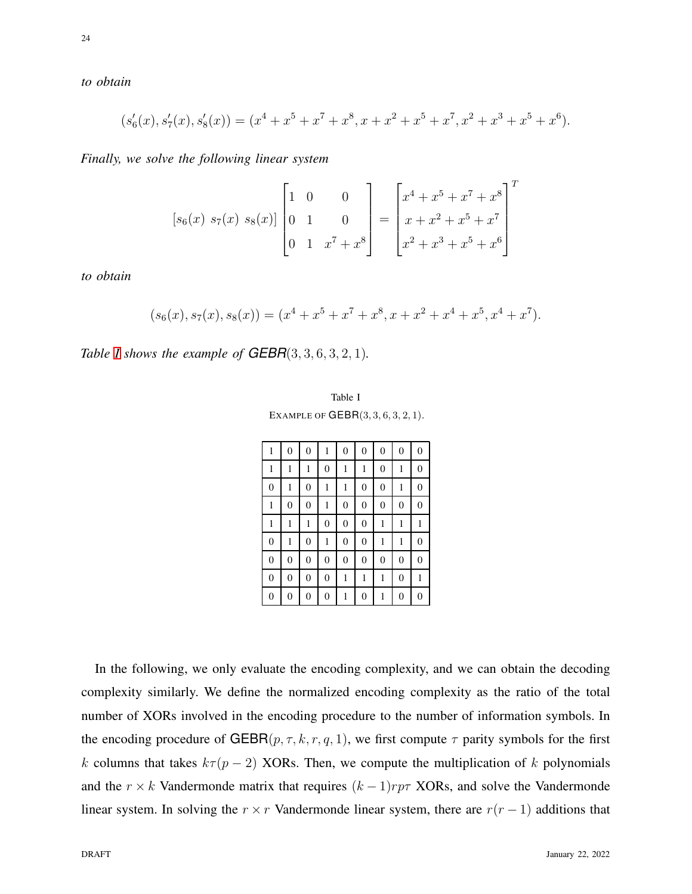*to obtain*

$$
(s'_6(x), s'_7(x), s'_8(x)) = (x^4 + x^5 + x^7 + x^8, x + x^2 + x^5 + x^7, x^2 + x^3 + x^5 + x^6).
$$

*Finally, we solve the following linear system*

$$
[s_6(x) s_7(x) s_8(x)] \begin{bmatrix} 1 & 0 & 0 \ 0 & 1 & 0 \ 0 & 1 & x^7 + x^8 \end{bmatrix} = \begin{bmatrix} x^4 + x^5 + x^7 + x^8 \ x + x^2 + x^5 + x^7 \ x^2 + x^3 + x^4 + x^5 + x^6 \end{bmatrix}^T
$$

*to obtain*

$$
(s_6(x), s_7(x), s_8(x)) = (x^4 + x^5 + x^7 + x^8, x + x^2 + x^4 + x^5, x^4 + x^7).
$$

<span id="page-23-0"></span>*Table [I](#page-23-0) shows the example of GEBR*(3, 3, 6, 3, 2, 1)*.*

| Table I                                  |  |
|------------------------------------------|--|
| EXAMPLE OF $\mathsf{GEBR}(3,3,6,3,2,1).$ |  |

| $\mathbf{1}$     | $\boldsymbol{0}$ | $\boldsymbol{0}$ | 1                | $\boldsymbol{0}$ | $\boldsymbol{0}$ | $\boldsymbol{0}$ | $\boldsymbol{0}$ | $\theta$         |
|------------------|------------------|------------------|------------------|------------------|------------------|------------------|------------------|------------------|
| $\mathbf{1}$     | 1                | 1                | $\mathbf{0}$     | 1                | 1                | $\mathbf{0}$     | 1                | $\overline{0}$   |
| $\boldsymbol{0}$ | $\mathbf{1}$     | $\mathbf{0}$     | $\mathbf{1}$     | $\mathbf{1}$     | $\mathbf{0}$     | $\mathbf{0}$     | $\mathbf{1}$     | $\overline{0}$   |
| $\,1$            | $\mathbf{0}$     | $\mathbf{0}$     | $\mathbf{1}$     | $\boldsymbol{0}$ | $\boldsymbol{0}$ | $\boldsymbol{0}$ | $\boldsymbol{0}$ | $\mathbf{0}$     |
| $\mathbf{1}$     | 1                | 1                | $\boldsymbol{0}$ | $\boldsymbol{0}$ | $\boldsymbol{0}$ | $\mathbf{1}$     | $\mathbf{1}$     | 1                |
| $\boldsymbol{0}$ | 1                | $\boldsymbol{0}$ | $\mathbf{1}$     | $\boldsymbol{0}$ | $\mathbf{0}$     | $\mathbf{1}$     | $\mathbf{1}$     | $\boldsymbol{0}$ |
| $\boldsymbol{0}$ | 0                | $\mathbf{0}$     | $\boldsymbol{0}$ | $\boldsymbol{0}$ | $\mathbf{0}$     | $\boldsymbol{0}$ | $\overline{0}$   | $\boldsymbol{0}$ |
| $\boldsymbol{0}$ | $\boldsymbol{0}$ | $\mathbf{0}$     | $\mathbf{0}$     | 1                | 1                | $\mathbf{1}$     | $\overline{0}$   | 1                |
| $\boldsymbol{0}$ | 0                | 0                | $\boldsymbol{0}$ | $\mathbf{1}$     | 0                | $\mathbf{1}$     | $\boldsymbol{0}$ | $\boldsymbol{0}$ |

In the following, we only evaluate the encoding complexity, and we can obtain the decoding complexity similarly. We define the normalized encoding complexity as the ratio of the total number of XORs involved in the encoding procedure to the number of information symbols. In the encoding procedure of GEBR( $p, \tau, k, r, q, 1$ ), we first compute  $\tau$  parity symbols for the first k columns that takes  $k\tau (p-2)$  XORs. Then, we compute the multiplication of k polynomials and the  $r \times k$  Vandermonde matrix that requires  $(k-1)rp\tau$  XORs, and solve the Vandermonde linear system. In solving the  $r \times r$  Vandermonde linear system, there are  $r(r-1)$  additions that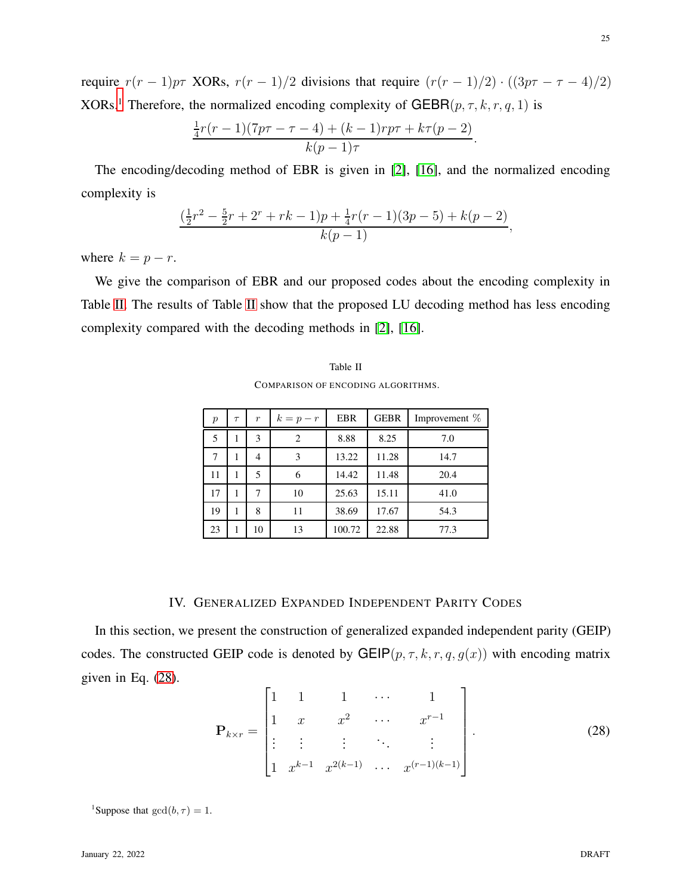require  $r(r-1)p\tau$  XORs,  $r(r-1)/2$  divisions that require  $(r(r-1)/2) \cdot ((3p\tau - \tau - 4)/2)$ XORs.<sup>[1](#page-24-1)</sup> Therefore, the normalized encoding complexity of GEBR( $p, \tau, k, r, q, 1$ ) is

$$
\frac{\frac{1}{4}r(r-1)(7p\tau-\tau-4)+(k-1)rp\tau+k\tau(p-2)}{k(p-1)\tau}.
$$

The encoding/decoding method of EBR is given in [\[2\]](#page-41-0), [\[16\]](#page-42-4), and the normalized encoding complexity is

$$
\frac{(\frac{1}{2}r^2 - \frac{5}{2}r + 2^r + rk - 1)p + \frac{1}{4}r(r - 1)(3p - 5) + k(p - 2)}{k(p - 1)},
$$

where  $k = p - r$ .

<span id="page-24-2"></span>We give the comparison of EBR and our proposed codes about the encoding complexity in Table [II.](#page-24-2) The results of Table [II](#page-24-2) show that the proposed LU decoding method has less encoding complexity compared with the decoding methods in [\[2\]](#page-41-0), [\[16\]](#page-42-4).

| Table II                           |
|------------------------------------|
| COMPARISON OF ENCODING ALGORITHMS. |

| $\boldsymbol{p}$ | $\tau$ | $\boldsymbol{r}$ | $k=p-r$ | <b>EBR</b> | <b>GEBR</b> | Improvement $%$ |
|------------------|--------|------------------|---------|------------|-------------|-----------------|
| 5                |        | 3                | 2       | 8.88       | 8.25        | 7.0             |
| 7                |        | 4                | 3       | 13.22      | 11.28       | 14.7            |
| 11               |        | 5                | 6       | 14.42      | 11.48       | 20.4            |
| 17               |        | 7                | 10      | 25.63      | 15.11       | 41.0            |
| 19               |        | 8                | 11      | 38.69      | 17.67       | 54.3            |
| 23               |        | 10               | 13      | 100.72     | 22.88       | 77.3            |

# IV. GENERALIZED EXPANDED INDEPENDENT PARITY CODES

<span id="page-24-0"></span>In this section, we present the construction of generalized expanded independent parity (GEIP) codes. The constructed GEIP code is denoted by GEIP( $p, \tau, k, r, q, g(x)$ ) with encoding matrix given in Eq. [\(28\)](#page-24-3).  $\blacksquare$ 

<span id="page-24-3"></span>
$$
\mathbf{P}_{k \times r} = \begin{bmatrix} 1 & 1 & 1 & \cdots & 1 \\ 1 & x & x^2 & \cdots & x^{r-1} \\ \vdots & \vdots & \vdots & \ddots & \vdots \\ 1 & x^{k-1} & x^{2(k-1)} & \cdots & x^{(r-1)(k-1)} \end{bmatrix} .
$$
 (28)

<span id="page-24-1"></span><sup>1</sup>Suppose that  $gcd(b, \tau) = 1$ .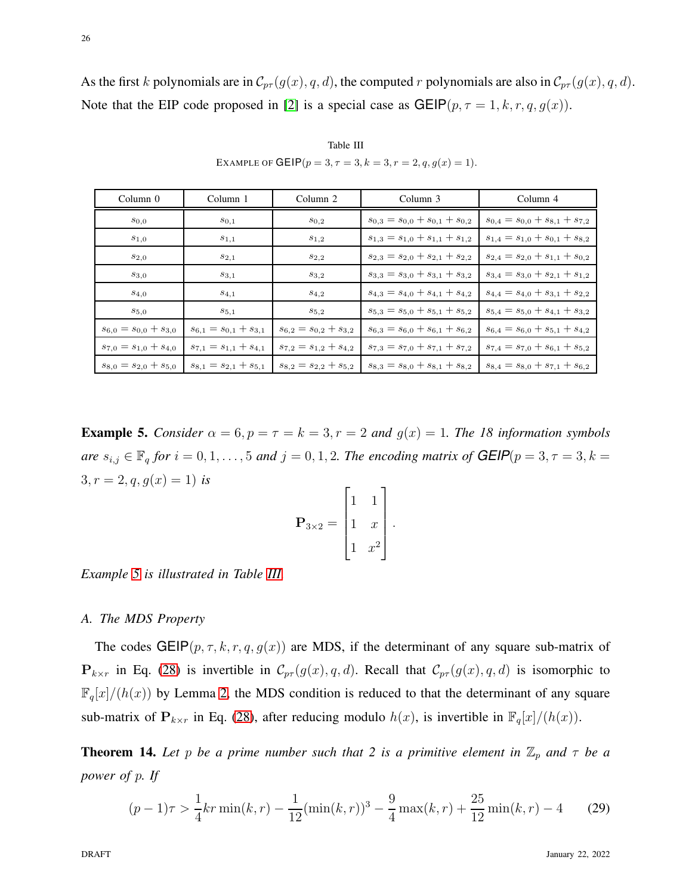As the first k polynomials are in  $\mathcal{C}_{pr}(g(x), q, d)$ , the computed r polynomials are also in  $\mathcal{C}_{pr}(g(x), q, d)$ . Note that the EIP code proposed in [\[2\]](#page-41-0) is a special case as  $GEIP(p, \tau = 1, k, r, q, g(x))$ .

<span id="page-25-1"></span>

| Column <sub>0</sub>           | Column 1                      |                               | Column 3                                | Column 4                                |  |
|-------------------------------|-------------------------------|-------------------------------|-----------------------------------------|-----------------------------------------|--|
| $s_{0,0}$                     | $s_{0,1}$                     | $S_{0,2}$                     | $s_{0,3} = s_{0,0} + s_{0,1} + s_{0,2}$ | $s_{0,4} = s_{0,0} + s_{8,1} + s_{7,2}$ |  |
| $s_{1,0}$                     | $s_{1,1}$                     | $s_{1,2}$                     | $s_{1,3} = s_{1,0} + s_{1,1} + s_{1,2}$ | $s_{1,4} = s_{1,0} + s_{0,1} + s_{8,2}$ |  |
| $s_{2,0}$                     | $S_{2,1}$                     | $S_{2,2}$                     | $s_{2,3} = s_{2,0} + s_{2,1} + s_{2,2}$ | $s_{2,4} = s_{2,0} + s_{1,1} + s_{0,2}$ |  |
| $s_{3,0}$                     | $s_{3,1}$                     | $s_{3,2}$                     | $s_{3,3} = s_{3,0} + s_{3,1} + s_{3,2}$ | $s_{3,4} = s_{3,0} + s_{2,1} + s_{1,2}$ |  |
| $S_4,0$                       | $S_4,1$                       | $S_4, 2$                      | $s_{4,3} = s_{4,0} + s_{4,1} + s_{4,2}$ | $s_{4,4} = s_{4,0} + s_{3,1} + s_{2,2}$ |  |
| $s_{5,0}$                     | $s_{5,1}$                     | $s_{5,2}$                     | $s_{5,3} = s_{5,0} + s_{5,1} + s_{5,2}$ | $s_{5,4} = s_{5,0} + s_{4,1} + s_{3,2}$ |  |
| $s_{6,0} = s_{0,0} + s_{3,0}$ | $s_{6,1} = s_{0,1} + s_{3,1}$ | $s_{6,2} = s_{0,2} + s_{3,2}$ | $s_{6,3} = s_{6,0} + s_{6,1} + s_{6,2}$ | $s_{6,4} = s_{6,0} + s_{5,1} + s_{4,2}$ |  |
| $s_{7,0} = s_{1,0} + s_{4,0}$ | $s_{7,1} = s_{1,1} + s_{4,1}$ | $s_{7,2} = s_{1,2} + s_{4,2}$ | $s_{7,3} = s_{7,0} + s_{7,1} + s_{7,2}$ | $s_{7,4} = s_{7,0} + s_{6,1} + s_{5,2}$ |  |
| $s_{8,0} = s_{2,0} + s_{5,0}$ | $s_{8,1} = s_{2,1} + s_{5,1}$ | $s_{8,2} = s_{2,2} + s_{5,2}$ | $s_{8,3} = s_{8,0} + s_{8,1} + s_{8,2}$ | $s_{8,4} = s_{8,0} + s_{7,1} + s_{6,2}$ |  |

Table III EXAMPLE OF GEIP $(p = 3, \tau = 3, k = 3, r = 2, q, g(x) = 1)$ .

<span id="page-25-0"></span>**Example 5.** *Consider*  $\alpha = 6$ ,  $p = \tau = k = 3$ ,  $r = 2$  *and*  $g(x) = 1$ *. The 18 information symbols are*  $s_{i,j} \in \mathbb{F}_q$  *for*  $i = 0, 1, \ldots, 5$  *and*  $j = 0, 1, 2$ *. The encoding matrix of*  $GEIP(p = 3, \tau = 3, k = 1, 2)$  $3, r = 2, q, g(x) = 1$  *is* 

$$
\mathbf{P}_{3\times 2} = \begin{bmatrix} 1 & 1 \\ 1 & x \\ 1 & x^2 \end{bmatrix}.
$$

*Example [5](#page-25-0) is illustrated in Table [III.](#page-25-1)*

#### *A. The MDS Property*

The codes GEIP( $p, \tau, k, r, q, g(x)$ ) are MDS, if the determinant of any square sub-matrix of  $P_{k\times r}$  in Eq. [\(28\)](#page-24-3) is invertible in  $\mathcal{C}_{pr}(g(x), q, d)$ . Recall that  $\mathcal{C}_{pr}(g(x), q, d)$  is isomorphic to  $\mathbb{F}_q[x]/(h(x))$  by Lemma [2,](#page-7-1) the MDS condition is reduced to that the determinant of any square sub-matrix of  $P_{k \times r}$  in Eq. [\(28\)](#page-24-3), after reducing modulo  $h(x)$ , is invertible in  $\mathbb{F}_q[x]/(h(x))$ .

**Theorem 14.** Let p be a prime number such that 2 is a primitive element in  $\mathbb{Z}_p$  and  $\tau$  be a *power of* p*. If*

<span id="page-25-2"></span>
$$
(p-1)\tau > \frac{1}{4}kr \min(k,r) - \frac{1}{12}(\min(k,r))^3 - \frac{9}{4}\max(k,r) + \frac{25}{12}\min(k,r) - 4
$$
 (29)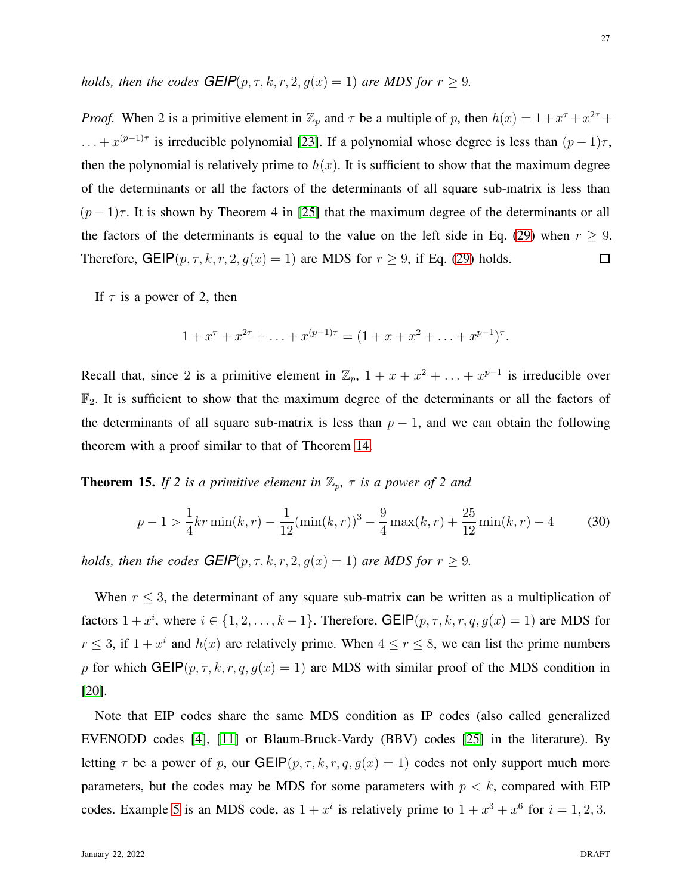*holds, then the codes*  $GEIP(p, \tau, k, r, 2, g(x) = 1)$  *are MDS for*  $r \ge 9$ *.* 

*Proof.* When 2 is a primitive element in  $\mathbb{Z}_p$  and  $\tau$  be a multiple of p, then  $h(x) = 1 + x^{\tau} + x^{2\tau} +$  $\dots + x^{(p-1)\tau}$  is irreducible polynomial [\[23\]](#page-42-10). If a polynomial whose degree is less than  $(p-1)\tau$ , then the polynomial is relatively prime to  $h(x)$ . It is sufficient to show that the maximum degree of the determinants or all the factors of the determinants of all square sub-matrix is less than  $(p-1)\tau$ . It is shown by Theorem 4 in [\[25\]](#page-42-12) that the maximum degree of the determinants or all the factors of the determinants is equal to the value on the left side in Eq. [\(29\)](#page-25-2) when  $r \geq 9$ . Therefore, GEIP $(p, \tau, k, r, 2, g(x) = 1)$  are MDS for  $r \ge 9$ , if Eq. [\(29\)](#page-25-2) holds.  $\Box$ 

If  $\tau$  is a power of 2, then

$$
1 + x^{\tau} + x^{2\tau} + \ldots + x^{(p-1)\tau} = (1 + x + x^2 + \ldots + x^{p-1})^{\tau}.
$$

Recall that, since 2 is a primitive element in  $\mathbb{Z}_p$ ,  $1 + x + x^2 + \ldots + x^{p-1}$  is irreducible over  $\mathbb{F}_2$ . It is sufficient to show that the maximum degree of the determinants or all the factors of the determinants of all square sub-matrix is less than  $p - 1$ , and we can obtain the following theorem with a proof similar to that of Theorem [14.](#page-25-2)

**Theorem 15.** *If 2 is a primitive element in*  $\mathbb{Z}_p$ ,  $\tau$  *is a power of 2 and* 

$$
p - 1 > \frac{1}{4}kr \min(k, r) - \frac{1}{12}(\min(k, r))^3 - \frac{9}{4}\max(k, r) + \frac{25}{12}\min(k, r) - 4
$$
 (30)

*holds, then the codes*  $GEIP(p, \tau, k, r, 2, g(x) = 1)$  *are MDS for*  $r \ge 9$ *.* 

When  $r \leq 3$ , the determinant of any square sub-matrix can be written as a multiplication of factors  $1 + x^i$ , where  $i \in \{1, 2, ..., k-1\}$ . Therefore, GEIP $(p, \tau, k, r, q, g(x) = 1)$  are MDS for  $r \leq 3$ , if  $1 + x^i$  and  $h(x)$  are relatively prime. When  $4 \leq r \leq 8$ , we can list the prime numbers p for which GEIP( $p, \tau, k, r, q, g(x) = 1$ ) are MDS with similar proof of the MDS condition in [\[20\]](#page-42-8).

Note that EIP codes share the same MDS condition as IP codes (also called generalized EVENODD codes [\[4\]](#page-41-3), [\[11\]](#page-41-10) or Blaum-Bruck-Vardy (BBV) codes [\[25\]](#page-42-12) in the literature). By letting  $\tau$  be a power of p, our GEIP $(p, \tau, k, r, q, g(x) = 1)$  codes not only support much more parameters, but the codes may be MDS for some parameters with  $p < k$ , compared with EIP codes. Example [5](#page-25-0) is an MDS code, as  $1 + x^i$  is relatively prime to  $1 + x^3 + x^6$  for  $i = 1, 2, 3$ .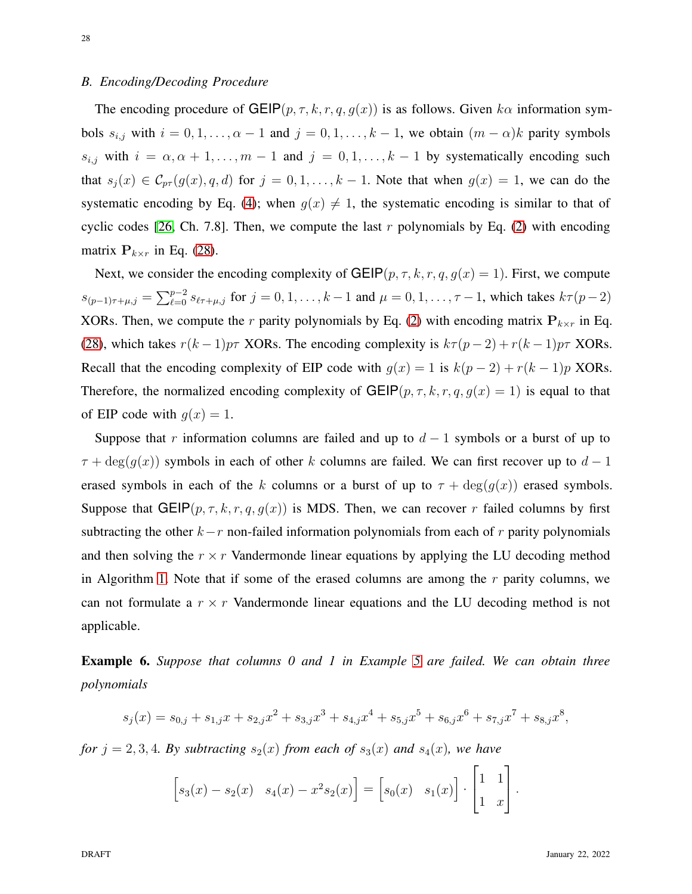#### *B. Encoding/Decoding Procedure*

The encoding procedure of  $GEIP(p, \tau, k, r, q, g(x))$  is as follows. Given  $k\alpha$  information symbols  $s_{i,j}$  with  $i = 0, 1, \ldots, \alpha - 1$  and  $j = 0, 1, \ldots, k - 1$ , we obtain  $(m - \alpha)k$  parity symbols  $s_{i,j}$  with  $i = \alpha, \alpha + 1, \ldots, m - 1$  and  $j = 0, 1, \ldots, k - 1$  by systematically encoding such that  $s_i(x) \in \mathcal{C}_{pr}(g(x), q, d)$  for  $j = 0, 1, \ldots, k - 1$ . Note that when  $g(x) = 1$ , we can do the systematic encoding by Eq. [\(4\)](#page-7-0); when  $g(x) \neq 1$ , the systematic encoding is similar to that of cyclic codes [\[26,](#page-42-13) Ch. 7.8]. Then, we compute the last r polynomials by Eq. [\(2\)](#page-5-0) with encoding matrix  $P_{k \times r}$  in Eq. [\(28\)](#page-24-3).

Next, we consider the encoding complexity of GEIP $(p, \tau, k, r, q, g(x) = 1)$ . First, we compute  $s_{(p-1)\tau+\mu,j} = \sum_{\ell=0}^{p-2} s_{\ell\tau+\mu,j}$  for  $j = 0, 1, \ldots, k-1$  and  $\mu = 0, 1, \ldots, \tau-1$ , which takes  $k\tau(p-2)$ XORs. Then, we compute the r parity polynomials by Eq. [\(2\)](#page-5-0) with encoding matrix  $P_{k \times r}$  in Eq. [\(28\)](#page-24-3), which takes  $r(k-1)p\tau$  XORs. The encoding complexity is  $k\tau(p-2) + r(k-1)p\tau$  XORs. Recall that the encoding complexity of EIP code with  $g(x) = 1$  is  $k(p-2) + r(k-1)p$  XORs. Therefore, the normalized encoding complexity of  $GEIP(p, \tau, k, r, q, q(x) = 1)$  is equal to that of EIP code with  $g(x) = 1$ .

Suppose that r information columns are failed and up to  $d-1$  symbols or a burst of up to  $\tau + \deg(g(x))$  symbols in each of other k columns are failed. We can first recover up to  $d-1$ erased symbols in each of the k columns or a burst of up to  $\tau + \deg(g(x))$  erased symbols. Suppose that GEIP( $p, \tau, k, r, q, g(x)$ ) is MDS. Then, we can recover r failed columns by first subtracting the other  $k-r$  non-failed information polynomials from each of r parity polynomials and then solving the  $r \times r$  Vandermonde linear equations by applying the LU decoding method in Algorithm [1.](#page-21-0) Note that if some of the erased columns are among the  $r$  parity columns, we can not formulate a  $r \times r$  Vandermonde linear equations and the LU decoding method is not applicable.

Example 6. *Suppose that columns 0 and 1 in Example [5](#page-25-0) are failed. We can obtain three polynomials*

$$
s_j(x) = s_{0,j} + s_{1,j}x + s_{2,j}x^2 + s_{3,j}x^3 + s_{4,j}x^4 + s_{5,j}x^5 + s_{6,j}x^6 + s_{7,j}x^7 + s_{8,j}x^8,
$$

*for*  $j = 2, 3, 4$ *. By subtracting*  $s_2(x)$  *from each of*  $s_3(x)$  *and*  $s_4(x)$ *, we have* 

$$
\[s_3(x) - s_2(x) \quad s_4(x) - x^2 s_2(x)\] = \[s_0(x) \quad s_1(x)\] \cdot \begin{bmatrix} 1 & 1 \\ 1 & x \end{bmatrix}.
$$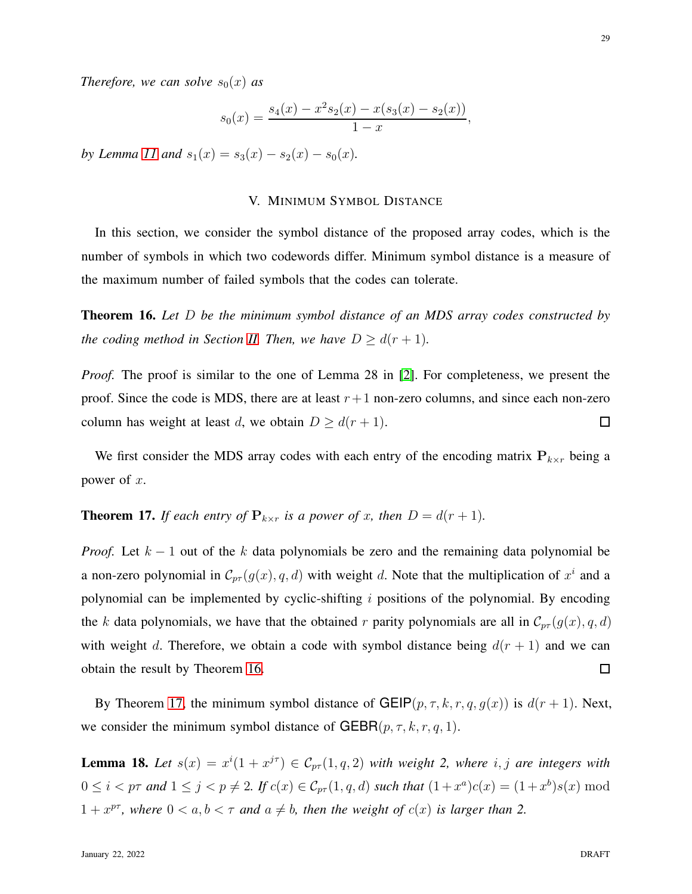*Therefore, we can solve*  $s_0(x)$  *as* 

$$
s_0(x) = \frac{s_4(x) - x^2 s_2(x) - x(s_3(x) - s_2(x))}{1 - x},
$$

<span id="page-28-0"></span>*by Lemma [11](#page-15-4)* and  $s_1(x) = s_3(x) - s_2(x) - s_0(x)$ .

# V. MINIMUM SYMBOL DISTANCE

In this section, we consider the symbol distance of the proposed array codes, which is the number of symbols in which two codewords differ. Minimum symbol distance is a measure of the maximum number of failed symbols that the codes can tolerate.

<span id="page-28-1"></span>Theorem 16. *Let* D *be the minimum symbol distance of an MDS array codes constructed by the coding method in Section [II.](#page-4-0) Then, we have*  $D \geq d(r+1)$ *.* 

*Proof.* The proof is similar to the one of Lemma 28 in [\[2\]](#page-41-0). For completeness, we present the proof. Since the code is MDS, there are at least  $r+1$  non-zero columns, and since each non-zero column has weight at least d, we obtain  $D \geq d(r+1)$ .  $\Box$ 

We first consider the MDS array codes with each entry of the encoding matrix  $P_{k \times r}$  being a power of  $x$ .

<span id="page-28-2"></span>**Theorem 17.** *If each entry of*  $P_{k \times r}$  *is a power of x, then*  $D = d(r + 1)$ *.* 

*Proof.* Let  $k - 1$  out of the k data polynomials be zero and the remaining data polynomial be a non-zero polynomial in  $\mathcal{C}_{pr}(g(x), q, d)$  with weight d. Note that the multiplication of  $x^i$  and a polynomial can be implemented by cyclic-shifting  $i$  positions of the polynomial. By encoding the k data polynomials, we have that the obtained r parity polynomials are all in  $\mathcal{C}_{pr}(g(x), q, d)$ with weight d. Therefore, we obtain a code with symbol distance being  $d(r + 1)$  and we can obtain the result by Theorem [16.](#page-28-1)  $\Box$ 

By Theorem [17,](#page-28-2) the minimum symbol distance of GEIP $(p, \tau, k, r, q, g(x))$  is  $d(r + 1)$ . Next, we consider the minimum symbol distance of  $GEBR(p, \tau, k, r, q, 1)$ .

<span id="page-28-3"></span>**Lemma 18.** Let  $s(x) = x^{i}(1 + x^{j\tau}) \in C_{pr}(1, q, 2)$  with weight 2, where i, j are integers with  $0 \le i < p\tau$  and  $1 \le j < p \ne 2$ . If  $c(x) \in C_{p\tau}(1, q, d)$  such that  $(1+x^a)c(x) = (1+x^b)s(x) \mod d$  $1 + x^{pr}$ , where  $0 < a, b < \tau$  and  $a \neq b$ , then the weight of  $c(x)$  is larger than 2.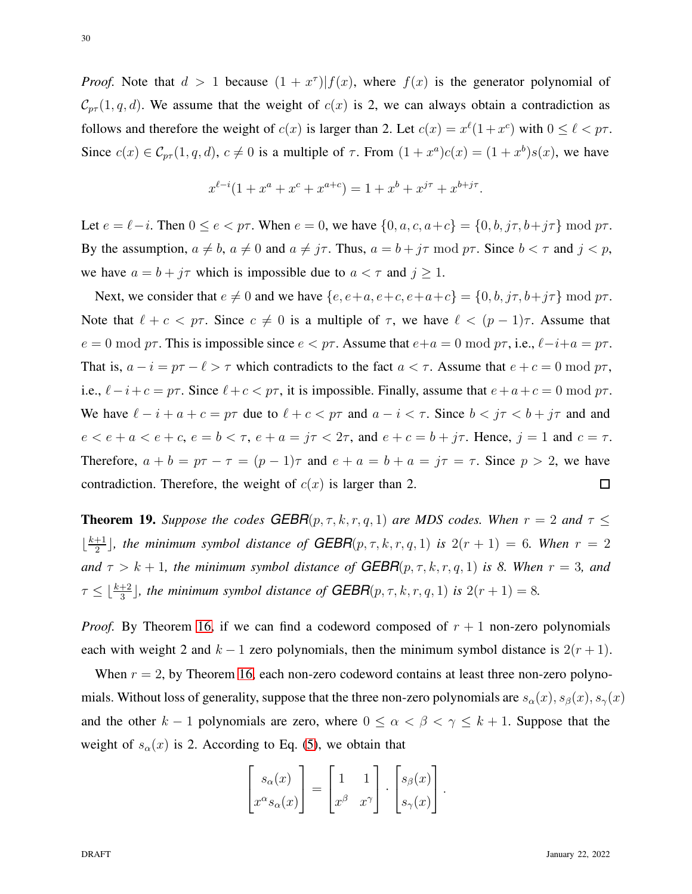*Proof.* Note that  $d > 1$  because  $(1 + x^{\tau})|f(x)$ , where  $f(x)$  is the generator polynomial of  $\mathcal{C}_{p\tau}(1,q,d)$ . We assume that the weight of  $c(x)$  is 2, we can always obtain a contradiction as follows and therefore the weight of  $c(x)$  is larger than 2. Let  $c(x) = x^{\ell}(1 + x^{\ell})$  with  $0 \le \ell < p\tau$ . Since  $c(x) \in \mathcal{C}_{pr}(1,q,d)$ ,  $c \neq 0$  is a multiple of  $\tau$ . From  $(1+x^a)c(x) = (1+x^b)s(x)$ , we have

$$
x^{\ell-i}(1+x^a+x^c+x^{a+c}) = 1+x^b+x^{j\tau}+x^{b+j\tau}.
$$

Let  $e = \ell - i$ . Then  $0 \le e < p\tau$ . When  $e = 0$ , we have  $\{0, a, c, a+c\} = \{0, b, j\tau, b+j\tau\} \mod p\tau$ . By the assumption,  $a \neq b$ ,  $a \neq 0$  and  $a \neq j\tau$ . Thus,  $a = b + j\tau \mod p\tau$ . Since  $b < \tau$  and  $j < p$ , we have  $a = b + j\tau$  which is impossible due to  $a < \tau$  and  $j \ge 1$ .

Next, we consider that  $e \neq 0$  and we have  $\{e, e+a, e+c, e+a+c\} = \{0, b, j\tau, b+j\tau\} \text{ mod } p\tau$ . Note that  $\ell + c < p\tau$ . Since  $c \neq 0$  is a multiple of  $\tau$ , we have  $\ell < (p-1)\tau$ . Assume that  $e = 0 \mod p\tau$ . This is impossible since  $e < p\tau$ . Assume that  $e+a = 0 \mod p\tau$ , i.e.,  $\ell-i+a = p\tau$ . That is,  $a - i = p\tau - \ell > \tau$  which contradicts to the fact  $a < \tau$ . Assume that  $e + c = 0 \mod p\tau$ , i.e.,  $\ell - i + c = p\tau$ . Since  $\ell + c < p\tau$ , it is impossible. Finally, assume that  $e + a + c = 0 \mod p\tau$ . We have  $\ell - i + a + c = p\tau$  due to  $\ell + c < p\tau$  and  $a - i < \tau$ . Since  $b < j\tau < b + j\tau$  and and  $e < e + a < e + c$ ,  $e = b < \tau$ ,  $e + a = j\tau < 2\tau$ , and  $e + c = b + j\tau$ . Hence,  $j = 1$  and  $c = \tau$ . Therefore,  $a + b = p\tau - \tau = (p - 1)\tau$  and  $e + a = b + a = j\tau = \tau$ . Since  $p > 2$ , we have contradiction. Therefore, the weight of  $c(x)$  is larger than 2.  $\Box$ 

<span id="page-29-0"></span>**Theorem 19.** *Suppose the codes*  $GEBR(p, \tau, k, r, q, 1)$  *are MDS codes. When*  $r = 2$  *and*  $\tau \leq$  $\frac{k+1}{2}$  $\frac{+1}{2}$ , the minimum symbol distance of  $GEBR(p, \tau, k, r, q, 1)$  is  $2(r + 1) = 6$ *. When*  $r = 2$ *and*  $\tau > k + 1$ *, the minimum symbol distance of GEBR* $(p, \tau, k, r, q, 1)$  *is 8. When*  $r = 3$ *, and*  $\tau \leq \lfloor \frac{k+2}{3} \rfloor$ , the minimum symbol distance of **GEBR** $(p, \tau, k, r, q, 1)$  is  $2(r + 1) = 8$ .

*Proof.* By Theorem [16,](#page-28-1) if we can find a codeword composed of  $r + 1$  non-zero polynomials each with weight 2 and  $k - 1$  zero polynomials, then the minimum symbol distance is  $2(r + 1)$ .

When  $r = 2$ , by Theorem [16,](#page-28-1) each non-zero codeword contains at least three non-zero polynomials. Without loss of generality, suppose that the three non-zero polynomials are  $s_{\alpha}(x)$ ,  $s_{\beta}(x)$ ,  $s_{\gamma}(x)$ and the other k – 1 polynomials are zero, where  $0 \leq \alpha < \beta < \gamma \leq k + 1$ . Suppose that the weight of  $s_\alpha(x)$  is 2. According to Eq. [\(5\)](#page-8-2), we obtain that

$$
\begin{bmatrix} s_{\alpha}(x) \\ x^{\alpha} s_{\alpha}(x) \end{bmatrix} = \begin{bmatrix} 1 & 1 \\ x^{\beta} & x^{\gamma} \end{bmatrix} \cdot \begin{bmatrix} s_{\beta}(x) \\ s_{\gamma}(x) \end{bmatrix}.
$$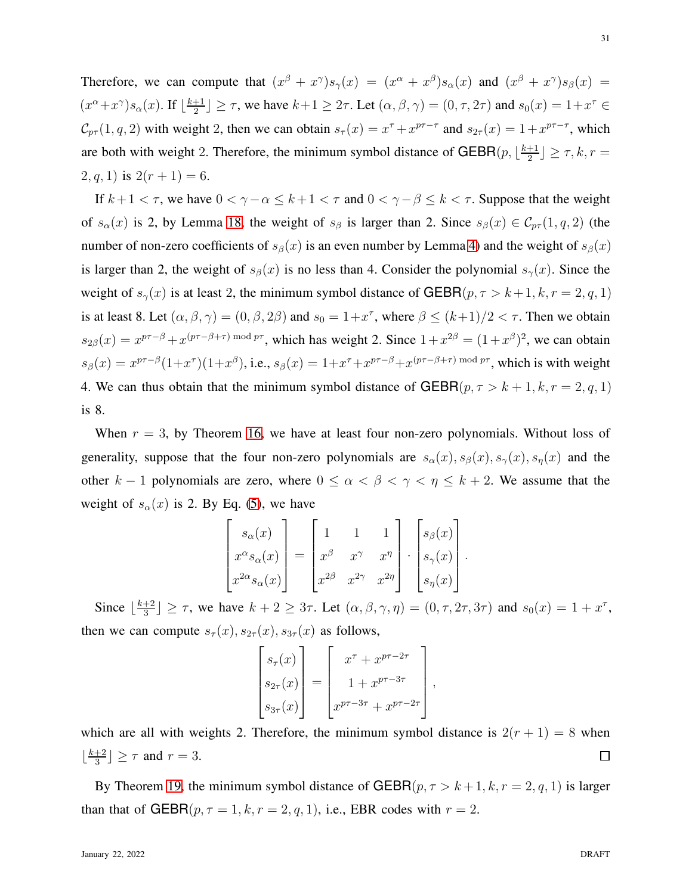Therefore, we can compute that  $(x^{\beta} + x^{\gamma})s_{\gamma}(x) = (x^{\alpha} + x^{\beta})s_{\alpha}(x)$  and  $(x^{\beta} + x^{\gamma})s_{\beta}(x) =$  $(x^{\alpha}+x^{\gamma})s_{\alpha}(x)$ . If  $\lfloor \frac{k+1}{2} \rfloor$  $\lfloor \frac{+1}{2} \rfloor \geq \tau$ , we have  $k+1 \geq 2\tau$ . Let  $(\alpha, \beta, \gamma) = (0, \tau, 2\tau)$  and  $s_0(x) = 1 + x^{\tau} \in$  $\mathcal{C}_{pr}(1,q,2)$  with weight 2, then we can obtain  $s_{\tau}(x) = x^{\tau} + x^{p\tau-\tau}$  and  $s_{2\tau}(x) = 1 + x^{p\tau-\tau}$ , which are both with weight 2. Therefore, the minimum symbol distance of GEBR $(p, \lfloor \frac{k+1}{2} \rfloor)$  $\frac{+1}{2}$  $\geq \tau, k, r =$  $(2, q, 1)$  is  $2(r + 1) = 6$ .

If  $k+1 < \tau$ , we have  $0 < \gamma - \alpha \leq k+1 < \tau$  and  $0 < \gamma - \beta \leq k < \tau$ . Suppose that the weight of  $s_{\alpha}(x)$  is 2, by Lemma [18,](#page-28-3) the weight of  $s_{\beta}$  is larger than 2. Since  $s_{\beta}(x) \in \mathcal{C}_{p\tau}(1, q, 2)$  (the number of non-zero coefficients of  $s_\beta(x)$  is an even number by Lemma [4\)](#page-8-1) and the weight of  $s_\beta(x)$ is larger than 2, the weight of  $s_\beta(x)$  is no less than 4. Consider the polynomial  $s_\gamma(x)$ . Since the weight of  $s_\gamma(x)$  is at least 2, the minimum symbol distance of GEBR( $p, \tau > k+1, k, r = 2, q, 1$ ) is at least 8. Let  $(\alpha, \beta, \gamma) = (0, \beta, 2\beta)$  and  $s_0 = 1 + x^{\tau}$ , where  $\beta \le (k+1)/2 < \tau$ . Then we obtain  $s_{2\beta}(x) = x^{p\tau-\beta} + x^{(p\tau-\beta+\tau) \mod p\tau}$ , which has weight 2. Since  $1+x^{2\beta} = (1+x^{\beta})^2$ , we can obtain  $s_\beta(x) = x^{p\tau-\beta}(1+x^\tau)(1+x^\beta)$ , i.e.,  $s_\beta(x) = 1+x^\tau+x^{p\tau-\beta}+x^{(p\tau-\beta+\tau) \bmod p\tau}$ , which is with weight 4. We can thus obtain that the minimum symbol distance of  $GEBR(p, \tau > k+1, k, r = 2, q, 1)$ is 8.

When  $r = 3$ , by Theorem [16,](#page-28-1) we have at least four non-zero polynomials. Without loss of generality, suppose that the four non-zero polynomials are  $s_{\alpha}(x), s_{\beta}(x), s_{\gamma}(x), s_{\eta}(x)$  and the other k – 1 polynomials are zero, where  $0 \leq \alpha < \beta < \gamma < \eta \leq k + 2$ . We assume that the weight of  $s_\alpha(x)$  is 2. By Eq. [\(5\)](#page-8-2), we have

$$
\begin{bmatrix} s_{\alpha}(x) \\ x^{\alpha}s_{\alpha}(x) \\ x^{2\alpha}s_{\alpha}(x) \end{bmatrix} = \begin{bmatrix} 1 & 1 & 1 \\ x^{\beta} & x^{\gamma} & x^{\eta} \\ x^{2\beta} & x^{2\gamma} & x^{2\eta} \end{bmatrix} \cdot \begin{bmatrix} s_{\beta}(x) \\ s_{\gamma}(x) \\ s_{\eta}(x) \end{bmatrix}.
$$

Since  $\lfloor \frac{k+2}{3} \rfloor$  $\frac{+2}{3}$   $\geq \tau$ , we have  $k + 2 \geq 3\tau$ . Let  $(\alpha, \beta, \gamma, \eta) = (0, \tau, 2\tau, 3\tau)$  and  $s_0(x) = 1 + x^{\tau}$ , then we can compute  $s_{\tau}(x), s_{2\tau}(x), s_{3\tau}(x)$  as follows,

$$
\begin{bmatrix} s_{\tau}(x) \\ s_{2\tau}(x) \\ s_{3\tau}(x) \end{bmatrix} = \begin{bmatrix} x^{\tau} + x^{p\tau - 2\tau} \\ 1 + x^{p\tau - 3\tau} \\ x^{p\tau - 3\tau} + x^{p\tau - 2\tau} \end{bmatrix}
$$

,

which are all with weights 2. Therefore, the minimum symbol distance is  $2(r + 1) = 8$  when  $\lfloor \frac{k+2}{3} \rfloor$  $\left[\frac{+2}{3}\right] \geq \tau$  and  $r = 3$ .  $\Box$ 

By Theorem [19,](#page-29-0) the minimum symbol distance of  $GEBR(p, \tau > k+1, k, r = 2, q, 1)$  is larger than that of GEBR( $p, \tau = 1, k, r = 2, q, 1$ ), i.e., EBR codes with  $r = 2$ .

31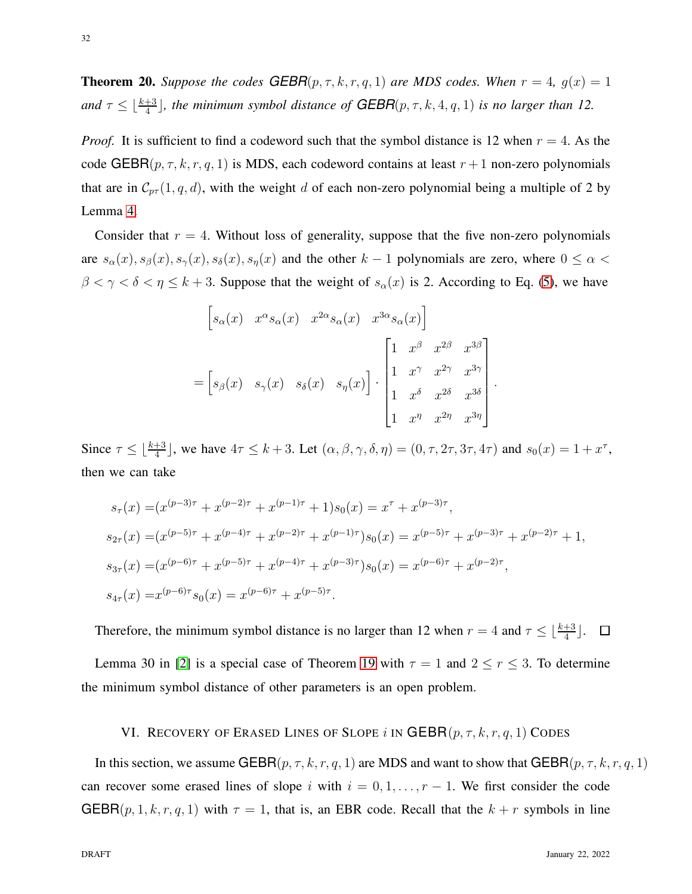**Theorem 20.** *Suppose the codes*  $GEBR(p, \tau, k, r, q, 1)$  *are MDS codes. When*  $r = 4$ ,  $g(x) = 1$ and  $\tau \leq \lfloor \frac{k+3}{4} \rfloor$ , the minimum symbol distance of  $GEBR(p, \tau, k, 4, q, 1)$  is no larger than 12.

*Proof.* It is sufficient to find a codeword such that the symbol distance is 12 when  $r = 4$ . As the code GEBR( $p, \tau, k, r, q, 1$ ) is MDS, each codeword contains at least  $r + 1$  non-zero polynomials that are in  $C_{p\tau}(1, q, d)$ , with the weight d of each non-zero polynomial being a multiple of 2 by Lemma [4.](#page-8-1)

Consider that  $r = 4$ . Without loss of generality, suppose that the five non-zero polynomials are  $s_{\alpha}(x), s_{\beta}(x), s_{\gamma}(x), s_{\delta}(x), s_{\eta}(x)$  and the other  $k-1$  polynomials are zero, where  $0 \leq \alpha$  $\beta < \gamma < \delta < \eta \le k + 3$ . Suppose that the weight of  $s_\alpha(x)$  is 2. According to Eq. [\(5\)](#page-8-2), we have

$$
\begin{bmatrix}\ns_{\alpha}(x) & x^{\alpha}s_{\alpha}(x) & x^{2\alpha}s_{\alpha}(x) & x^{3\alpha}s_{\alpha}(x)\n\end{bmatrix}\n=\n\begin{bmatrix}\ns_{\beta}(x) & s_{\gamma}(x) & s_{\delta}(x) & s_{\eta}(x)\n\end{bmatrix}\n\cdot\n\begin{bmatrix}\n1 & x^{\beta} & x^{2\beta} & x^{3\beta} \\
1 & x^{\gamma} & x^{2\gamma} & x^{3\gamma} \\
1 & x^{\delta} & x^{2\delta} & x^{3\delta} \\
1 & x^{\eta} & x^{2\eta} & x^{3\eta}\n\end{bmatrix}
$$

.

Since  $\tau \leq \lfloor \frac{k+3}{4} \rfloor$ , we have  $4\tau \leq k+3$ . Let  $(\alpha, \beta, \gamma, \delta, \eta) = (0, \tau, 2\tau, 3\tau, 4\tau)$  and  $s_0(x) = 1 + x^{\tau}$ , then we can take

$$
s_{\tau}(x) = (x^{(p-3)\tau} + x^{(p-2)\tau} + x^{(p-1)\tau} + 1)s_0(x) = x^{\tau} + x^{(p-3)\tau},
$$
  
\n
$$
s_{2\tau}(x) = (x^{(p-5)\tau} + x^{(p-4)\tau} + x^{(p-2)\tau} + x^{(p-1)\tau})s_0(x) = x^{(p-5)\tau} + x^{(p-3)\tau} + x^{(p-2)\tau} + 1,
$$
  
\n
$$
s_{3\tau}(x) = (x^{(p-6)\tau} + x^{(p-5)\tau} + x^{(p-4)\tau} + x^{(p-3)\tau})s_0(x) = x^{(p-6)\tau} + x^{(p-2)\tau},
$$
  
\n
$$
s_{4\tau}(x) = x^{(p-6)\tau} s_0(x) = x^{(p-6)\tau} + x^{(p-5)\tau}.
$$

Therefore, the minimum symbol distance is no larger than 12 when  $r = 4$  and  $\tau \leq \lfloor \frac{k+3}{4} \rfloor$ .  $\Box$ 

<span id="page-31-0"></span>Lemma 30 in [\[2\]](#page-41-0) is a special case of Theorem [19](#page-29-0) with  $\tau = 1$  and  $2 \le r \le 3$ . To determine the minimum symbol distance of other parameters is an open problem.

# VI. RECOVERY OF ERASED LINES OF SLOPE i IN GEBR $(p, \tau, k, r, q, 1)$  CODES

In this section, we assume GEBR $(p, \tau, k, r, q, 1)$  are MDS and want to show that GEBR $(p, \tau, k, r, q, 1)$ can recover some erased lines of slope i with  $i = 0, 1, \ldots, r - 1$ . We first consider the code  $GEBR(p, 1, k, r, q, 1)$  with  $\tau = 1$ , that is, an EBR code. Recall that the  $k + r$  symbols in line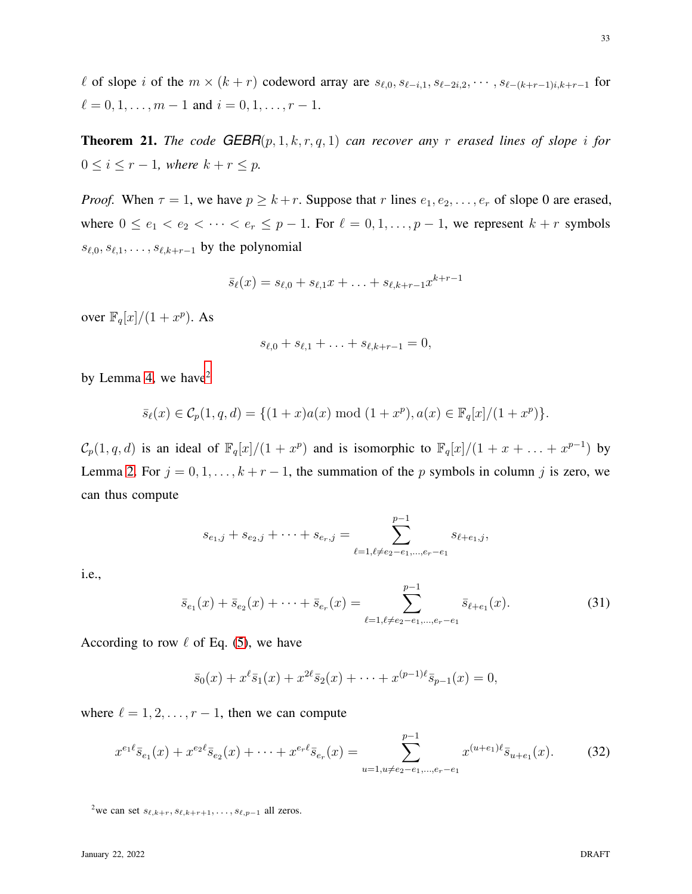l of slope i of the  $m \times (k + r)$  codeword array are  $s_{\ell,0}, s_{\ell-i,1}, s_{\ell-2i,2}, \cdots, s_{\ell-(k+r-1)i,k+r-1}$  for  $\ell = 0, 1, \ldots, m - 1$  and  $i = 0, 1, \ldots, r - 1$ .

<span id="page-32-3"></span>**Theorem 21.** *The code*  $GEBR(p, 1, k, r, q, 1)$  *can recover any r erased lines of slope i for*  $0 \leq i \leq r-1$ *, where*  $k+r \leq p$ *.* 

*Proof.* When  $\tau = 1$ , we have  $p \geq k + r$ . Suppose that r lines  $e_1, e_2, \ldots, e_r$  of slope 0 are erased, where  $0 \le e_1 < e_2 < \cdots < e_r \le p-1$ . For  $\ell = 0, 1, \ldots, p-1$ , we represent  $k + r$  symbols  $s_{\ell,0}, s_{\ell,1}, \ldots, s_{\ell,k+r-1}$  by the polynomial

$$
\bar{s}_{\ell}(x) = s_{\ell,0} + s_{\ell,1}x + \ldots + s_{\ell,k+r-1}x^{k+r-1}
$$

over  $\mathbb{F}_q[x]/(1+x^p)$ . As

$$
s_{\ell,0} + s_{\ell,1} + \ldots + s_{\ell,k+r-1} = 0,
$$

by Lemma [4,](#page-8-1) we have $2$ 

$$
\bar{s}_{\ell}(x) \in \mathcal{C}_p(1, q, d) = \{ (1+x)a(x) \bmod (1+x^p), a(x) \in \mathbb{F}_q[x]/(1+x^p) \}.
$$

 $\mathcal{C}_p(1,q,d)$  is an ideal of  $\mathbb{F}_q[x]/(1+x^p)$  and is isomorphic to  $\mathbb{F}_q[x]/(1+x+\ldots+x^{p-1})$  by Lemma [2.](#page-7-1) For  $j = 0, 1, ..., k + r - 1$ , the summation of the p symbols in column j is zero, we can thus compute

$$
s_{e_1,j} + s_{e_2,j} + \dots + s_{e_r,j} = \sum_{\ell=1, \ell \neq e_2 - e_1, \dots, e_r - e_1}^{p-1} s_{\ell+e_1,j},
$$

i.e.,

<span id="page-32-1"></span>
$$
\bar{s}_{e_1}(x) + \bar{s}_{e_2}(x) + \dots + \bar{s}_{e_r}(x) = \sum_{\ell=1, \ell \neq e_2 - e_1, \dots, e_r - e_1}^{p-1} \bar{s}_{\ell+e_1}(x).
$$
 (31)

According to row  $\ell$  of Eq. [\(5\)](#page-8-2), we have

$$
\bar{s}_0(x) + x^{\ell} \bar{s}_1(x) + x^{2\ell} \bar{s}_2(x) + \cdots + x^{(p-1)\ell} \bar{s}_{p-1}(x) = 0,
$$

where  $\ell = 1, 2, \ldots, r - 1$ , then we can compute

<span id="page-32-2"></span>
$$
x^{e_1 \ell} \bar{s}_{e_1}(x) + x^{e_2 \ell} \bar{s}_{e_2}(x) + \dots + x^{e_r \ell} \bar{s}_{e_r}(x) = \sum_{u=1, u \neq e_2 - e_1, \dots, e_r - e_1}^{p-1} x^{(u+e_1)\ell} \bar{s}_{u+e_1}(x). \tag{32}
$$

<span id="page-32-0"></span><sup>2</sup>we can set  $s_{\ell,k+r}, s_{\ell,k+r+1}, \ldots, s_{\ell,p-1}$  all zeros.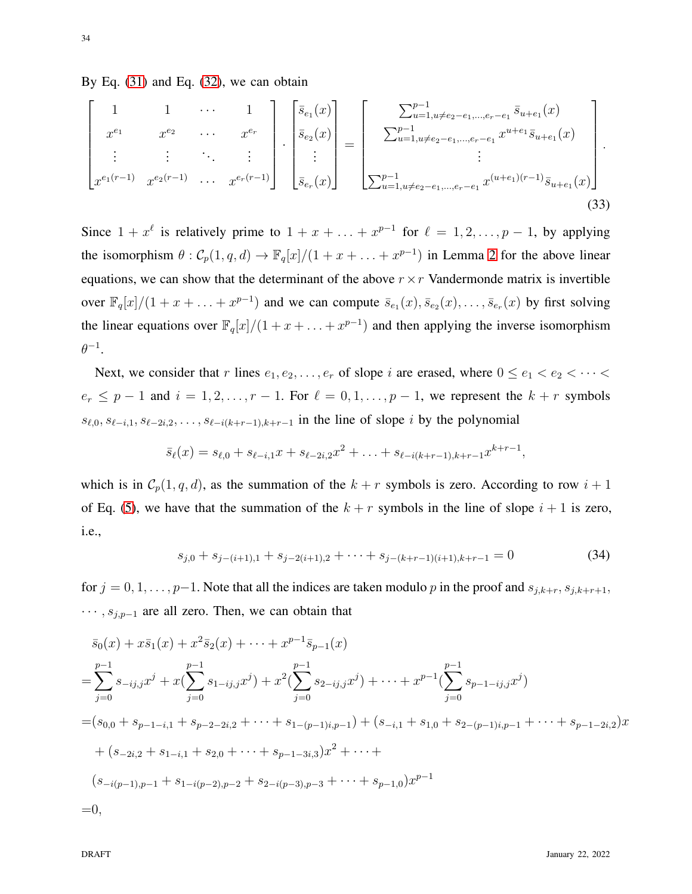By Eq.  $(31)$  and Eq.  $(32)$ , we can obtain

$$
\begin{bmatrix}\n1 & 1 & \cdots & 1 \\
x^{e_1} & x^{e_2} & \cdots & x^{e_r} \\
\vdots & \vdots & \ddots & \vdots \\
x^{e_1(r-1)} & x^{e_2(r-1)} & \cdots & x^{e_r(r-1)}\n\end{bmatrix}\n\cdot\n\begin{bmatrix}\n\bar{s}_{e_1}(x) \\
\bar{s}_{e_2}(x) \\
\vdots \\
\bar{s}_{e_r}(x)\n\end{bmatrix}\n=\n\begin{bmatrix}\n\sum_{u=1, u \neq e_2 - e_1, \dots, e_r - e_1} \bar{s}_{u+e_1}(x) \\
\sum_{u=1, u \neq e_2 - e_1, \dots, e_r - e_1} u^{u+e_1} \bar{s}_{u+e_1}(x) \\
\vdots \\
\sum_{u=1, u \neq e_2 - e_1, \dots, e_r - e_1} x^{(u+e_1)(r-1)} \bar{s}_{u+e_1}(x)\n\end{bmatrix}.
$$
\n(33)

Since  $1 + x^{\ell}$  is relatively prime to  $1 + x + \ldots + x^{p-1}$  for  $\ell = 1, 2, \ldots, p-1$ , by applying the isomorphism  $\theta$  :  $\mathcal{C}_p(1,q,d) \to \mathbb{F}_q[x]/(1+x+\ldots+x^{p-1})$  in Lemma [2](#page-7-1) for the above linear equations, we can show that the determinant of the above  $r \times r$  Vandermonde matrix is invertible over  $\mathbb{F}_q[x]/(1+x+\ldots+x^{p-1})$  and we can compute  $\bar{s}_{e_1}(x), \bar{s}_{e_2}(x), \ldots, \bar{s}_{e_r}(x)$  by first solving the linear equations over  $\mathbb{F}_q[x]/(1+x+\ldots+x^{p-1})$  and then applying the inverse isomorphism  $\theta^{-1}.$ 

Next, we consider that r lines  $e_1, e_2, \ldots, e_r$  of slope i are erased, where  $0 \le e_1 < e_2 < \cdots < e_r$  $e_r \leq p-1$  and  $i = 1, 2, \ldots, r-1$ . For  $\ell = 0, 1, \ldots, p-1$ , we represent the  $k+r$  symbols  $s_{\ell,0}, s_{\ell-i,1}, s_{\ell-2i,2}, \ldots, s_{\ell-i(k+r-1),k+r-1}$  in the line of slope i by the polynomial

<span id="page-33-1"></span>
$$
\bar{s}_{\ell}(x) = s_{\ell,0} + s_{\ell-i,1}x + s_{\ell-2i,2}x^2 + \ldots + s_{\ell-i(k+r-1),k+r-1}x^{k+r-1},
$$

which is in  $C_p(1, q, d)$ , as the summation of the  $k + r$  symbols is zero. According to row  $i + 1$ of Eq. [\(5\)](#page-8-2), we have that the summation of the  $k + r$  symbols in the line of slope  $i + 1$  is zero, i.e.,

<span id="page-33-0"></span>
$$
s_{j,0} + s_{j-(i+1),1} + s_{j-2(i+1),2} + \dots + s_{j-(k+r-1)(i+1),k+r-1} = 0
$$
\n(34)

for  $j = 0, 1, \ldots, p-1$ . Note that all the indices are taken modulo p in the proof and  $s_{j,k+r}, s_{j,k+r+1}$ ,  $\cdots$ ,  $s_{j,p-1}$  are all zero. Then, we can obtain that

$$
\bar{s}_0(x) + x\bar{s}_1(x) + x^2\bar{s}_2(x) + \dots + x^{p-1}\bar{s}_{p-1}(x)
$$
\n
$$
= \sum_{j=0}^{p-1} s_{-ij,j}x^j + x(\sum_{j=0}^{p-1} s_{1-ij,j}x^j) + x^2(\sum_{j=0}^{p-1} s_{2-ij,j}x^j) + \dots + x^{p-1}(\sum_{j=0}^{p-1} s_{p-1-ij,j}x^j)
$$
\n
$$
= (s_{0,0} + s_{p-1-i,1} + s_{p-2-2i,2} + \dots + s_{1-(p-1)i,p-1}) + (s_{-i,1} + s_{1,0} + s_{2-(p-1)i,p-1} + \dots + s_{p-1-2i,2})x
$$
\n
$$
+ (s_{-2i,2} + s_{1-i,1} + s_{2,0} + \dots + s_{p-1-3i,3})x^2 + \dots +
$$
\n
$$
(s_{-i(p-1),p-1} + s_{1-i(p-2),p-2} + s_{2-i(p-3),p-3} + \dots + s_{p-1,0})x^{p-1}
$$
\n
$$
= 0,
$$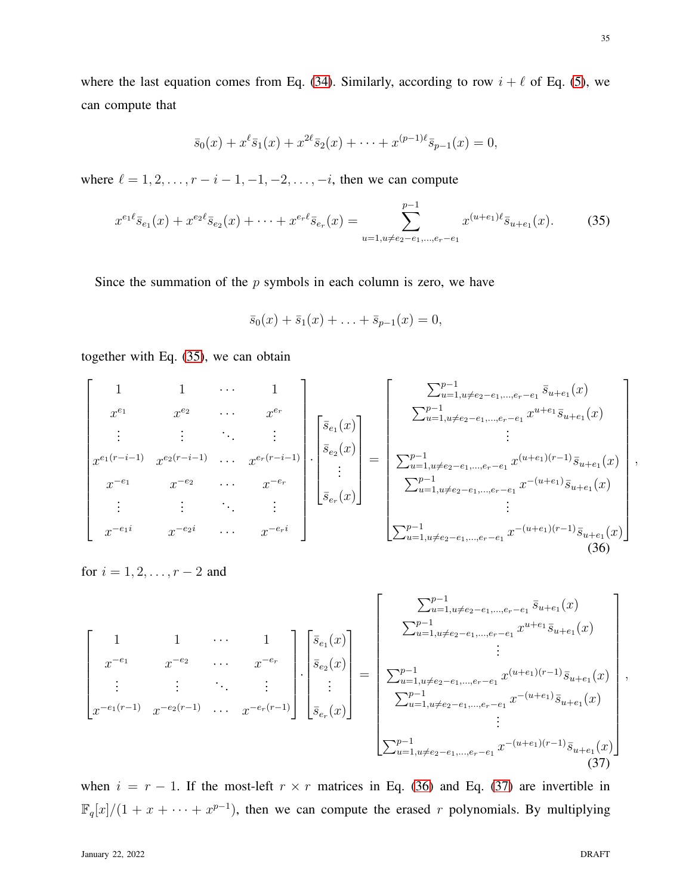,

where the last equation comes from Eq. [\(34\)](#page-33-0). Similarly, according to row  $i + \ell$  of Eq. [\(5\)](#page-8-2), we can compute that

$$
\bar{s}_0(x) + x^{\ell} \bar{s}_1(x) + x^{2\ell} \bar{s}_2(x) + \cdots + x^{(p-1)\ell} \bar{s}_{p-1}(x) = 0,
$$

where  $\ell = 1, 2, \ldots, r - i - 1, -1, -2, \ldots, -i$ , then we can compute

<span id="page-34-0"></span>
$$
x^{e_1 \ell} \bar{s}_{e_1}(x) + x^{e_2 \ell} \bar{s}_{e_2}(x) + \dots + x^{e_r \ell} \bar{s}_{e_r}(x) = \sum_{u=1, u \neq e_2 - e_1, \dots, e_r - e_1}^{p-1} x^{(u+e_1)\ell} \bar{s}_{u+e_1}(x). \tag{35}
$$

Since the summation of the  $p$  symbols in each column is zero, we have

$$
\bar{s}_0(x) + \bar{s}_1(x) + \ldots + \bar{s}_{p-1}(x) = 0,
$$

together with Eq. [\(35\)](#page-34-0), we can obtain

<span id="page-34-1"></span>
$$
\begin{bmatrix}\n1 & 1 & \cdots & 1 \\
x^{e_1} & x^{e_2} & \cdots & x^{e_r} \\
\vdots & \vdots & \ddots & \vdots \\
x^{-e_1} & x^{-e_2} & \cdots & x^{-e_r}\n\end{bmatrix}\n\begin{bmatrix}\n\overline{s}_{e_1}(x) \\
\overline{s}_{e_2}(x) \\
\vdots \\
\overline{s}_{e_r}(x)\n\end{bmatrix} = \n\begin{bmatrix}\n\sum_{u=1, u \neq e_2 - e_1, \ldots, e_r - e_1}^{p-1} \overline{s}_{u+e_1}(x) \\
\sum_{u=1, u \neq e_2 - e_1, \ldots, e_r - e_1}^{p-1} x^{(u+e_1)(r-1)} \overline{s}_{u+e_1}(x) \\
\vdots \\
\sum_{u=1, u \neq e_2 - e_1, \ldots, e_r - e_1}^{p-1} x^{-(u+e_1)} \overline{s}_{u+e_1}(x)\n\end{bmatrix}
$$
\n
$$
x^{-e_1} \qquad x^{-e_2} \qquad \cdots \qquad x^{-e_r}
$$
\n
$$
\begin{bmatrix}\n\overline{s}_{e_1}(x) \\
\overline{s}_{e_r}(x)\n\end{bmatrix} = \n\begin{bmatrix}\n\sum_{u=1, u \neq e_2 - e_1, \ldots, e_r - e_1}^{p-1} x^{(u+e_1)(r-1)} \overline{s}_{u+e_1}(x) \\
\sum_{u=1, u \neq e_2 - e_1, \ldots, e_r - e_1}^{p-1} x^{-(u+e_1)} \overline{s}_{u+e_1}(x) \\
\vdots \\
\sum_{u=1, u \neq e_2 - e_1, \ldots, e_r - e_1}^{p-1} x^{-(u+e_1)(r-1)} \overline{s}_{u+e_1}(x)\n\end{bmatrix}
$$
\n(36)

for  $i = 1, 2, ..., r - 2$  and

<span id="page-34-2"></span>
$$
\begin{bmatrix}\n1 & 1 & \cdots & 1 \\
x^{-e_1} & x^{-e_2} & \cdots & x^{-e_r} \\
\vdots & \vdots & \ddots & \vdots \\
x^{-e_1(r-1)} & x^{-e_2(r-1)} & \cdots & x^{-e_r(r-1)}\n\end{bmatrix}\n\begin{bmatrix}\n\overline{s}_{e_1}(x) \\
\overline{s}_{e_2}(x) \\
\vdots \\
\overline{s}_{e_r}(x)\n\end{bmatrix} = \begin{bmatrix}\n\sum_{u=1, u \neq e_2 - e_1, \dots, e_r - e_1}^{p-1} \overline{s}_{u+e_1}(x) \\
\sum_{u=1, u \neq e_2 - e_1, \dots, e_r - e_1}^{u+e_1} \overline{s}_{u+e_1}(x) \\
\vdots \\
\sum_{u=1, u \neq e_2 - e_1, \dots, e_r - e_1}^{p-1} x^{-(u+e_1)} \overline{s}_{u+e_1}(x)\n\end{bmatrix},
$$
\n
$$
\sum_{u=1, u \neq e_2 - e_1, \dots, e_r - e_1}^{p-1} x^{-(u+e_1)} \overline{s}_{u+e_1}(x)
$$
\n
$$
\vdots
$$
\n
$$
\sum_{u=1, u \neq e_2 - e_1, \dots, e_r - e_1}^{p-1} x^{-(u+e_1)(r-1)} \overline{s}_{u+e_1}(x)
$$
\n
$$
\vdots
$$
\n
$$
\begin{bmatrix}\n\sum_{u=1, u \neq e_2 - e_1, \dots, e_r - e_1}^{p-1} x^{-(u+e_1)(r-1)} \overline{s}_{u+e_1}(x) \\
\vdots \\
\sum_{u=1, u \neq e_2 - e_1, \dots, e_r - e_1}^{p-1} x^{-(u+e_1)(r-1)} \overline{s}_{u+e_1}(x)\n\end{bmatrix}
$$
\n(37)

when  $i = r - 1$ . If the most-left  $r \times r$  matrices in Eq. [\(36\)](#page-34-1) and Eq. [\(37\)](#page-34-2) are invertible in  $\mathbb{F}_q[x]/(1+x+\cdots+x^{p-1})$ , then we can compute the erased r polynomials. By multiplying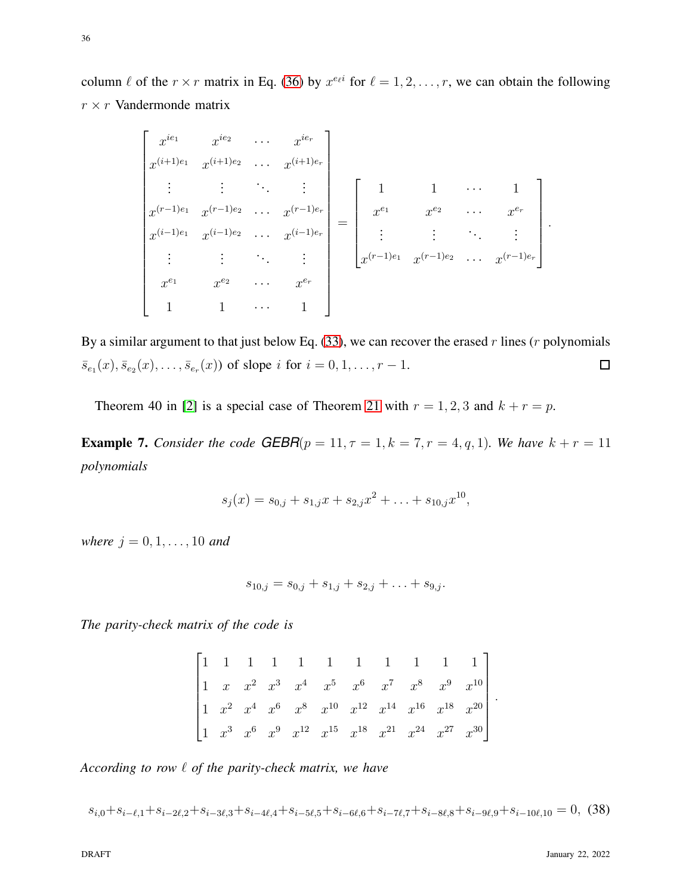36

column  $\ell$  of the  $r \times r$  matrix in Eq. [\(36\)](#page-34-1) by  $x^{e_\ell i}$  for  $\ell = 1, 2, \ldots, r$ , we can obtain the following  $r \times r$  Vandermonde matrix

$$
\begin{bmatrix}\nx^{ie_1} & x^{ie_2} & \cdots & x^{ie_r} \\
x^{(i+1)e_1} & x^{(i+1)e_2} & \cdots & x^{(i+1)e_r} \\
\vdots & \vdots & \ddots & \vdots \\
x^{(r-1)e_1} & x^{(r-1)e_2} & \cdots & x^{(r-1)e_r} \\
x^{(i-1)e_1} & x^{(i-1)e_2} & \cdots & x^{(i-1)e_r} \\
\vdots & \vdots & \ddots & \vdots \\
x^{e_1} & x^{e_2} & \cdots & x^{e_r} \\
1 & 1 & \cdots & 1\n\end{bmatrix} = \begin{bmatrix}\n1 & 1 & \cdots & 1 \\
x^{e_1} & x^{e_2} & \cdots & x^{e_r} \\
\vdots & \vdots & \ddots & \vdots \\
x^{(r-1)e_1} & x^{(r-1)e_2} & \cdots & x^{(r-1)e_r}\n\end{bmatrix}
$$

By a similar argument to that just below Eq. [\(33\)](#page-33-1), we can recover the erased r lines (r polynomials  $\Box$  $\bar{s}_{e_1}(x), \bar{s}_{e_2}(x), \ldots, \bar{s}_{e_r}(x)$  of slope i for  $i = 0, 1, \ldots, r - 1$ .

Theorem 40 in [\[2\]](#page-41-0) is a special case of Theorem [21](#page-32-3) with  $r = 1, 2, 3$  and  $k + r = p$ .

**Example 7.** *Consider the code*  $GEBR(p = 11, \tau = 1, k = 7, r = 4, q, 1)$ *. We have*  $k + r = 11$ *polynomials*

$$
s_j(x) = s_{0,j} + s_{1,j}x + s_{2,j}x^2 + \ldots + s_{10,j}x^{10},
$$

*where*  $j = 0, 1, ..., 10$  *and* 

$$
s_{10,j} = s_{0,j} + s_{1,j} + s_{2,j} + \ldots + s_{9,j}.
$$

*The parity-check matrix of the code is*

$$
\begin{bmatrix} 1 & 1 & 1 & 1 & 1 & 1 & 1 & 1 & 1 & 1 \\ 1 & x & x^2 & x^3 & x^4 & x^5 & x^6 & x^7 & x^8 & x^9 & x^{10} \\ 1 & x^2 & x^4 & x^6 & x^8 & x^{10} & x^{12} & x^{14} & x^{16} & x^{18} & x^{20} \\ 1 & x^3 & x^6 & x^9 & x^{12} & x^{15} & x^{18} & x^{21} & x^{24} & x^{27} & x^{30} \end{bmatrix}.
$$

*According to row* ℓ *of the parity-check matrix, we have*

<span id="page-35-0"></span>
$$
s_{i,0} + s_{i-\ell,1} + s_{i-2\ell,2} + s_{i-3\ell,3} + s_{i-4\ell,4} + s_{i-5\ell,5} + s_{i-6\ell,6} + s_{i-7\ell,7} + s_{i-8\ell,8} + s_{i-9\ell,9} + s_{i-10\ell,10} = 0,\tag{38}
$$

.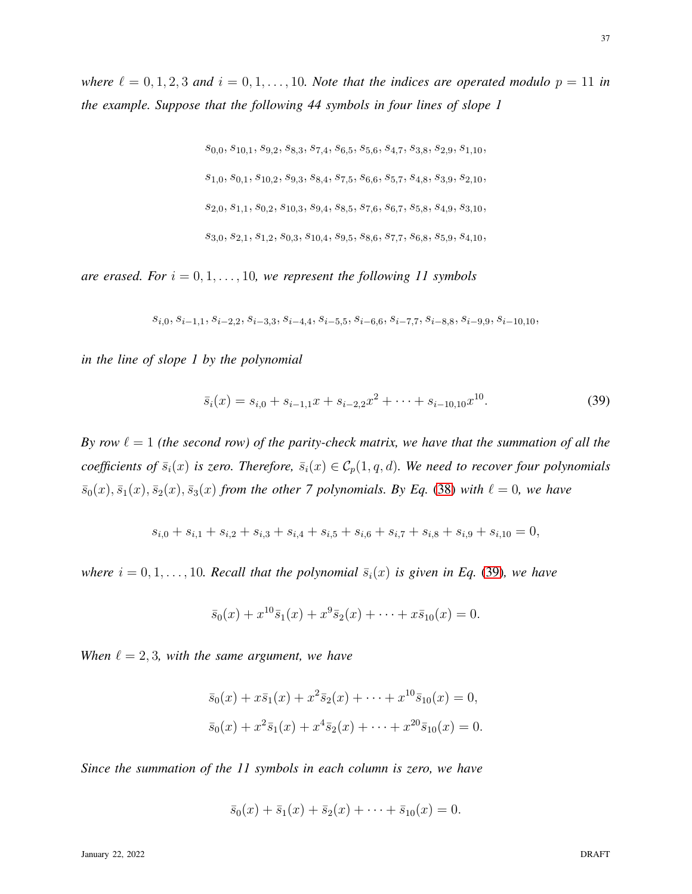*the example. Suppose that the following 44 symbols in four lines of slope 1*

 $s_{0,0}, s_{10,1}, s_{9,2}, s_{8,3}, s_{7,4}, s_{6,5}, s_{5,6}, s_{4,7}, s_{3,8}, s_{2,9}, s_{1,10},$  $s_{1,0}, s_{0,1}, s_{10,2}, s_{9,3}, s_{8,4}, s_{7,5}, s_{6,6}, s_{5,7}, s_{4,8}, s_{3,9}, s_{2,10},$  $s_{2,0}, s_{1,1}, s_{0,2}, s_{10,3}, s_{9,4}, s_{8,5}, s_{7,6}, s_{6,7}, s_{5,8}, s_{4,9}, s_{3,10},$  $s_{3,0}, s_{2,1}, s_{1,2}, s_{0,3}, s_{10,4}, s_{9,5}, s_{8,6}, s_{7,7}, s_{6,8}, s_{5,9}, s_{4,10},$ 

*are erased. For*  $i = 0, 1, \ldots, 10$ , we represent the following 11 symbols

 $s_{i,0}, s_{i-1,1}, s_{i-2,2}, s_{i-3,3}, s_{i-4,4}, s_{i-5,5}, s_{i-6,6}, s_{i-7,7}, s_{i-8,8}, s_{i-9,9}, s_{i-10,10},$ 

*in the line of slope 1 by the polynomial*

<span id="page-36-0"></span>
$$
\bar{s}_i(x) = s_{i,0} + s_{i-1,1}x + s_{i-2,2}x^2 + \dots + s_{i-10,10}x^{10}.
$$
 (39)

*By row*  $\ell = 1$  *(the second row) of the parity-check matrix, we have that the summation of all the coefficients of*  $\bar{s}_i(x)$  *is zero. Therefore,*  $\bar{s}_i(x) \in C_p(1, q, d)$ *. We need to recover four polynomials*  $\bar{s}_0(x), \bar{s}_1(x), \bar{s}_2(x), \bar{s}_3(x)$  *from the other 7 polynomials. By Eq.* [\(38\)](#page-35-0) *with*  $\ell = 0$ *, we have* 

$$
s_{i,0} + s_{i,1} + s_{i,2} + s_{i,3} + s_{i,4} + s_{i,5} + s_{i,6} + s_{i,7} + s_{i,8} + s_{i,9} + s_{i,10} = 0,
$$

*where*  $i = 0, 1, \ldots, 10$ *. Recall that the polynomial*  $\bar{s}_i(x)$  *is given in Eq.* [\(39\)](#page-36-0)*, we have* 

$$
\bar{s}_0(x) + x^{10}\bar{s}_1(x) + x^9\bar{s}_2(x) + \cdots + x\bar{s}_{10}(x) = 0.
$$

*When*  $\ell = 2, 3$ *, with the same argument, we have* 

$$
\overline{s}_0(x) + x\overline{s}_1(x) + x^2\overline{s}_2(x) + \dots + x^{10}\overline{s}_{10}(x) = 0,
$$
  

$$
\overline{s}_0(x) + x^2\overline{s}_1(x) + x^4\overline{s}_2(x) + \dots + x^{20}\overline{s}_{10}(x) = 0.
$$

*Since the summation of the 11 symbols in each column is zero, we have*

$$
\bar{s}_0(x) + \bar{s}_1(x) + \bar{s}_2(x) + \cdots + \bar{s}_{10}(x) = 0.
$$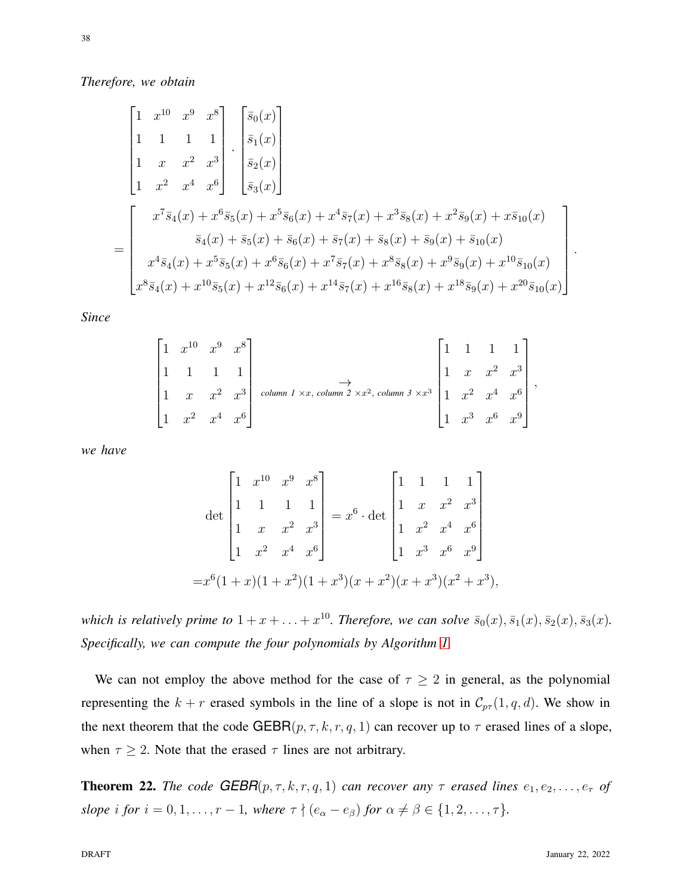*Therefore, we obtain*

$$
\begin{bmatrix}\n1 & x^{10} & x^{9} & x^{8} \\
1 & 1 & 1 & 1 \\
1 & x & x^{2} & x^{3} \\
1 & x^{2} & x^{4} & x^{6}\n\end{bmatrix}\n\cdot\n\begin{bmatrix}\n\overline{s}_{0}(x) \\
\overline{s}_{1}(x) \\
\overline{s}_{2}(x) \\
\overline{s}_{3}(x)\n\end{bmatrix}
$$
\n=\n
$$
\begin{bmatrix}\nx^{7}\overline{s}_{4}(x) + x^{6}\overline{s}_{5}(x) + x^{5}\overline{s}_{6}(x) + x^{4}\overline{s}_{7}(x) + x^{3}\overline{s}_{8}(x) + x^{2}\overline{s}_{9}(x) + x\overline{s}_{10}(x) \\
x^{4}\overline{s}_{4}(x) + x^{5}\overline{s}_{5}(x) + x^{6}\overline{s}_{6}(x) + x^{7}\overline{s}_{7}(x) + x^{8}\overline{s}_{8}(x) + x^{9}\overline{s}_{9}(x) + x^{10}\overline{s}_{10}(x) \\
x^{8}\overline{s}_{4}(x) + x^{10}\overline{s}_{5}(x) + x^{12}\overline{s}_{6}(x) + x^{14}\overline{s}_{7}(x) + x^{16}\overline{s}_{8}(x) + x^{18}\overline{s}_{9}(x) + x^{20}\overline{s}_{10}(x)\n\end{bmatrix}.
$$

*Since*

$$
\begin{bmatrix} 1 & x^{10} & x^9 & x^8 \\ 1 & 1 & 1 & 1 \\ 1 & x & x^2 & x^3 \\ 1 & x^2 & x^4 & x^6 \end{bmatrix}
$$
 column 1 x x, column 2 x x<sup>2</sup>, column 3 x x<sup>3</sup> 
$$
\begin{bmatrix} 1 & 1 & 1 & 1 \\ 1 & x & x^2 & x^3 \\ 1 & x^2 & x^4 & x^6 \\ 1 & x^3 & x^6 & x^9 \end{bmatrix}
$$

*we have*

$$
\det\begin{bmatrix} 1 & x^{10} & x^9 & x^8 \\ 1 & 1 & 1 & 1 \\ 1 & x & x^2 & x^3 \\ 1 & x^2 & x^4 & x^6 \end{bmatrix} = x^6 \cdot \det\begin{bmatrix} 1 & 1 & 1 & 1 \\ 1 & x & x^2 & x^3 \\ 1 & x^2 & x^4 & x^6 \\ 1 & x^3 & x^6 & x^9 \end{bmatrix}
$$

$$
= x^6(1+x)(1+x^2)(1+x^3)(x+x^2)(x+x^3)(x^2+x^3),
$$

which is relatively prime to  $1 + x + \ldots + x^{10}$ . Therefore, we can solve  $\bar{s}_0(x), \bar{s}_1(x), \bar{s}_2(x), \bar{s}_3(x)$ . *Specifically, we can compute the four polynomials by Algorithm [1.](#page-21-0)*

We can not employ the above method for the case of  $\tau \geq 2$  in general, as the polynomial representing the  $k + r$  erased symbols in the line of a slope is not in  $C_{p\tau}(1, q, d)$ . We show in the next theorem that the code GEBR $(p, \tau, k, r, q, 1)$  can recover up to  $\tau$  erased lines of a slope, when  $\tau \geq 2$ . Note that the erased  $\tau$  lines are not arbitrary.

<span id="page-37-0"></span>**Theorem 22.** *The code*  $GEBR(p, \tau, k, r, q, 1)$  *can recover any*  $\tau$  *erased lines*  $e_1, e_2, \ldots, e_{\tau}$  *of slope i for*  $i = 0, 1, \ldots, r - 1$ *, where*  $\tau \nmid (e_{\alpha} - e_{\beta})$  *for*  $\alpha \neq \beta \in \{1, 2, \ldots, \tau\}$ *.*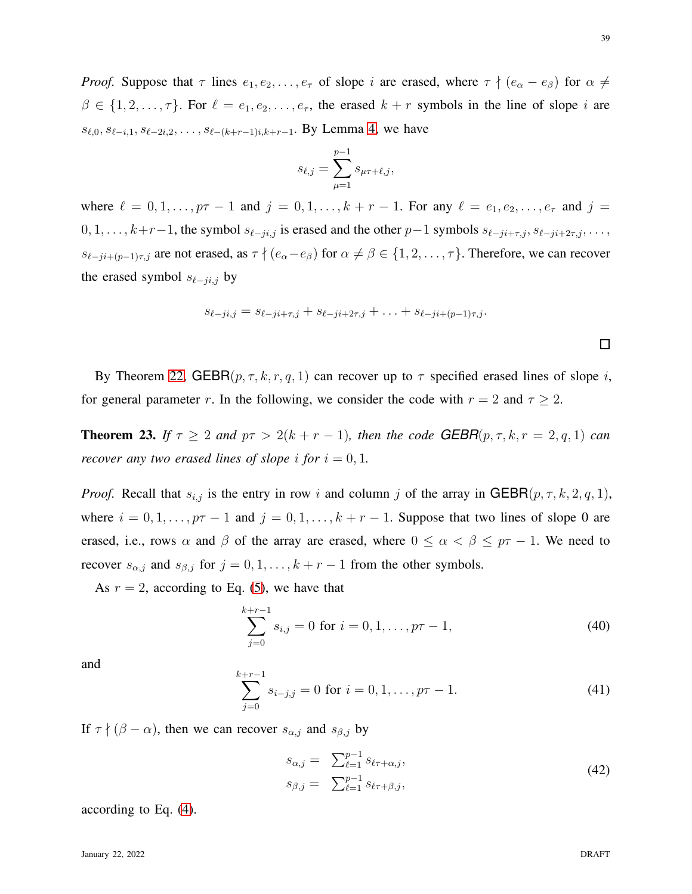*Proof.* Suppose that  $\tau$  lines  $e_1, e_2, \ldots, e_{\tau}$  of slope i are erased, where  $\tau \nmid (e_{\alpha} - e_{\beta})$  for  $\alpha \neq$  $\beta \in \{1, 2, \ldots, \tau\}$ . For  $\ell = e_1, e_2, \ldots, e_{\tau}$ , the erased  $k + r$  symbols in the line of slope i are  $s_{\ell,0}, s_{\ell-i,1}, s_{\ell-2i,2}, \ldots, s_{\ell-(k+r-1)i,k+r-1}$ . By Lemma [4,](#page-7-0) we have

$$
s_{\ell,j} = \sum_{\mu=1}^{p-1} s_{\mu\tau+\ell,j},
$$

where  $\ell = 0, 1, \ldots, p\tau - 1$  and  $j = 0, 1, \ldots, k + r - 1$ . For any  $\ell = e_1, e_2, \ldots, e_{\tau}$  and  $j =$  $0, 1, \ldots, k+r-1$ , the symbol  $s_{\ell-ji,j}$  is erased and the other  $p-1$  symbols  $s_{\ell-ji+\tau,j}, s_{\ell-ji+2\tau,j}, \ldots$  $s_{\ell-ji+(p-1)\tau,j}$  are not erased, as  $\tau \nmid (e_\alpha-e_\beta)$  for  $\alpha \neq \beta \in \{1,2,\ldots,\tau\}$ . Therefore, we can recover the erased symbol  $s_{\ell-j,i,j}$  by

$$
s_{\ell-ji,j} = s_{\ell-ji+\tau,j} + s_{\ell-ji+2\tau,j} + \ldots + s_{\ell-ji+(p-1)\tau,j}.
$$

By Theorem [22,](#page-37-0)  $GEBR(p, \tau, k, r, q, 1)$  can recover up to  $\tau$  specified erased lines of slope i, for general parameter r. In the following, we consider the code with  $r = 2$  and  $\tau \geq 2$ .

<span id="page-38-2"></span>**Theorem 23.** *If*  $\tau \geq 2$  *and*  $p\tau > 2(k + r - 1)$ *, then the code GEBR*( $p, \tau, k, r = 2, q, 1$ ) *can recover any two erased lines of slope i for*  $i = 0, 1$ *.* 

*Proof.* Recall that  $s_{i,j}$  is the entry in row i and column j of the array in GEBR $(p, \tau, k, 2, q, 1)$ , where  $i = 0, 1, \ldots, p\tau - 1$  and  $j = 0, 1, \ldots, k + r - 1$ . Suppose that two lines of slope 0 are erased, i.e., rows  $\alpha$  and  $\beta$  of the array are erased, where  $0 \le \alpha < \beta \le p\tau - 1$ . We need to recover  $s_{\alpha,j}$  and  $s_{\beta,j}$  for  $j = 0, 1, \ldots, k + r - 1$  from the other symbols.

As  $r = 2$ , according to Eq. [\(5\)](#page-8-2), we have that

$$
\sum_{j=0}^{k+r-1} s_{i,j} = 0 \text{ for } i = 0, 1, \dots, p\tau - 1,
$$
 (40)

and

<span id="page-38-0"></span>
$$
\sum_{j=0}^{k+r-1} s_{i-j,j} = 0 \text{ for } i = 0, 1, \dots, p\tau - 1.
$$
 (41)

If  $\tau \nmid (\beta - \alpha)$ , then we can recover  $s_{\alpha,j}$  and  $s_{\beta,j}$  by

<span id="page-38-1"></span>
$$
s_{\alpha,j} = \sum_{\ell=1}^{p-1} s_{\ell\tau + \alpha,j},
$$
  
\n
$$
s_{\beta,j} = \sum_{\ell=1}^{p-1} s_{\ell\tau + \beta,j},
$$
\n(42)

according to Eq. [\(4\)](#page-7-0).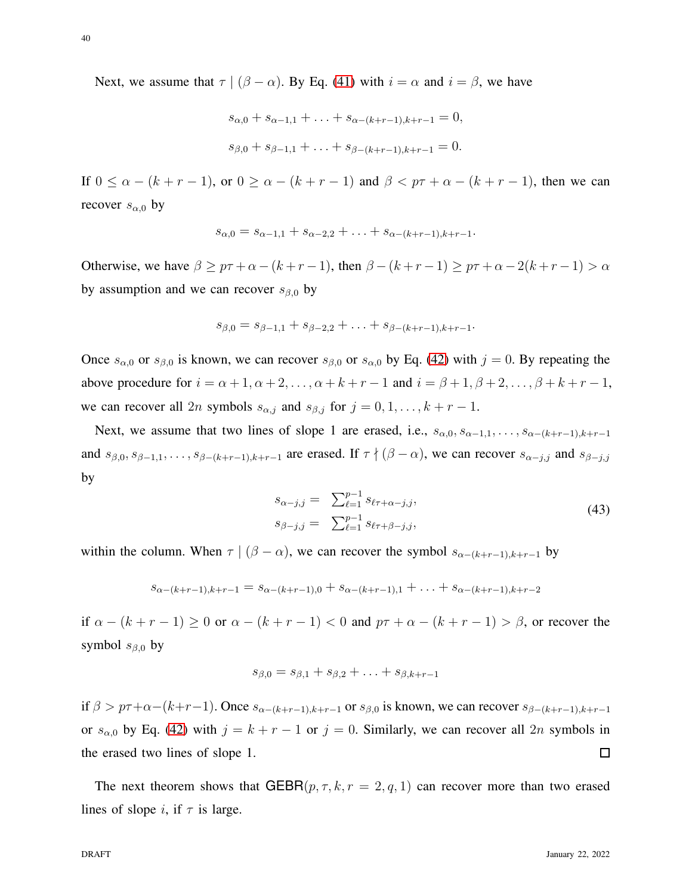40

Next, we assume that  $\tau | (\beta - \alpha)$ . By Eq. [\(41\)](#page-38-0) with  $i = \alpha$  and  $i = \beta$ , we have

$$
s_{\alpha,0} + s_{\alpha-1,1} + \ldots + s_{\alpha-(k+r-1),k+r-1} = 0,
$$
  

$$
s_{\beta,0} + s_{\beta-1,1} + \ldots + s_{\beta-(k+r-1),k+r-1} = 0.
$$

If  $0 \leq \alpha - (k + r - 1)$ , or  $0 \geq \alpha - (k + r - 1)$  and  $\beta < p\tau + \alpha - (k + r - 1)$ , then we can recover  $s_{\alpha,0}$  by

$$
s_{\alpha,0} = s_{\alpha-1,1} + s_{\alpha-2,2} + \ldots + s_{\alpha-(k+r-1),k+r-1}.
$$

Otherwise, we have  $\beta \geq p\tau + \alpha - (k + r - 1)$ , then  $\beta - (k + r - 1) \geq p\tau + \alpha - 2(k + r - 1) > \alpha$ by assumption and we can recover  $s_{\beta,0}$  by

$$
s_{\beta,0}=s_{\beta-1,1}+s_{\beta-2,2}+\ldots+s_{\beta-(k+r-1),k+r-1}.
$$

Once  $s_{\alpha,0}$  or  $s_{\beta,0}$  is known, we can recover  $s_{\beta,0}$  or  $s_{\alpha,0}$  by Eq. [\(42\)](#page-38-1) with  $j = 0$ . By repeating the above procedure for  $i = \alpha + 1, \alpha + 2, \ldots, \alpha + k + r - 1$  and  $i = \beta + 1, \beta + 2, \ldots, \beta + k + r - 1$ , we can recover all 2n symbols  $s_{\alpha,j}$  and  $s_{\beta,j}$  for  $j = 0, 1, \ldots, k + r - 1$ .

Next, we assume that two lines of slope 1 are erased, i.e.,  $s_{\alpha,0}, s_{\alpha-1,1}, \ldots, s_{\alpha-(k+r-1),k+r-1}$ and  $s_{\beta,0}, s_{\beta-1,1}, \ldots, s_{\beta-(k+r-1),k+r-1}$  are erased. If  $\tau \nmid (\beta - \alpha)$ , we can recover  $s_{\alpha-j,j}$  and  $s_{\beta-j,j}$ by

$$
s_{\alpha-j,j} = \sum_{\ell=1}^{p-1} s_{\ell\tau+\alpha-j,j},
$$
  
\n
$$
s_{\beta-j,j} = \sum_{\ell=1}^{p-1} s_{\ell\tau+\beta-j,j},
$$
\n(43)

within the column. When  $\tau \mid (\beta - \alpha)$ , we can recover the symbol  $s_{\alpha-(k+r-1),k+r-1}$  by

$$
s_{\alpha-(k+r-1),k+r-1} = s_{\alpha-(k+r-1),0} + s_{\alpha-(k+r-1),1} + \ldots + s_{\alpha-(k+r-1),k+r-2}
$$

if  $\alpha - (k + r - 1) \ge 0$  or  $\alpha - (k + r - 1) < 0$  and  $p\tau + \alpha - (k + r - 1) > \beta$ , or recover the symbol  $s_{\beta,0}$  by

$$
s_{\beta,0} = s_{\beta,1} + s_{\beta,2} + \ldots + s_{\beta,k+r-1}
$$

if  $\beta > p\tau+\alpha-(k+r-1)$ . Once  $s_{\alpha-(k+r-1),k+r-1}$  or  $s_{\beta,0}$  is known, we can recover  $s_{\beta-(k+r-1),k+r-1}$ or  $s_{\alpha,0}$  by Eq. [\(42\)](#page-38-1) with  $j = k + r - 1$  or  $j = 0$ . Similarly, we can recover all 2n symbols in the erased two lines of slope 1.  $\Box$ 

The next theorem shows that  $GEBR(p, \tau, k, r = 2, q, 1)$  can recover more than two erased lines of slope i, if  $\tau$  is large.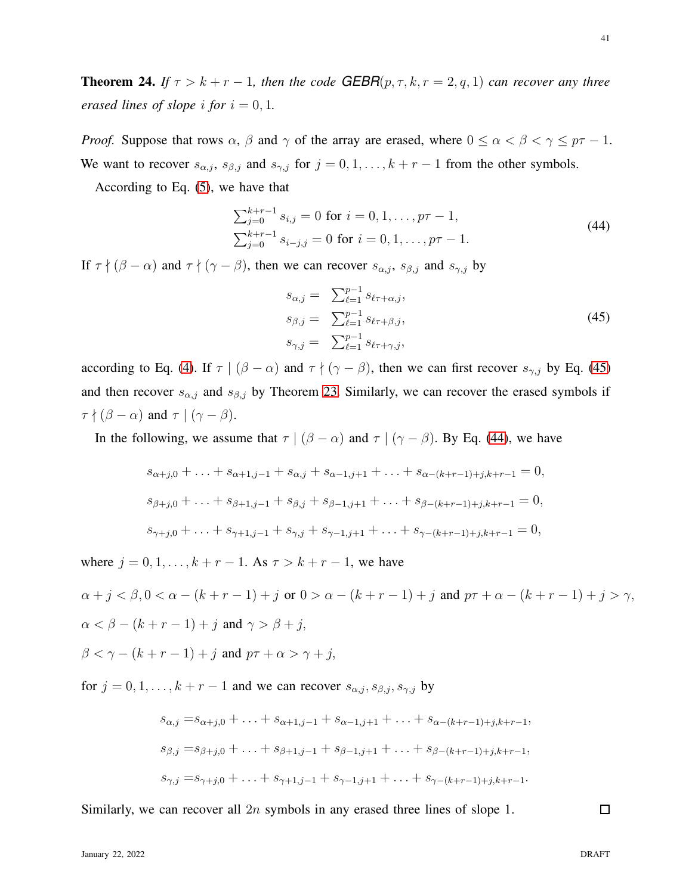**Theorem 24.** *If*  $\tau > k + r - 1$ *, then the code GEBR* $(p, \tau, k, r = 2, q, 1)$  *can recover any three erased lines of slope i for*  $i = 0, 1$ *.* 

*Proof.* Suppose that rows  $\alpha$ ,  $\beta$  and  $\gamma$  of the array are erased, where  $0 \le \alpha < \beta < \gamma \le p\tau - 1$ . We want to recover  $s_{\alpha,j}$ ,  $s_{\beta,j}$  and  $s_{\gamma,j}$  for  $j = 0, 1, \ldots, k + r - 1$  from the other symbols.

According to Eq. [\(5\)](#page-8-2), we have that

<span id="page-40-1"></span>
$$
\sum_{j=0}^{k+r-1} s_{i,j} = 0 \text{ for } i = 0, 1, ..., p\tau - 1,
$$
  

$$
\sum_{j=0}^{k+r-1} s_{i-j,j} = 0 \text{ for } i = 0, 1, ..., p\tau - 1.
$$
 (44)

If  $\tau \nmid (\beta - \alpha)$  and  $\tau \nmid (\gamma - \beta)$ , then we can recover  $s_{\alpha, j}$ ,  $s_{\beta, j}$  and  $s_{\gamma, j}$  by

<span id="page-40-0"></span>
$$
s_{\alpha,j} = \sum_{\ell=1}^{p-1} s_{\ell\tau + \alpha,j},
$$
  
\n
$$
s_{\beta,j} = \sum_{\ell=1}^{p-1} s_{\ell\tau + \beta,j},
$$
  
\n
$$
s_{\gamma,j} = \sum_{\ell=1}^{p-1} s_{\ell\tau + \gamma,j},
$$
\n(45)

according to Eq. [\(4\)](#page-7-0). If  $\tau \mid (\beta - \alpha)$  and  $\tau \nmid (\gamma - \beta)$ , then we can first recover  $s_{\gamma, j}$  by Eq. [\(45\)](#page-40-0) and then recover  $s_{\alpha,j}$  and  $s_{\beta,j}$  by Theorem [23.](#page-38-2) Similarly, we can recover the erased symbols if  $\tau \nmid (\beta - \alpha)$  and  $\tau \mid (\gamma - \beta)$ .

In the following, we assume that  $\tau | (\beta - \alpha)$  and  $\tau | (\gamma - \beta)$ . By Eq. [\(44\)](#page-40-1), we have

$$
s_{\alpha+j,0} + \ldots + s_{\alpha+1,j-1} + s_{\alpha,j} + s_{\alpha-1,j+1} + \ldots + s_{\alpha-(k+r-1)+j,k+r-1} = 0,
$$
  
\n
$$
s_{\beta+j,0} + \ldots + s_{\beta+1,j-1} + s_{\beta,j} + s_{\beta-1,j+1} + \ldots + s_{\beta-(k+r-1)+j,k+r-1} = 0,
$$
  
\n
$$
s_{\gamma+j,0} + \ldots + s_{\gamma+1,j-1} + s_{\gamma,j} + s_{\gamma-1,j+1} + \ldots + s_{\gamma-(k+r-1)+j,k+r-1} = 0,
$$

where  $j = 0, 1, ..., k + r - 1$ . As  $\tau > k + r - 1$ , we have

 $\alpha + j < \beta, 0 < \alpha - (k + r - 1) + j$  or  $0 > \alpha - (k + r - 1) + j$  and  $p\tau + \alpha - (k + r - 1) + j > \gamma$ ,  $\alpha < \beta - (k + r - 1) + i$  and  $\gamma > \beta + i$ ,

 $\beta < \gamma - (k + r - 1) + i$  and  $p\tau + \alpha > \gamma + i$ ,

for  $j = 0, 1, \ldots, k + r - 1$  and we can recover  $s_{\alpha, j}, s_{\beta, j}, s_{\gamma, j}$  by

$$
s_{\alpha,j} = s_{\alpha+j,0} + \ldots + s_{\alpha+1,j-1} + s_{\alpha-1,j+1} + \ldots + s_{\alpha-(k+r-1)+j,k+r-1},
$$
  
\n
$$
s_{\beta,j} = s_{\beta+j,0} + \ldots + s_{\beta+1,j-1} + s_{\beta-1,j+1} + \ldots + s_{\beta-(k+r-1)+j,k+r-1},
$$
  
\n
$$
s_{\gamma,j} = s_{\gamma+j,0} + \ldots + s_{\gamma+1,j-1} + s_{\gamma-1,j+1} + \ldots + s_{\gamma-(k+r-1)+j,k+r-1}.
$$

Similarly, we can recover all 2n symbols in any erased three lines of slope 1.

 $\Box$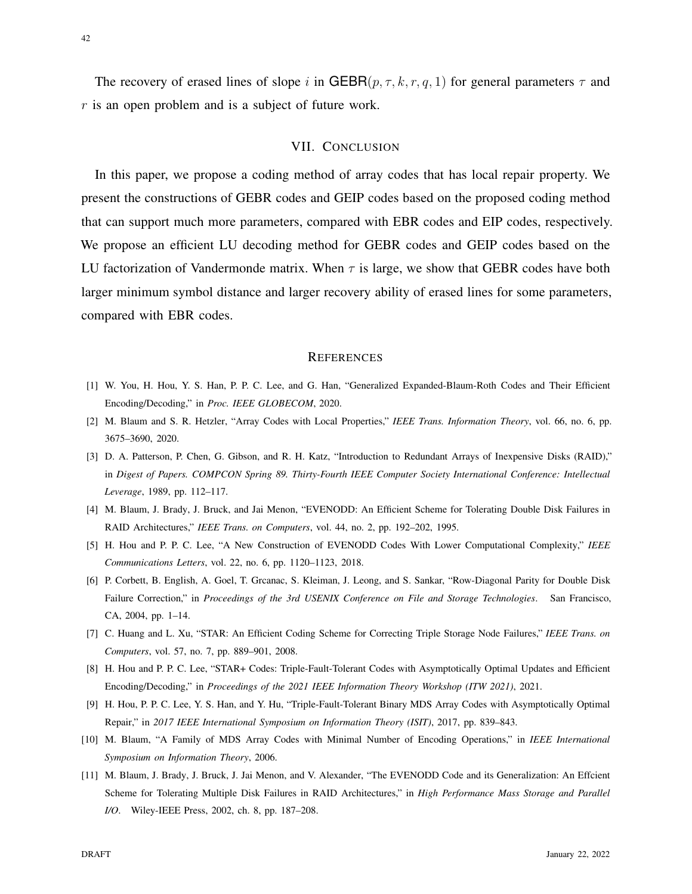<span id="page-41-11"></span>The recovery of erased lines of slope i in GEBR $(p, \tau, k, r, q, 1)$  for general parameters  $\tau$  and  $r$  is an open problem and is a subject of future work.

#### VII. CONCLUSION

In this paper, we propose a coding method of array codes that has local repair property. We present the constructions of GEBR codes and GEIP codes based on the proposed coding method that can support much more parameters, compared with EBR codes and EIP codes, respectively. We propose an efficient LU decoding method for GEBR codes and GEIP codes based on the LU factorization of Vandermonde matrix. When  $\tau$  is large, we show that GEBR codes have both larger minimum symbol distance and larger recovery ability of erased lines for some parameters, compared with EBR codes.

#### **REFERENCES**

- <span id="page-41-1"></span><span id="page-41-0"></span>[1] W. You, H. Hou, Y. S. Han, P. P. C. Lee, and G. Han, "Generalized Expanded-Blaum-Roth Codes and Their Efficient Encoding/Decoding," in *Proc. IEEE GLOBECOM*, 2020.
- <span id="page-41-2"></span>[2] M. Blaum and S. R. Hetzler, "Array Codes with Local Properties," *IEEE Trans. Information Theory*, vol. 66, no. 6, pp. 3675–3690, 2020.
- [3] D. A. Patterson, P. Chen, G. Gibson, and R. H. Katz, "Introduction to Redundant Arrays of Inexpensive Disks (RAID)," in *Digest of Papers. COMPCON Spring 89. Thirty-Fourth IEEE Computer Society International Conference: Intellectual Leverage*, 1989, pp. 112–117.
- <span id="page-41-4"></span><span id="page-41-3"></span>[4] M. Blaum, J. Brady, J. Bruck, and Jai Menon, "EVENODD: An Efficient Scheme for Tolerating Double Disk Failures in RAID Architectures," *IEEE Trans. on Computers*, vol. 44, no. 2, pp. 192–202, 1995.
- <span id="page-41-5"></span>[5] H. Hou and P. P. C. Lee, "A New Construction of EVENODD Codes With Lower Computational Complexity," *IEEE Communications Letters*, vol. 22, no. 6, pp. 1120–1123, 2018.
- [6] P. Corbett, B. English, A. Goel, T. Grcanac, S. Kleiman, J. Leong, and S. Sankar, "Row-Diagonal Parity for Double Disk Failure Correction," in *Proceedings of the 3rd USENIX Conference on File and Storage Technologies*. San Francisco, CA, 2004, pp. 1–14.
- <span id="page-41-7"></span><span id="page-41-6"></span>[7] C. Huang and L. Xu, "STAR: An Efficient Coding Scheme for Correcting Triple Storage Node Failures," *IEEE Trans. on Computers*, vol. 57, no. 7, pp. 889–901, 2008.
- <span id="page-41-8"></span>[8] H. Hou and P. P. C. Lee, "STAR+ Codes: Triple-Fault-Tolerant Codes with Asymptotically Optimal Updates and Efficient Encoding/Decoding," in *Proceedings of the 2021 IEEE Information Theory Workshop (ITW 2021)*, 2021.
- <span id="page-41-9"></span>[9] H. Hou, P. P. C. Lee, Y. S. Han, and Y. Hu, "Triple-Fault-Tolerant Binary MDS Array Codes with Asymptotically Optimal Repair," in *2017 IEEE International Symposium on Information Theory (ISIT)*, 2017, pp. 839–843.
- <span id="page-41-10"></span>[10] M. Blaum, "A Family of MDS Array Codes with Minimal Number of Encoding Operations," in *IEEE International Symposium on Information Theory*, 2006.
- [11] M. Blaum, J. Brady, J. Bruck, J. Jai Menon, and V. Alexander, "The EVENODD Code and its Generalization: An Effcient Scheme for Tolerating Multiple Disk Failures in RAID Architectures," in *High Performance Mass Storage and Parallel I/O*. Wiley-IEEE Press, 2002, ch. 8, pp. 187–208.